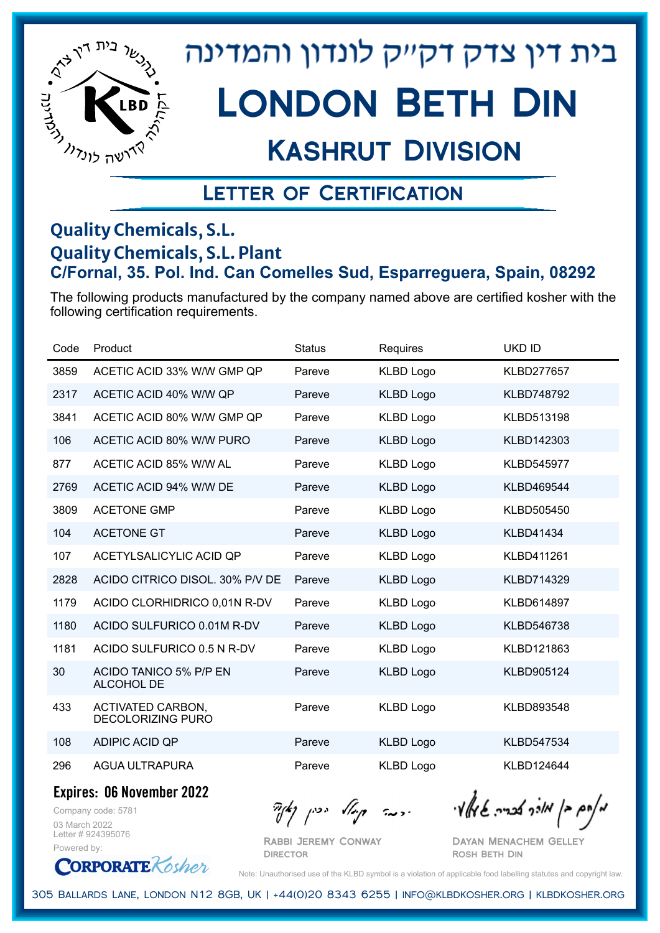

## Kashrut Division

### Letter of Certification

#### **Quality Chemicals, S.L. Quality Chemicals, S.L. Plant C/Fornal, 35. Pol. Ind. Can Comelles Sud, Esparreguera, Spain, 08292**

The following products manufactured by the company named above are certified kosher with the following certification requirements.

| Code | Product                                              | <b>Status</b> | Requires         | <b>UKD ID</b>     |
|------|------------------------------------------------------|---------------|------------------|-------------------|
| 3859 | ACETIC ACID 33% W/W GMP QP                           | Pareve        | <b>KLBD Logo</b> | <b>KLBD277657</b> |
| 2317 | ACETIC ACID 40% W/W QP                               | Pareve        | <b>KLBD Logo</b> | <b>KLBD748792</b> |
| 3841 | ACETIC ACID 80% W/W GMP QP                           | Pareve        | <b>KLBD Logo</b> | KLBD513198        |
| 106  | ACETIC ACID 80% W/W PURO                             | Pareve        | <b>KLBD Logo</b> | KLBD142303        |
| 877  | ACETIC ACID 85% W/W AL                               | Pareve        | <b>KLBD Logo</b> | KLBD545977        |
| 2769 | ACETIC ACID 94% W/W DE                               | Pareve        | <b>KLBD Logo</b> | KLBD469544        |
| 3809 | <b>ACETONE GMP</b>                                   | Pareve        | <b>KLBD Logo</b> | KLBD505450        |
| 104  | <b>ACETONE GT</b>                                    | Pareve        | <b>KLBD Logo</b> | <b>KLBD41434</b>  |
| 107  | ACETYLSALICYLIC ACID QP                              | Pareve        | <b>KLBD Logo</b> | KLBD411261        |
| 2828 | ACIDO CITRICO DISOL. 30% P/V DE                      | Pareve        | <b>KLBD Logo</b> | KLBD714329        |
| 1179 | ACIDO CLORHIDRICO 0,01N R-DV                         | Pareve        | <b>KLBD Logo</b> | KLBD614897        |
| 1180 | ACIDO SULFURICO 0.01M R-DV                           | Pareve        | <b>KLBD Logo</b> | KLBD546738        |
| 1181 | ACIDO SULFURICO 0.5 N R-DV                           | Pareve        | <b>KLBD Logo</b> | KLBD121863        |
| 30   | ACIDO TANICO 5% P/P EN<br>ALCOHOL DE                 | Pareve        | <b>KLBD Logo</b> | KLBD905124        |
| 433  | <b>ACTIVATED CARBON,</b><br><b>DECOLORIZING PURO</b> | Pareve        | <b>KLBD Logo</b> | KLBD893548        |
| 108  | ADIPIC ACID QP                                       | Pareve        | <b>KLBD Logo</b> | KLBD547534        |
| 296  | <b>AGUA ULTRAPURA</b>                                | Pareve        | <b>KLBD Logo</b> | KLBD124644        |

**Expires: 06 November 2022**

Company code: 5781 03 March 2022 Letter # 924395076 Powered by:

**CORPORATE** Rosher

Rabbi Jeremy Conway **DIRECTOR** 

 $\frac{1}{2}$ אלה אברה שיאלץ ויי ידעה קיולא יכין נאך

Dayan Menachem Gelley Rosh Beth Din

Note: Unauthorised use of the KLBD symbol is a violation of applicable food labelling statutes and copyright law.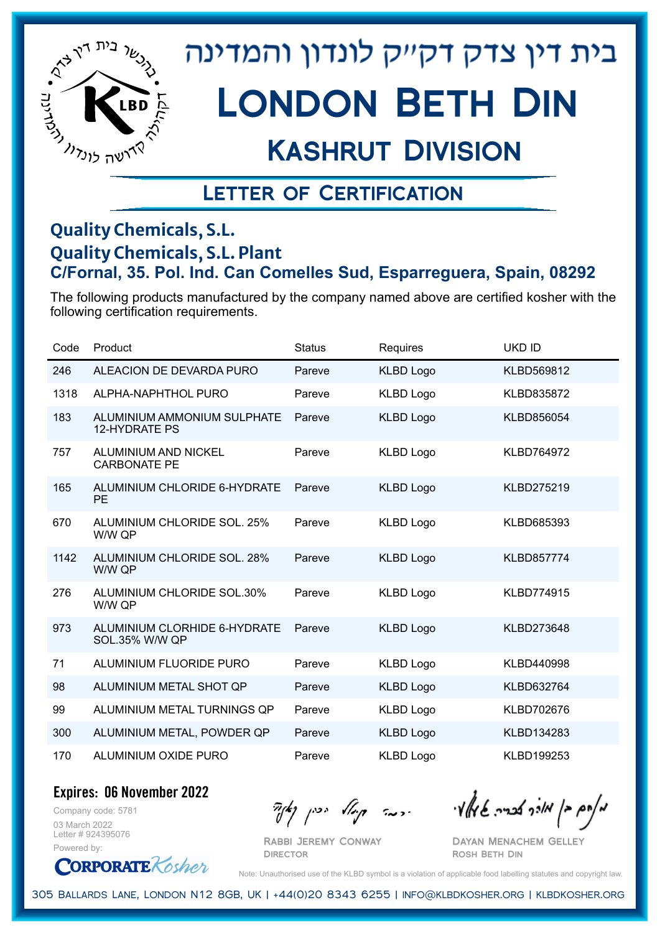

# London Beth Din

### Kashrut Division

### Letter of Certification

#### **Quality Chemicals, S.L. Quality Chemicals, S.L. Plant C/Fornal, 35. Pol. Ind. Can Comelles Sud, Esparreguera, Spain, 08292**

The following products manufactured by the company named above are certified kosher with the following certification requirements.

| Code | Product                                               | <b>Status</b> | Requires         | <b>UKD ID</b>     |
|------|-------------------------------------------------------|---------------|------------------|-------------------|
| 246  | ALEACION DE DEVARDA PURO                              | Pareve        | <b>KLBD Logo</b> | KLBD569812        |
| 1318 | ALPHA-NAPHTHOL PURO                                   | Pareve        | <b>KLBD Logo</b> | KLBD835872        |
| 183  | ALUMINIUM AMMONIUM SULPHATE<br><b>12-HYDRATE PS</b>   | Pareve        | <b>KLBD Logo</b> | KLBD856054        |
| 757  | ALUMINIUM AND NICKEL<br><b>CARBONATE PE</b>           | Pareve        | <b>KLBD Logo</b> | <b>KLBD764972</b> |
| 165  | ALUMINIUM CHLORIDE 6-HYDRATE<br><b>PE</b>             | Pareve        | <b>KLBD Logo</b> | KLBD275219        |
| 670  | ALUMINIUM CHLORIDE SOL. 25%<br>W/W QP                 | Pareve        | <b>KLBD Logo</b> | KLBD685393        |
| 1142 | <b>ALUMINIUM CHLORIDE SOL. 28%</b><br>W/W QP          | Pareve        | <b>KLBD Logo</b> | <b>KLBD857774</b> |
| 276  | <b>ALUMINIUM CHLORIDE SOL.30%</b><br>W/W QP           | Pareve        | <b>KLBD Logo</b> | <b>KLBD774915</b> |
| 973  | ALUMINIUM CLORHIDE 6-HYDRATE<br><b>SOL.35% W/W QP</b> | Pareve        | <b>KLBD Logo</b> | KLBD273648        |
| 71   | ALUMINIUM FLUORIDE PURO                               | Pareve        | <b>KLBD Logo</b> | KLBD440998        |
| 98   | ALUMINIUM METAL SHOT QP                               | Pareve        | <b>KLBD Logo</b> | KLBD632764        |
| 99   | ALUMINIUM METAL TURNINGS QP                           | Pareve        | <b>KLBD Logo</b> | KLBD702676        |
| 300  | ALUMINIUM METAL, POWDER QP                            | Pareve        | <b>KLBD Logo</b> | KLBD134283        |
| 170  | ALUMINIUM OXIDE PURO                                  | Pareve        | <b>KLBD Logo</b> | KLBD199253        |

**Expires: 06 November 2022**

Company code: 5781 03 March 2022 Letter # 924395076 Powered by:

**CORPORATE** Rosher

Rabbi Jeremy Conway **DIRECTOR** 

 $\partial_{\eta}^{A}(\theta)$  and  $\partial_{\eta}^{A}(\theta)$  and  $\partial_{\eta}^{A}(\theta)$  and  $\partial_{\eta}^{A}(\theta)$ 

Dayan Menachem Gelley Rosh Beth Din

Note: Unauthorised use of the KLBD symbol is a violation of applicable food labelling statutes and copyright law.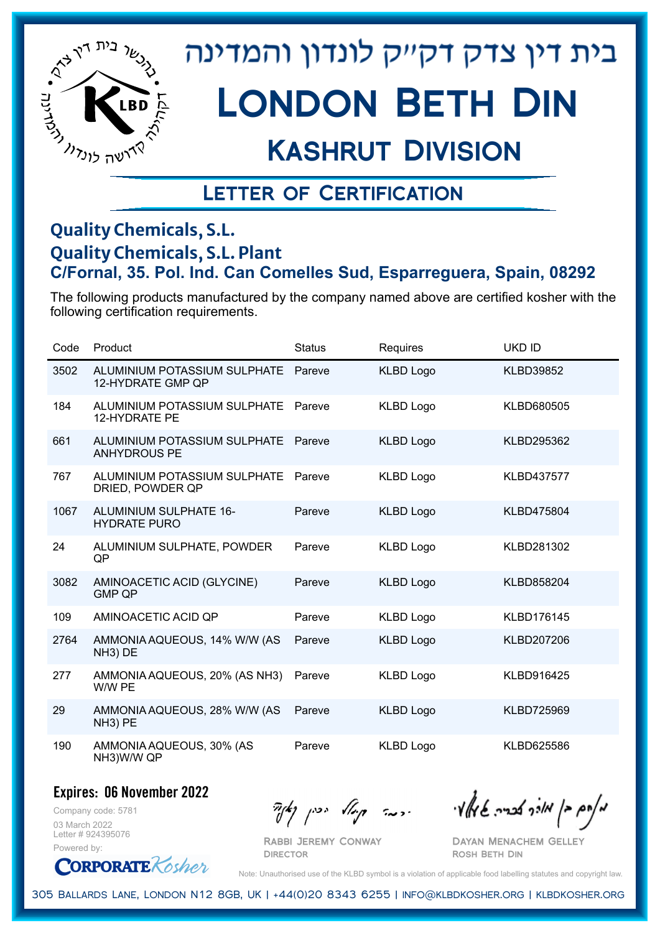

# London Beth Din

## Kashrut Division

### Letter of Certification

#### **Quality Chemicals, S.L. Quality Chemicals, S.L. Plant C/Fornal, 35. Pol. Ind. Can Comelles Sud, Esparreguera, Spain, 08292**

The following products manufactured by the company named above are certified kosher with the following certification requirements.

| Code | Product                                              | <b>Status</b> | Requires         | <b>UKD ID</b>     |
|------|------------------------------------------------------|---------------|------------------|-------------------|
| 3502 | ALUMINIUM POTASSIUM SULPHATE<br>12-HYDRATE GMP QP    | Pareve        | <b>KLBD Logo</b> | <b>KLBD39852</b>  |
| 184  | ALUMINIUM POTASSIUM SULPHATE<br><b>12-HYDRATE PE</b> | Pareve        | <b>KLBD Logo</b> | KLBD680505        |
| 661  | ALUMINIUM POTASSIUM SULPHATE<br><b>ANHYDROUS PE</b>  | Pareve        | <b>KLBD Logo</b> | KLBD295362        |
| 767  | ALUMINIUM POTASSIUM SULPHATE<br>DRIED, POWDER QP     | Pareve        | <b>KLBD Logo</b> | <b>KLBD437577</b> |
| 1067 | ALUMINIUM SULPHATE 16-<br><b>HYDRATE PURO</b>        | Pareve        | <b>KLBD Logo</b> | KLBD475804        |
| 24   | ALUMINIUM SULPHATE, POWDER<br>QP                     | Pareve        | <b>KLBD Logo</b> | KLBD281302        |
| 3082 | AMINOACETIC ACID (GLYCINE)<br><b>GMP QP</b>          | Pareve        | <b>KLBD Logo</b> | KLBD858204        |
| 109  | AMINOACETIC ACID QP                                  | Pareve        | <b>KLBD Logo</b> | KLBD176145        |
| 2764 | AMMONIA AQUEOUS, 14% W/W (AS<br>NH <sub>3</sub> ) DE | Pareve        | <b>KLBD Logo</b> | KLBD207206        |
| 277  | AMMONIA AQUEOUS, 20% (AS NH3)<br>W/W PE              | Pareve        | <b>KLBD Logo</b> | KLBD916425        |
| 29   | AMMONIA AQUEOUS, 28% W/W (AS<br>NH <sub>3</sub> ) PE | Pareve        | <b>KLBD Logo</b> | KLBD725969        |
| 190  | AMMONIA AQUEOUS, 30% (AS<br>NH3)W/W QP               | Pareve        | <b>KLBD Logo</b> | KLBD625586        |

#### **Expires: 06 November 2022**

Company code: 5781 03 March 2022 Letter # 924395076 Powered by:

Rabbi Jeremy Conway

**DIRECTOR** 

 $\partial_{\eta}^{A}(\theta)$  and  $\partial_{\eta}^{A}(\theta)$  and  $\partial_{\eta}^{A}(\theta)$  and  $\partial_{\eta}^{A}(\theta)$ 

Dayan Menachem Gelley Rosh Beth Din

**CORPORATE** Rosher

Note: Unauthorised use of the KLBD symbol is a violation of applicable food labelling statutes and copyright law.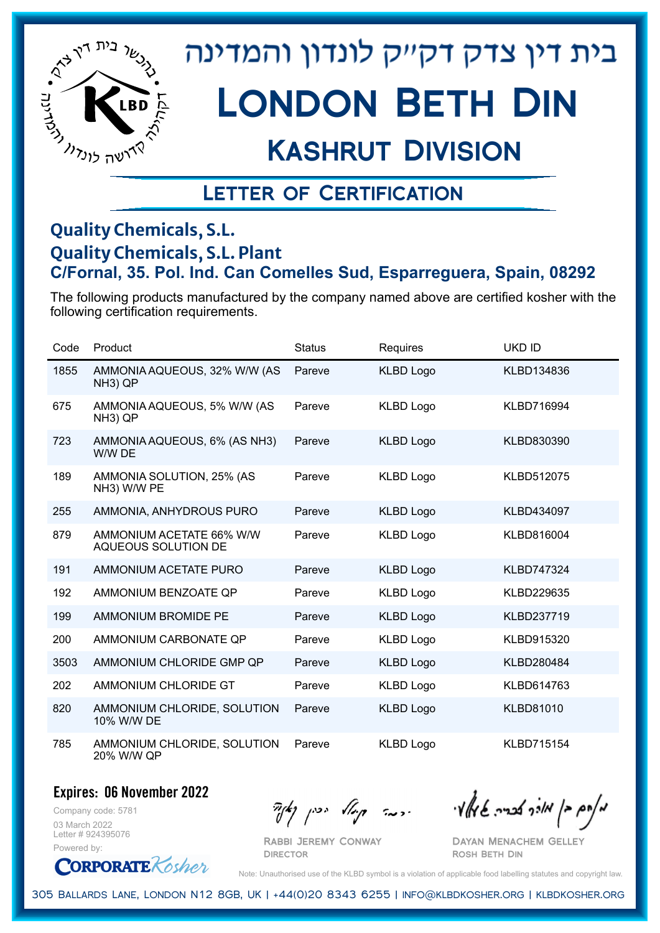

# London Beth Din

## Kashrut Division

### Letter of Certification

#### **Quality Chemicals, S.L. Quality Chemicals, S.L. Plant C/Fornal, 35. Pol. Ind. Can Comelles Sud, Esparreguera, Spain, 08292**

The following products manufactured by the company named above are certified kosher with the following certification requirements.

| Code | Product                                              | <b>Status</b> | Requires         | <b>UKD ID</b>     |
|------|------------------------------------------------------|---------------|------------------|-------------------|
| 1855 | AMMONIA AQUEOUS, 32% W/W (AS<br>NH <sub>3</sub> ) QP | Pareve        | <b>KLBD Logo</b> | KLBD134836        |
| 675  | AMMONIA AQUEOUS, 5% W/W (AS<br>NH <sub>3</sub> ) QP  | Pareve        | <b>KLBD Logo</b> | KLBD716994        |
| 723  | AMMONIA AQUEOUS, 6% (AS NH3)<br>W/W DE               | Pareve        | <b>KLBD Logo</b> | KLBD830390        |
| 189  | AMMONIA SOLUTION, 25% (AS<br>NH3) W/W PE             | Pareve        | <b>KLBD Logo</b> | <b>KLBD512075</b> |
| 255  | AMMONIA, ANHYDROUS PURO                              | Pareve        | <b>KLBD Logo</b> | KLBD434097        |
| 879  | AMMONIUM ACETATE 66% W/W<br>AQUEOUS SOLUTION DE      | Pareve        | <b>KLBD Logo</b> | KLBD816004        |
| 191  | AMMONIUM ACETATE PURO                                | Pareve        | <b>KLBD Logo</b> | <b>KLBD747324</b> |
| 192  | AMMONIUM BENZOATE QP                                 | Pareve        | <b>KLBD Logo</b> | KLBD229635        |
| 199  | <b>AMMONIUM BROMIDE PE</b>                           | Pareve        | <b>KLBD Logo</b> | KLBD237719        |
| 200  | AMMONIUM CARBONATE QP                                | Pareve        | <b>KLBD Logo</b> | KLBD915320        |
| 3503 | AMMONIUM CHLORIDE GMP QP                             | Pareve        | <b>KLBD Logo</b> | KLBD280484        |
| 202  | AMMONIUM CHLORIDE GT                                 | Pareve        | <b>KLBD Logo</b> | KLBD614763        |
| 820  | AMMONIUM CHLORIDE, SOLUTION<br>10% W/W DE            | Pareve        | <b>KLBD Logo</b> | <b>KLBD81010</b>  |
| 785  | AMMONIUM CHLORIDE, SOLUTION<br>20% W/W QP            | Pareve        | <b>KLBD Logo</b> | <b>KLBD715154</b> |

#### **Expires: 06 November 2022**

Company code: 5781 03 March 2022 Letter # 924395076 Powered by:

**CORPORATE** Rosher

מאוס בן מורך אבריה שיואל וי<br>מאוס בן מורך אבריה שיואל וי

Dayan Menachem Gelley Rosh Beth Din

Note: Unauthorised use of the KLBD symbol is a violation of applicable food labelling statutes and copyright law.

305 Ballards Lane, London N12 8GB, UK | +44(0)20 8343 6255 | info@klbdkosher.org | klbdkosher.org

Rabbi Jeremy Conway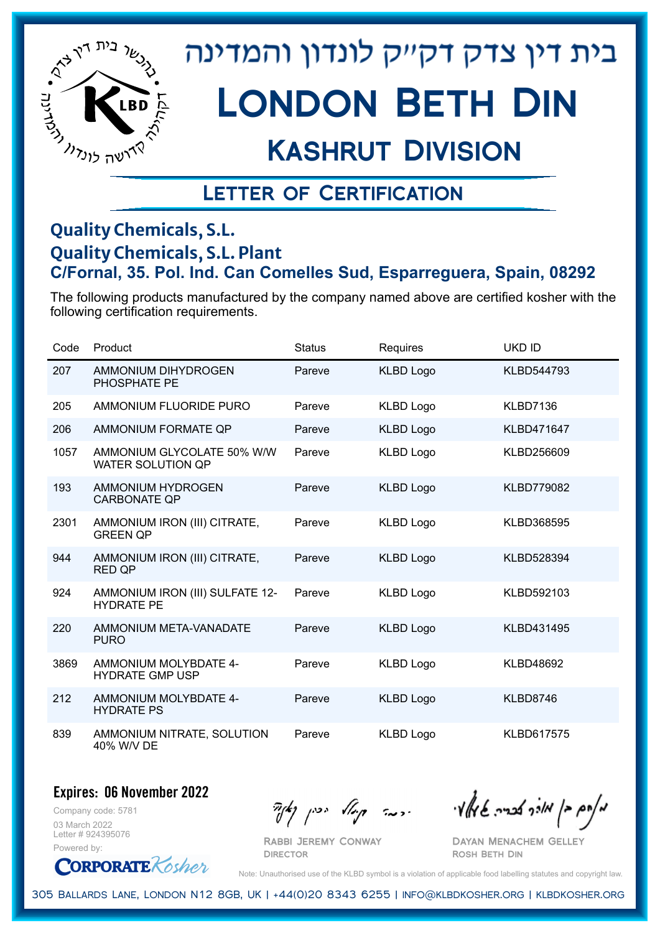

# London Beth Din

## Kashrut Division

### Letter of Certification

#### **Quality Chemicals, S.L. Quality Chemicals, S.L. Plant C/Fornal, 35. Pol. Ind. Can Comelles Sud, Esparreguera, Spain, 08292**

The following products manufactured by the company named above are certified kosher with the following certification requirements.

| Code | Product                                                | <b>Status</b> | Requires         | <b>UKD ID</b>     |
|------|--------------------------------------------------------|---------------|------------------|-------------------|
| 207  | AMMONIUM DIHYDROGEN<br>PHOSPHATE PE                    | Pareve        | <b>KLBD Logo</b> | KLBD544793        |
| 205  | AMMONIUM FLUORIDE PURO                                 | Pareve        | <b>KLBD Logo</b> | KLBD7136          |
| 206  | AMMONIUM FORMATE QP                                    | Pareve        | <b>KLBD Logo</b> | <b>KLBD471647</b> |
| 1057 | AMMONIUM GLYCOLATE 50% W/W<br><b>WATER SOLUTION QP</b> | Pareve        | <b>KLBD Logo</b> | KLBD256609        |
| 193  | AMMONIUM HYDROGEN<br><b>CARBONATE QP</b>               | Pareve        | <b>KLBD Logo</b> | <b>KLBD779082</b> |
| 2301 | AMMONIUM IRON (III) CITRATE,<br><b>GREEN QP</b>        | Pareve        | <b>KLBD Logo</b> | KLBD368595        |
| 944  | AMMONIUM IRON (III) CITRATE,<br><b>RED QP</b>          | Pareve        | <b>KLBD Logo</b> | KLBD528394        |
| 924  | AMMONIUM IRON (III) SULFATE 12-<br><b>HYDRATE PE</b>   | Pareve        | <b>KLBD Logo</b> | KLBD592103        |
| 220  | AMMONIUM META-VANADATE<br><b>PURO</b>                  | Pareve        | <b>KLBD Logo</b> | KLBD431495        |
| 3869 | AMMONIUM MOLYBDATE 4-<br><b>HYDRATE GMP USP</b>        | Pareve        | <b>KLBD Logo</b> | <b>KLBD48692</b>  |
| 212  | AMMONIUM MOLYBDATE 4-<br><b>HYDRATE PS</b>             | Pareve        | <b>KLBD Logo</b> | KLBD8746          |
| 839  | AMMONIUM NITRATE, SOLUTION<br>40% W/V DE               | Pareve        | <b>KLBD Logo</b> | <b>KLBD617575</b> |

#### **Expires: 06 November 2022**

Company code: 5781 03 March 2022 Letter # 924395076 Powered by:

**CORPORATE** Rosher

 $\partial_{\eta}^{A}(\theta)$  and  $\partial_{\eta}^{A}(\theta)$  and  $\partial_{\eta}^{A}(\theta)$  and  $\partial_{\eta}^{A}(\theta)$ 

Dayan Menachem Gelley Rosh Beth Din

Note: Unauthorised use of the KLBD symbol is a violation of applicable food labelling statutes and copyright law.

305 Ballards Lane, London N12 8GB, UK | +44(0)20 8343 6255 | info@klbdkosher.org | klbdkosher.org

Rabbi Jeremy Conway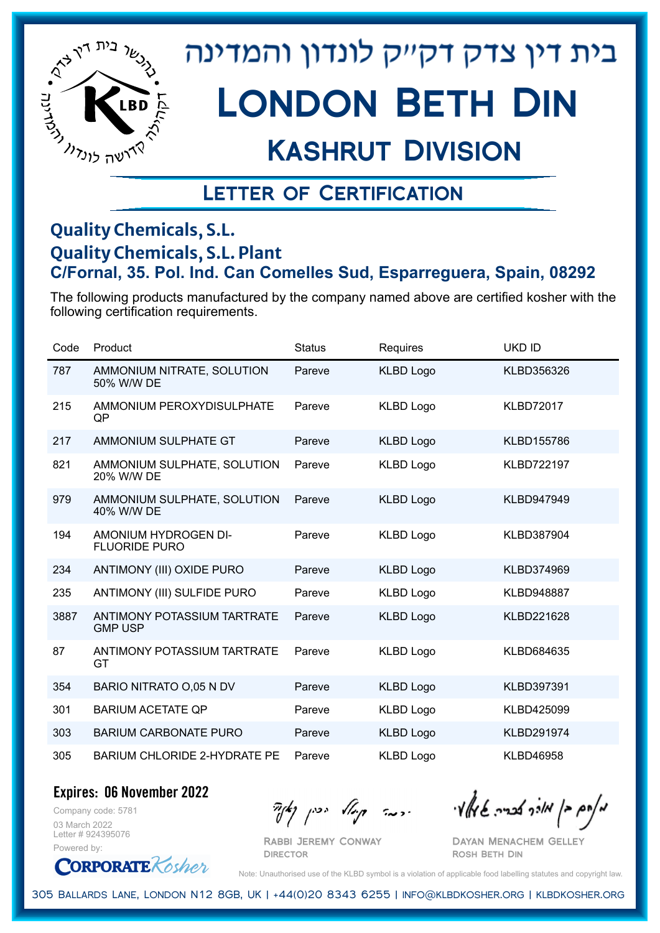

# London Beth Din

## Kashrut Division

### Letter of Certification

#### **Quality Chemicals, S.L. Quality Chemicals, S.L. Plant C/Fornal, 35. Pol. Ind. Can Comelles Sud, Esparreguera, Spain, 08292**

The following products manufactured by the company named above are certified kosher with the following certification requirements.

| Code | Product                                              | <b>Status</b> | Requires         | <b>UKD ID</b>     |
|------|------------------------------------------------------|---------------|------------------|-------------------|
| 787  | AMMONIUM NITRATE, SOLUTION<br>50% W/W DE             | Pareve        | <b>KLBD Logo</b> | KLBD356326        |
| 215  | AMMONIUM PEROXYDISULPHATE<br>QP                      | Pareve        | <b>KLBD Logo</b> | <b>KLBD72017</b>  |
| 217  | AMMONIUM SULPHATE GT                                 | Pareve        | <b>KLBD Logo</b> | KLBD155786        |
| 821  | AMMONIUM SULPHATE, SOLUTION<br>20% W/W DE            | Pareve        | <b>KLBD Logo</b> | <b>KLBD722197</b> |
| 979  | AMMONIUM SULPHATE, SOLUTION<br>40% W/W DE            | Pareve        | <b>KLBD Logo</b> | <b>KLBD947949</b> |
| 194  | AMONIUM HYDROGEN DI-<br><b>FLUORIDE PURO</b>         | Pareve        | <b>KLBD Logo</b> | KLBD387904        |
| 234  | ANTIMONY (III) OXIDE PURO                            | Pareve        | <b>KLBD Logo</b> | KLBD374969        |
| 235  | <b>ANTIMONY (III) SULFIDE PURO</b>                   | Pareve        | <b>KLBD Logo</b> | <b>KLBD948887</b> |
| 3887 | <b>ANTIMONY POTASSIUM TARTRATE</b><br><b>GMP USP</b> | Pareve        | <b>KLBD Logo</b> | KLBD221628        |
| 87   | <b>ANTIMONY POTASSIUM TARTRATE</b><br>GT             | Pareve        | <b>KLBD Logo</b> | KLBD684635        |
| 354  | BARIO NITRATO O,05 N DV                              | Pareve        | <b>KLBD Logo</b> | KLBD397391        |
| 301  | <b>BARIUM ACETATE QP</b>                             | Pareve        | <b>KLBD Logo</b> | KLBD425099        |
| 303  | <b>BARIUM CARBONATE PURO</b>                         | Pareve        | <b>KLBD Logo</b> | <b>KLBD291974</b> |
| 305  | <b>BARIUM CHLORIDE 2-HYDRATE PE</b>                  | Pareve        | <b>KLBD Logo</b> | <b>KLBD46958</b>  |

**Expires: 06 November 2022**

Company code: 5781 03 March 2022 Letter # 924395076 Powered by:

 $\partial_{\eta}^{A}(\theta)$  and  $\partial_{\eta}^{A}(\theta)$  and  $\partial_{\eta}^{A}(\theta)$  and  $\partial_{\eta}^{A}(\theta)$ 

Rabbi Jeremy Conway **DIRECTOR** 

Dayan Menachem Gelley Rosh Beth Din

**CORPORATE** Rosher Note: Unauthorised use of the KLBD symbol is a violation of applicable food labelling statutes and copyright law.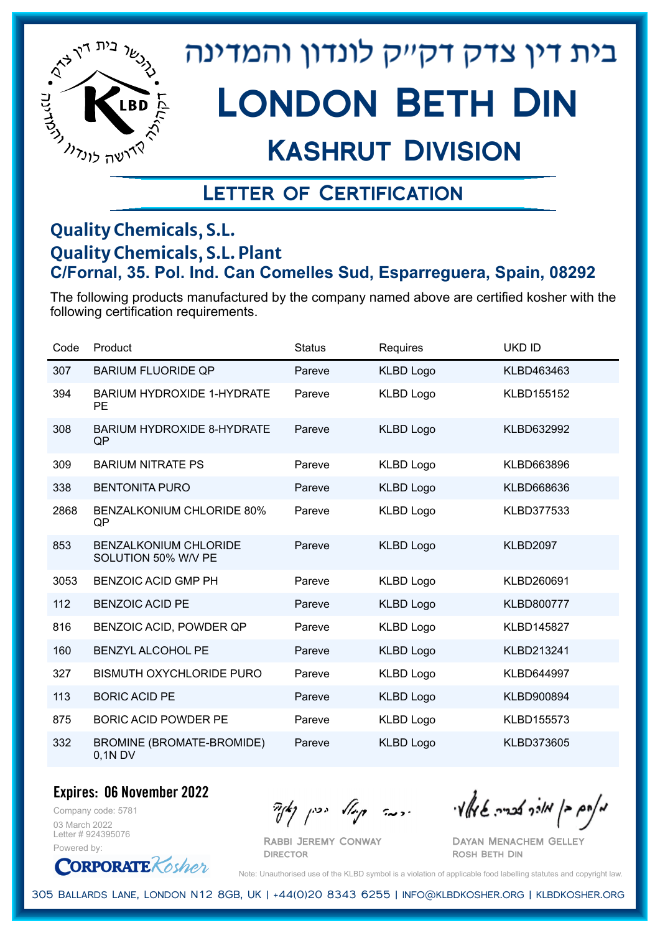

## Kashrut Division

### Letter of Certification

#### **Quality Chemicals, S.L. Quality Chemicals, S.L. Plant C/Fornal, 35. Pol. Ind. Can Comelles Sud, Esparreguera, Spain, 08292**

The following products manufactured by the company named above are certified kosher with the following certification requirements.

| Code | Product                                             | <b>Status</b> | Requires         | <b>UKD ID</b>     |
|------|-----------------------------------------------------|---------------|------------------|-------------------|
| 307  | <b>BARIUM FLUORIDE QP</b>                           | Pareve        | <b>KLBD Logo</b> | KLBD463463        |
| 394  | <b>BARIUM HYDROXIDE 1-HYDRATE</b><br><b>PE</b>      | Pareve        | <b>KLBD Logo</b> | KLBD155152        |
| 308  | <b>BARIUM HYDROXIDE 8-HYDRATE</b><br>QP             | Pareve        | <b>KLBD Logo</b> | KLBD632992        |
| 309  | <b>BARIUM NITRATE PS</b>                            | Pareve        | <b>KLBD Logo</b> | KLBD663896        |
| 338  | <b>BENTONITA PURO</b>                               | Pareve        | <b>KLBD Logo</b> | KLBD668636        |
| 2868 | <b>BENZALKONIUM CHLORIDE 80%</b><br>QP              | Pareve        | <b>KLBD Logo</b> | KLBD377533        |
| 853  | <b>BENZALKONIUM CHLORIDE</b><br>SOLUTION 50% W/V PE | Pareve        | <b>KLBD Logo</b> | <b>KLBD2097</b>   |
| 3053 | <b>BENZOIC ACID GMP PH</b>                          | Pareve        | <b>KLBD Logo</b> | KLBD260691        |
| 112  | <b>BENZOIC ACID PE</b>                              | Pareve        | <b>KLBD Logo</b> | KLBD800777        |
| 816  | BENZOIC ACID, POWDER QP                             | Pareve        | KLBD Logo        | <b>KLBD145827</b> |
| 160  | BENZYL ALCOHOL PE                                   | Pareve        | <b>KLBD Logo</b> | KLBD213241        |
| 327  | <b>BISMUTH OXYCHLORIDE PURO</b>                     | Pareve        | KLBD Logo        | KLBD644997        |
| 113  | <b>BORIC ACID PE</b>                                | Pareve        | <b>KLBD Logo</b> | KLBD900894        |
| 875  | <b>BORIC ACID POWDER PE</b>                         | Pareve        | <b>KLBD Logo</b> | KLBD155573        |
| 332  | BROMINE (BROMATE-BROMIDE)<br>$0,1N$ DV              | Pareve        | <b>KLBD Logo</b> | KLBD373605        |

**Expires: 06 November 2022**

Company code: 5781 03 March 2022 Letter # 924395076 Powered by:

**CORPORATE** Rosher

Rabbi Jeremy Conway

 $\frac{1}{2}$ אלוק אולך לבריה שיאלץי הכבר קוואל יכין קאיר

Dayan Menachem Gelley Rosh Beth Din

Note: Unauthorised use of the KLBD symbol is a violation of applicable food labelling statutes and copyright law.

305 Ballards Lane, London N12 8GB, UK | +44(0)20 8343 6255 | info@klbdkosher.org | klbdkosher.org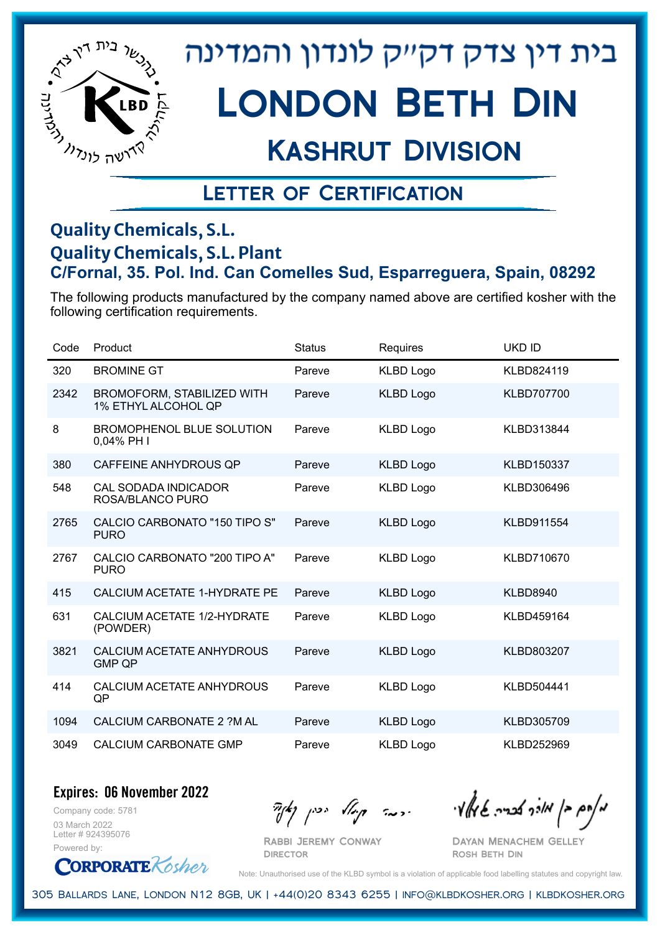

# London Beth Din

### Kashrut Division

### Letter of Certification

#### **Quality Chemicals, S.L. Quality Chemicals, S.L. Plant C/Fornal, 35. Pol. Ind. Can Comelles Sud, Esparreguera, Spain, 08292**

The following products manufactured by the company named above are certified kosher with the following certification requirements.

| Code | Product                                                  | <b>Status</b> | Requires         | <b>UKD ID</b>     |
|------|----------------------------------------------------------|---------------|------------------|-------------------|
| 320  | <b>BROMINE GT</b>                                        | Pareve        | <b>KLBD Logo</b> | KLBD824119        |
| 2342 | <b>BROMOFORM, STABILIZED WITH</b><br>1% ETHYL ALCOHOL QP | Pareve        | <b>KLBD Logo</b> | <b>KLBD707700</b> |
| 8    | <b>BROMOPHENOL BLUE SOLUTION</b><br>0,04% PH I           | Pareve        | <b>KLBD Logo</b> | KLBD313844        |
| 380  | <b>CAFFEINE ANHYDROUS QP</b>                             | Pareve        | <b>KLBD Logo</b> | KLBD150337        |
| 548  | <b>CAL SODADA INDICADOR</b><br>ROSA/BLANCO PURO          | Pareve        | <b>KLBD Logo</b> | KLBD306496        |
| 2765 | <b>CALCIO CARBONATO "150 TIPO S"</b><br><b>PURO</b>      | Pareve        | <b>KLBD Logo</b> | KLBD911554        |
| 2767 | CALCIO CARBONATO "200 TIPO A"<br><b>PURO</b>             | Pareve        | <b>KLBD Logo</b> | KLBD710670        |
| 415  | CALCIUM ACETATE 1-HYDRATE PE                             | Pareve        | <b>KLBD Logo</b> | <b>KLBD8940</b>   |
| 631  | CALCIUM ACETATE 1/2-HYDRATE<br>(POWDER)                  | Pareve        | <b>KLBD Logo</b> | KLBD459164        |
| 3821 | <b>CALCIUM ACETATE ANHYDROUS</b><br><b>GMP QP</b>        | Pareve        | <b>KLBD Logo</b> | KLBD803207        |
| 414  | CALCIUM ACETATE ANHYDROUS<br>QP                          | Pareve        | <b>KLBD Logo</b> | KLBD504441        |
| 1094 | CALCIUM CARBONATE 2 ?M AL                                | Pareve        | <b>KLBD Logo</b> | KLBD305709        |
| 3049 | <b>CALCIUM CARBONATE GMP</b>                             | Pareve        | <b>KLBD Logo</b> | KLBD252969        |

**Expires: 06 November 2022**

Company code: 5781 03 March 2022 Letter # 924395076 Powered by:

**CORPORATE** Rosher

 $\partial_{\eta}^{A}(\theta)$  and  $\partial_{\eta}^{A}(\theta)$  and  $\partial_{\eta}^{A}(\theta)$  and  $\partial_{\eta}^{A}(\theta)$ 

Rabbi Jeremy Conway **DIRECTOR** 

Dayan Menachem Gelley Rosh Beth Din

Note: Unauthorised use of the KLBD symbol is a violation of applicable food labelling statutes and copyright law.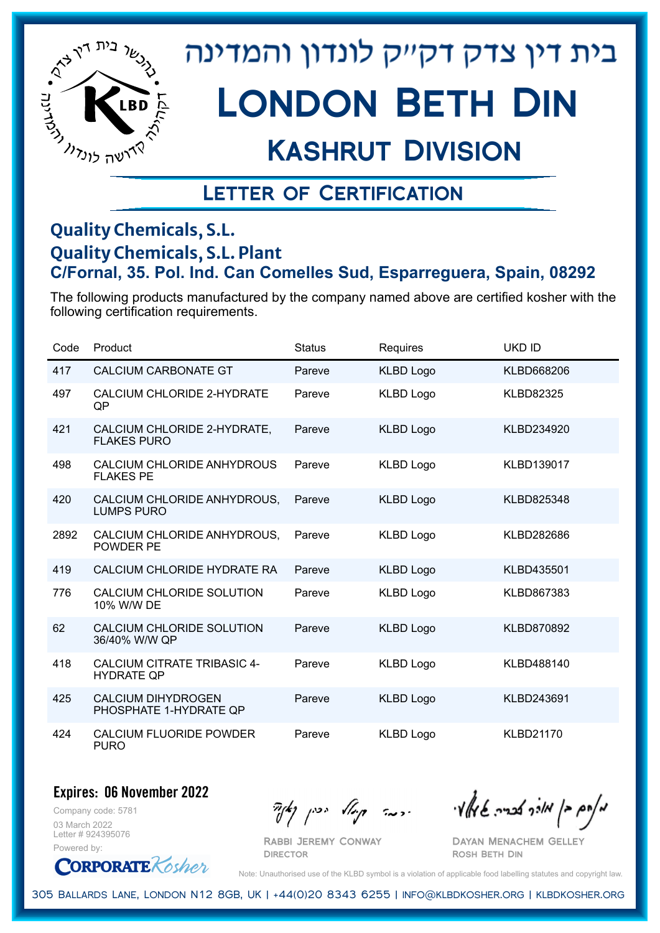

# London Beth Din

### Kashrut Division

### Letter of Certification

#### **Quality Chemicals, S.L. Quality Chemicals, S.L. Plant C/Fornal, 35. Pol. Ind. Can Comelles Sud, Esparreguera, Spain, 08292**

The following products manufactured by the company named above are certified kosher with the following certification requirements.

| Code | Product                                                 | <b>Status</b> | Requires         | <b>UKD ID</b>    |
|------|---------------------------------------------------------|---------------|------------------|------------------|
| 417  | <b>CALCIUM CARBONATE GT</b>                             | Pareve        | <b>KLBD Logo</b> | KLBD668206       |
| 497  | CALCIUM CHLORIDE 2-HYDRATE<br>QP                        | Pareve        | <b>KLBD Logo</b> | <b>KLBD82325</b> |
| 421  | CALCIUM CHLORIDE 2-HYDRATE,<br><b>FLAKES PURO</b>       | Pareve        | <b>KLBD Logo</b> | KLBD234920       |
| 498  | CALCIUM CHLORIDE ANHYDROUS<br><b>FLAKES PE</b>          | Pareve        | <b>KLBD Logo</b> | KLBD139017       |
| 420  | CALCIUM CHLORIDE ANHYDROUS,<br><b>LUMPS PURO</b>        | Pareve        | <b>KLBD Logo</b> | KLBD825348       |
| 2892 | CALCIUM CHLORIDE ANHYDROUS,<br><b>POWDER PE</b>         | Pareve        | <b>KLBD Logo</b> | KLBD282686       |
| 419  | CALCIUM CHLORIDE HYDRATE RA                             | Pareve        | <b>KLBD Logo</b> | KLBD435501       |
| 776  | CALCIUM CHLORIDE SOLUTION<br>10% W/W DE                 | Pareve        | <b>KLBD Logo</b> | KLBD867383       |
| 62   | CALCIUM CHLORIDE SOLUTION<br>36/40% W/W QP              | Pareve        | <b>KLBD Logo</b> | KLBD870892       |
| 418  | <b>CALCIUM CITRATE TRIBASIC 4-</b><br><b>HYDRATE QP</b> | Pareve        | <b>KLBD Logo</b> | KLBD488140       |
| 425  | <b>CALCIUM DIHYDROGEN</b><br>PHOSPHATE 1-HYDRATE QP     | Pareve        | <b>KLBD Logo</b> | KLBD243691       |
| 424  | <b>CALCIUM FLUORIDE POWDER</b><br><b>PURO</b>           | Pareve        | <b>KLBD Logo</b> | <b>KLBD21170</b> |

#### **Expires: 06 November 2022**

Company code: 5781 03 March 2022 Letter # 924395076 Powered by:

**CORPORATE** Rosher

מאוס בן מורך אבריה שיואל וי<br>מאוס בן מורך אבריה שיואל וי

Dayan Menachem Gelley Rosh Beth Din

Note: Unauthorised use of the KLBD symbol is a violation of applicable food labelling statutes and copyright law.

305 Ballards Lane, London N12 8GB, UK | +44(0)20 8343 6255 | info@klbdkosher.org | klbdkosher.org

Rabbi Jeremy Conway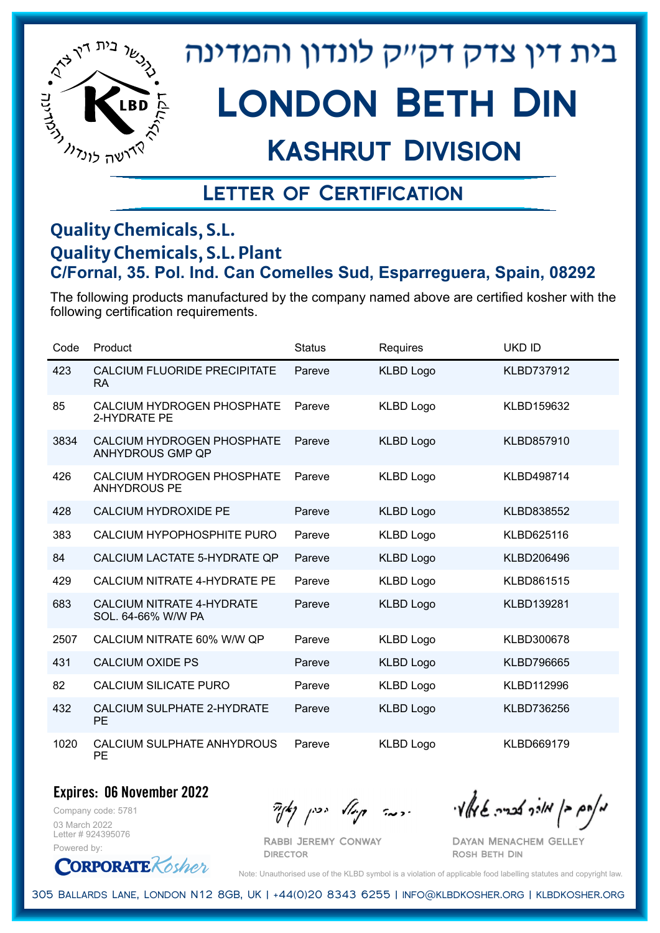

# London Beth Din

## Kashrut Division

### Letter of Certification

#### **Quality Chemicals, S.L. Quality Chemicals, S.L. Plant C/Fornal, 35. Pol. Ind. Can Comelles Sud, Esparreguera, Spain, 08292**

The following products manufactured by the company named above are certified kosher with the following certification requirements.

| Code | Product                                                  | <b>Status</b> | Requires         | <b>UKD ID</b>     |
|------|----------------------------------------------------------|---------------|------------------|-------------------|
| 423  | <b>CALCIUM FLUORIDE PRECIPITATE</b><br>RA.               | Pareve        | <b>KLBD Logo</b> | <b>KLBD737912</b> |
| 85   | CALCIUM HYDROGEN PHOSPHATE<br>2-HYDRATE PE               | Pareve        | <b>KLBD Logo</b> | KLBD159632        |
| 3834 | CALCIUM HYDROGEN PHOSPHATE<br><b>ANHYDROUS GMP QP</b>    | Pareve        | <b>KLBD Logo</b> | KLBD857910        |
| 426  | <b>CALCIUM HYDROGEN PHOSPHATE</b><br><b>ANHYDROUS PE</b> | Pareve        | <b>KLBD Logo</b> | KLBD498714        |
| 428  | <b>CALCIUM HYDROXIDE PE</b>                              | Pareve        | <b>KLBD Logo</b> | KLBD838552        |
| 383  | CALCIUM HYPOPHOSPHITE PURO                               | Pareve        | <b>KLBD Logo</b> | KLBD625116        |
| 84   | CALCIUM LACTATE 5-HYDRATE QP                             | Pareve        | <b>KLBD Logo</b> | KLBD206496        |
| 429  | CALCIUM NITRATE 4-HYDRATE PE                             | Pareve        | <b>KLBD Logo</b> | KLBD861515        |
| 683  | <b>CALCIUM NITRATE 4-HYDRATE</b><br>SOL. 64-66% W/W PA   | Pareve        | <b>KLBD Logo</b> | KLBD139281        |
| 2507 | CALCIUM NITRATE 60% W/W QP                               | Pareve        | <b>KLBD Logo</b> | KLBD300678        |
| 431  | <b>CALCIUM OXIDE PS</b>                                  | Pareve        | <b>KLBD Logo</b> | <b>KLBD796665</b> |
| 82   | CALCIUM SILICATE PURO                                    | Pareve        | <b>KLBD Logo</b> | KLBD112996        |
| 432  | CALCIUM SULPHATE 2-HYDRATE<br><b>PE</b>                  | Pareve        | <b>KLBD Logo</b> | KLBD736256        |
| 1020 | CALCIUM SULPHATE ANHYDROUS<br>PE                         | Pareve        | <b>KLBD Logo</b> | KLBD669179        |

#### **Expires: 06 November 2022**

Company code: 5781 03 March 2022 Letter # 924395076 Powered by:

**ORPORATE** Kosher

 $\partial_{\eta}^{A}(\theta)$  and  $\partial_{\eta}^{A}(\theta)$  and  $\partial_{\eta}^{A}(\theta)$  and  $\partial_{\eta}^{A}(\theta)$ 

Dayan Menachem Gelley Rosh Beth Din

Note: Unauthorised use of the KLBD symbol is a violation of applicable food labelling statutes and copyright law.

305 Ballards Lane, London N12 8GB, UK | +44(0)20 8343 6255 | info@klbdkosher.org | klbdkosher.org

Rabbi Jeremy Conway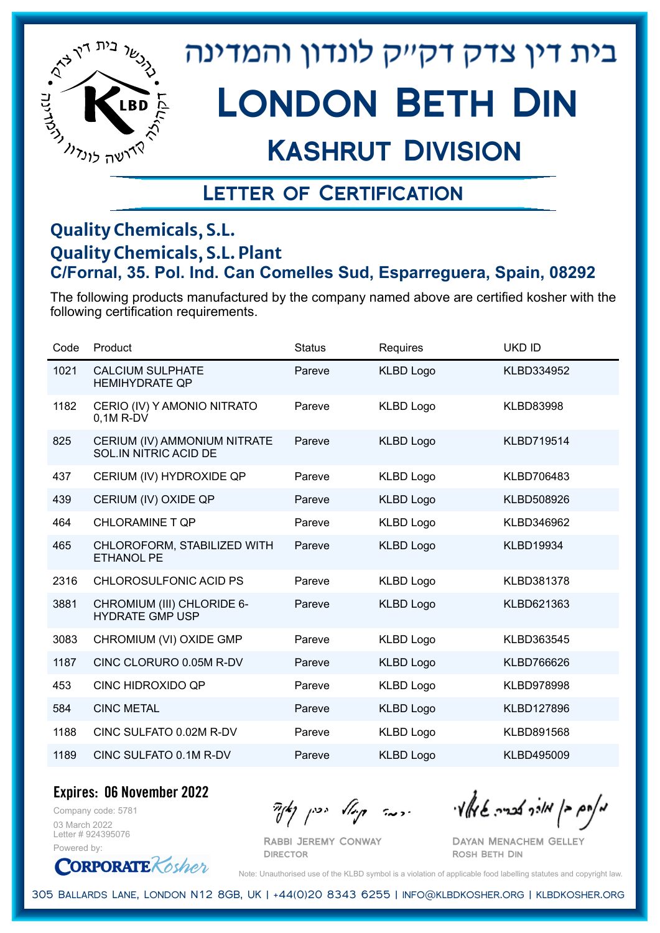

# London Beth Din

## Kashrut Division

### Letter of Certification

#### **Quality Chemicals, S.L. Quality Chemicals, S.L. Plant C/Fornal, 35. Pol. Ind. Can Comelles Sud, Esparreguera, Spain, 08292**

The following products manufactured by the company named above are certified kosher with the following certification requirements.

| Code | Product                                                      | <b>Status</b> | Requires         | <b>UKD ID</b>     |
|------|--------------------------------------------------------------|---------------|------------------|-------------------|
| 1021 | <b>CALCIUM SULPHATE</b><br><b>HEMIHYDRATE QP</b>             | Pareve        | <b>KLBD Logo</b> | KLBD334952        |
| 1182 | CERIO (IV) Y AMONIO NITRATO<br>$0.1M$ R-DV                   | Pareve        | <b>KLBD Logo</b> | <b>KLBD83998</b>  |
| 825  | CERIUM (IV) AMMONIUM NITRATE<br><b>SOL.IN NITRIC ACID DE</b> | Pareve        | <b>KLBD Logo</b> | <b>KLBD719514</b> |
| 437  | CERIUM (IV) HYDROXIDE QP                                     | Pareve        | <b>KLBD Logo</b> | KLBD706483        |
| 439  | CERIUM (IV) OXIDE QP                                         | Pareve        | <b>KLBD Logo</b> | KLBD508926        |
| 464  | <b>CHLORAMINE T QP</b>                                       | Pareve        | <b>KLBD Logo</b> | KLBD346962        |
| 465  | CHLOROFORM, STABILIZED WITH<br><b>ETHANOL PE</b>             | Pareve        | <b>KLBD Logo</b> | <b>KLBD19934</b>  |
| 2316 | CHLOROSULFONIC ACID PS                                       | Pareve        | <b>KLBD Logo</b> | KLBD381378        |
| 3881 | CHROMIUM (III) CHLORIDE 6-<br><b>HYDRATE GMP USP</b>         | Pareve        | <b>KLBD Logo</b> | KLBD621363        |
| 3083 | CHROMIUM (VI) OXIDE GMP                                      | Pareve        | <b>KLBD Logo</b> | KLBD363545        |
| 1187 | CINC CLORURO 0.05M R-DV                                      | Pareve        | <b>KLBD Logo</b> | KLBD766626        |
| 453  | CINC HIDROXIDO QP                                            | Pareve        | <b>KLBD Logo</b> | <b>KLBD978998</b> |
| 584  | <b>CINC METAL</b>                                            | Pareve        | <b>KLBD Logo</b> | <b>KLBD127896</b> |
| 1188 | CINC SULFATO 0.02M R-DV                                      | Pareve        | <b>KLBD Logo</b> | KLBD891568        |
| 1189 | CINC SULFATO 0.1M R-DV                                       | Pareve        | <b>KLBD Logo</b> | <b>KLBD495009</b> |

**Expires: 06 November 2022**

Company code: 5781 03 March 2022 Letter # 924395076 Powered by:

**CORPORATE** Kosher

Rabbi Jeremy Conway

**DIRECTOR** 

מאוס בן מוכך אבריה שמאי זי יו יו יודע ייכן נאדי

Dayan Menachem Gelley Rosh Beth Din

Note: Unauthorised use of the KLBD symbol is a violation of applicable food labelling statutes and copyright law.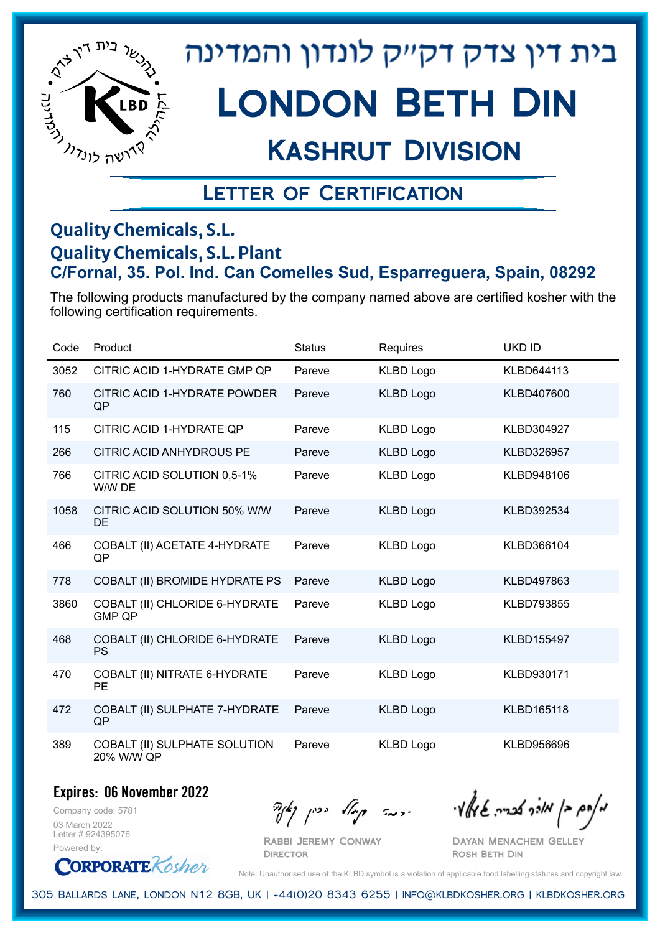

## Kashrut Division

### Letter of Certification

#### **Quality Chemicals, S.L. Quality Chemicals, S.L. Plant C/Fornal, 35. Pol. Ind. Can Comelles Sud, Esparreguera, Spain, 08292**

The following products manufactured by the company named above are certified kosher with the following certification requirements.

| Code | Product                                         | <b>Status</b> | Requires         | <b>UKD ID</b>     |
|------|-------------------------------------------------|---------------|------------------|-------------------|
| 3052 | CITRIC ACID 1-HYDRATE GMP QP                    | Pareve        | <b>KLBD Logo</b> | KLBD644113        |
| 760  | CITRIC ACID 1-HYDRATE POWDER<br>QP              | Pareve        | <b>KLBD Logo</b> | KLBD407600        |
| 115  | <b>CITRIC ACID 1-HYDRATE QP</b>                 | Pareve        | <b>KLBD Logo</b> | KLBD304927        |
| 266  | <b>CITRIC ACID ANHYDROUS PE</b>                 | Pareve        | <b>KLBD Logo</b> | KLBD326957        |
| 766  | CITRIC ACID SOLUTION 0,5-1%<br>W/W DE           | Pareve        | <b>KLBD Logo</b> | KLBD948106        |
| 1058 | CITRIC ACID SOLUTION 50% W/W<br>DE              | Pareve        | <b>KLBD Logo</b> | KLBD392534        |
| 466  | COBALT (II) ACETATE 4-HYDRATE<br>QP             | Pareve        | <b>KLBD Logo</b> | KLBD366104        |
| 778  | COBALT (II) BROMIDE HYDRATE PS                  | Pareve        | <b>KLBD Logo</b> | KLBD497863        |
| 3860 | COBALT (II) CHLORIDE 6-HYDRATE<br><b>GMP QP</b> | Pareve        | <b>KLBD Logo</b> | <b>KLBD793855</b> |
| 468  | COBALT (II) CHLORIDE 6-HYDRATE<br><b>PS</b>     | Pareve        | <b>KLBD Logo</b> | <b>KLBD155497</b> |
| 470  | COBALT (II) NITRATE 6-HYDRATE<br><b>PE</b>      | Pareve        | <b>KLBD Logo</b> | KLBD930171        |
| 472  | COBALT (II) SULPHATE 7-HYDRATE<br>QP            | Pareve        | <b>KLBD Logo</b> | <b>KLBD165118</b> |
| 389  | COBALT (II) SULPHATE SOLUTION<br>20% W/W QP     | Pareve        | <b>KLBD Logo</b> | KLBD956696        |

**Expires: 06 November 2022**

Company code: 5781 03 March 2022 Letter # 924395076 Powered by:

 $\partial_{\eta}^{A}(\theta)$  and  $\partial_{\eta}^{A}(\theta)$  and  $\partial_{\eta}^{A}(\theta)$  and  $\partial_{\eta}^{A}(\theta)$ 

Dayan Menachem Gelley Rosh Beth Din

**ORPORATE** Kosher

Note: Unauthorised use of the KLBD symbol is a violation of applicable food labelling statutes and copyright law.

305 Ballards Lane, London N12 8GB, UK | +44(0)20 8343 6255 | info@klbdkosher.org | klbdkosher.org

Rabbi Jeremy Conway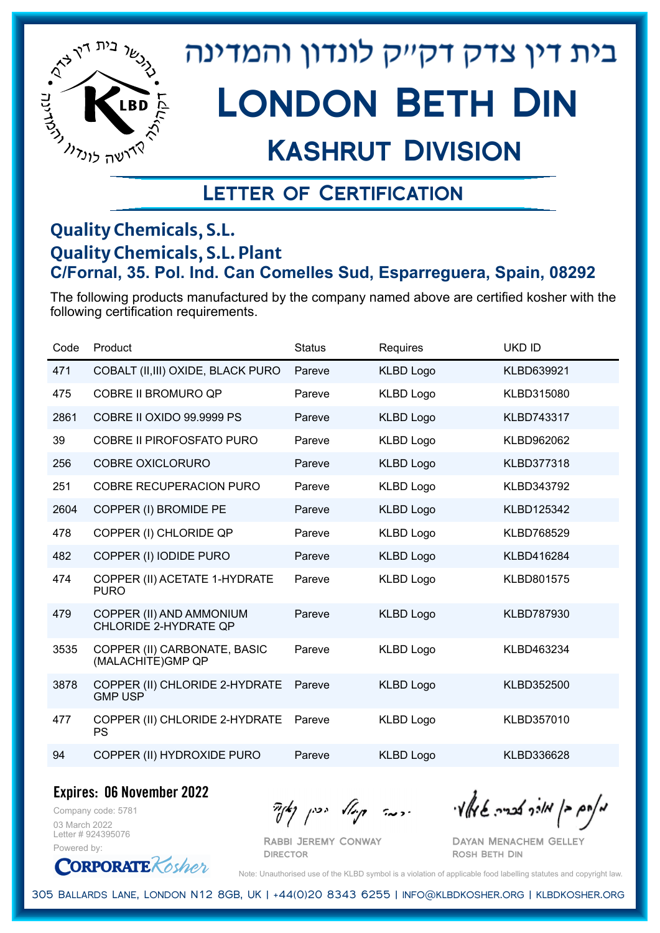

## Kashrut Division

### Letter of Certification

#### **Quality Chemicals, S.L. Quality Chemicals, S.L. Plant C/Fornal, 35. Pol. Ind. Can Comelles Sud, Esparreguera, Spain, 08292**

The following products manufactured by the company named above are certified kosher with the following certification requirements.

| Code | Product                                                  | <b>Status</b> | Requires         | <b>UKD ID</b>     |
|------|----------------------------------------------------------|---------------|------------------|-------------------|
| 471  | COBALT (II, III) OXIDE, BLACK PURO                       | Pareve        | <b>KLBD Logo</b> | KLBD639921        |
| 475  | <b>COBRE II BROMURO QP</b>                               | Pareve        | <b>KLBD Logo</b> | KLBD315080        |
| 2861 | COBRE II OXIDO 99.9999 PS                                | Pareve        | <b>KLBD Logo</b> | KLBD743317        |
| 39   | <b>COBRE II PIROFOSFATO PURO</b>                         | Pareve        | <b>KLBD Logo</b> | KLBD962062        |
| 256  | <b>COBRE OXICLORURO</b>                                  | Pareve        | <b>KLBD Logo</b> | KLBD377318        |
| 251  | <b>COBRE RECUPERACION PURO</b>                           | Pareve        | <b>KLBD Logo</b> | KLBD343792        |
| 2604 | COPPER (I) BROMIDE PE                                    | Pareve        | <b>KLBD Logo</b> | KLBD125342        |
| 478  | COPPER (I) CHLORIDE QP                                   | Pareve        | <b>KLBD Logo</b> | <b>KLBD768529</b> |
| 482  | COPPER (I) IODIDE PURO                                   | Pareve        | <b>KLBD Logo</b> | KLBD416284        |
| 474  | COPPER (II) ACETATE 1-HYDRATE<br><b>PURO</b>             | Pareve        | <b>KLBD Logo</b> | KLBD801575        |
| 479  | COPPER (II) AND AMMONIUM<br><b>CHLORIDE 2-HYDRATE QP</b> | Pareve        | <b>KLBD Logo</b> | KLBD787930        |
| 3535 | COPPER (II) CARBONATE, BASIC<br>(MALACHITE)GMP QP        | Pareve        | <b>KLBD Logo</b> | KLBD463234        |
| 3878 | COPPER (II) CHLORIDE 2-HYDRATE<br><b>GMP USP</b>         | Pareve        | <b>KLBD Logo</b> | KLBD352500        |
| 477  | COPPER (II) CHLORIDE 2-HYDRATE<br><b>PS</b>              | Pareve        | <b>KLBD Logo</b> | KLBD357010        |
| 94   | COPPER (II) HYDROXIDE PURO                               | Pareve        | <b>KLBD Logo</b> | KLBD336628        |

**Expires: 06 November 2022**

Company code: 5781 03 March 2022 Letter # 924395076 Powered by:

 $\partial_{\eta}^{A}(\theta)$  and  $\partial_{\eta}^{A}(\theta)$  and  $\partial_{\eta}^{A}(\theta)$  and  $\partial_{\eta}^{A}(\theta)$ 

Dayan Menachem Gelley Rosh Beth Din

**CORPORATE** Rosher

Note: Unauthorised use of the KLBD symbol is a violation of applicable food labelling statutes and copyright law.

305 Ballards Lane, London N12 8GB, UK | +44(0)20 8343 6255 | info@klbdkosher.org | klbdkosher.org

Rabbi Jeremy Conway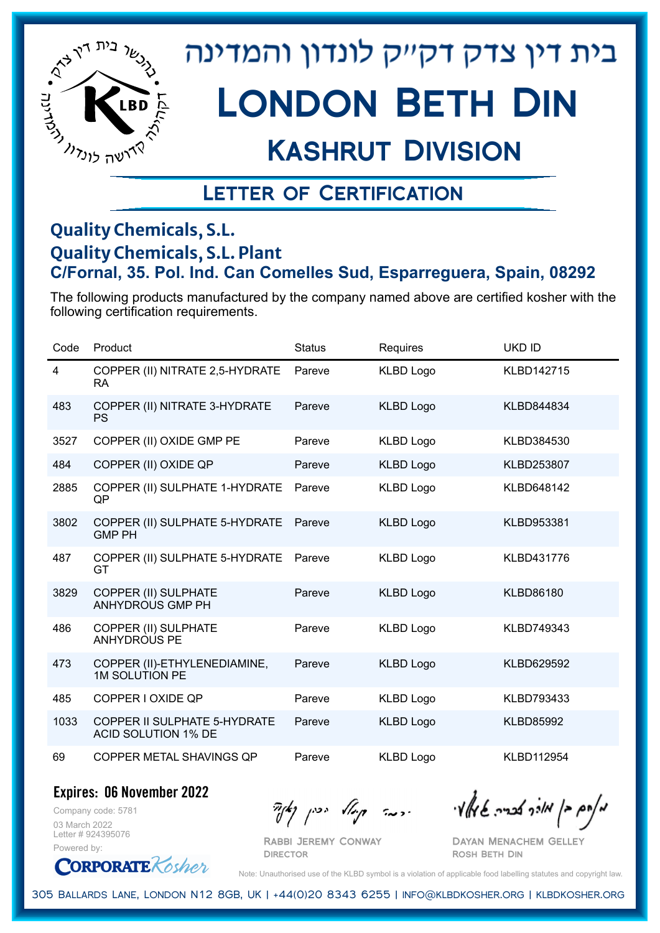

# London Beth Din

## Kashrut Division

### Letter of Certification

#### **Quality Chemicals, S.L. Quality Chemicals, S.L. Plant C/Fornal, 35. Pol. Ind. Can Comelles Sud, Esparreguera, Spain, 08292**

The following products manufactured by the company named above are certified kosher with the following certification requirements.

| Code | Product                                                    | <b>Status</b> | Requires         | <b>UKD ID</b>    |
|------|------------------------------------------------------------|---------------|------------------|------------------|
| 4    | COPPER (II) NITRATE 2,5-HYDRATE<br>RA.                     | Pareve        | <b>KLBD Logo</b> | KLBD142715       |
| 483  | COPPER (II) NITRATE 3-HYDRATE<br><b>PS</b>                 | Pareve        | <b>KLBD Logo</b> | KLBD844834       |
| 3527 | COPPER (II) OXIDE GMP PE                                   | Pareve        | <b>KLBD Logo</b> | KLBD384530       |
| 484  | COPPER (II) OXIDE QP                                       | Pareve        | <b>KLBD Logo</b> | KLBD253807       |
| 2885 | COPPER (II) SULPHATE 1-HYDRATE<br>QP                       | Pareve        | <b>KLBD Logo</b> | KLBD648142       |
| 3802 | COPPER (II) SULPHATE 5-HYDRATE<br><b>GMP PH</b>            | Pareve        | <b>KLBD Logo</b> | KLBD953381       |
| 487  | COPPER (II) SULPHATE 5-HYDRATE<br>GT                       | Pareve        | <b>KLBD Logo</b> | KLBD431776       |
| 3829 | <b>COPPER (II) SULPHATE</b><br><b>ANHYDROUS GMP PH</b>     | Pareve        | <b>KLBD Logo</b> | <b>KLBD86180</b> |
| 486  | COPPER (II) SULPHATE<br><b>ANHYDROUS PE</b>                | Pareve        | <b>KLBD Logo</b> | KLBD749343       |
| 473  | COPPER (II)-ETHYLENEDIAMINE,<br><b>1M SOLUTION PE</b>      | Pareve        | <b>KLBD Logo</b> | KLBD629592       |
| 485  | COPPER I OXIDE QP                                          | Pareve        | <b>KLBD Logo</b> | KLBD793433       |
| 1033 | COPPER II SULPHATE 5-HYDRATE<br><b>ACID SOLUTION 1% DE</b> | Pareve        | <b>KLBD Logo</b> | <b>KLBD85992</b> |
| 69   | COPPER METAL SHAVINGS QP                                   | Pareve        | <b>KLBD Logo</b> | KLBD112954       |

**Expires: 06 November 2022**

Company code: 5781 03 March 2022 Letter # 924395076 Powered by:

 $\partial_{\eta} \partial_{\eta}$   $\partial_{\eta} \partial_{\eta}$  and  $\partial_{\eta} \partial_{\eta} \partial_{\eta}$  and  $\partial_{\eta} \partial_{\eta} \partial_{\eta}$ 

Dayan Menachem Gelley Rosh Beth Din

**CORPORATE** Kosher

Note: Unauthorised use of the KLBD symbol is a violation of applicable food labelling statutes and copyright law.

305 Ballards Lane, London N12 8GB, UK | +44(0)20 8343 6255 | info@klbdkosher.org | klbdkosher.org

Rabbi Jeremy Conway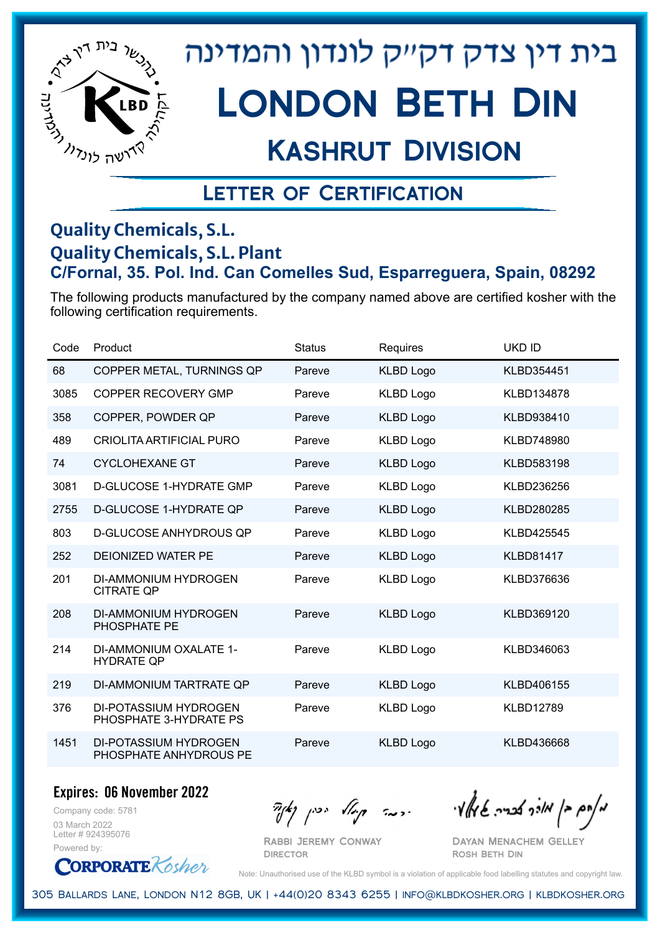

## Kashrut Division

### Letter of Certification

#### **Quality Chemicals, S.L. Quality Chemicals, S.L. Plant C/Fornal, 35. Pol. Ind. Can Comelles Sud, Esparreguera, Spain, 08292**

The following products manufactured by the company named above are certified kosher with the following certification requirements.

| Code | Product                                                | <b>Status</b> | Requires         | <b>UKD ID</b>    |
|------|--------------------------------------------------------|---------------|------------------|------------------|
| 68   | COPPER METAL, TURNINGS QP                              | Pareve        | <b>KLBD Logo</b> | KLBD354451       |
| 3085 | <b>COPPER RECOVERY GMP</b>                             | Pareve        | <b>KLBD Logo</b> | KLBD134878       |
| 358  | COPPER, POWDER QP                                      | Pareve        | <b>KLBD Logo</b> | KLBD938410       |
| 489  | <b>CRIOLITA ARTIFICIAL PURO</b>                        | Pareve        | <b>KLBD Logo</b> | KLBD748980       |
| 74   | <b>CYCLOHEXANE GT</b>                                  | Pareve        | <b>KLBD Logo</b> | KLBD583198       |
| 3081 | <b>D-GLUCOSE 1-HYDRATE GMP</b>                         | Pareve        | <b>KLBD Logo</b> | KLBD236256       |
| 2755 | <b>D-GLUCOSE 1-HYDRATE QP</b>                          | Pareve        | <b>KLBD Logo</b> | KLBD280285       |
| 803  | <b>D-GLUCOSE ANHYDROUS QP</b>                          | Pareve        | <b>KLBD Logo</b> | KLBD425545       |
| 252  | <b>DEIONIZED WATER PE</b>                              | Pareve        | <b>KLBD Logo</b> | <b>KLBD81417</b> |
| 201  | DI-AMMONIUM HYDROGEN<br><b>CITRATE QP</b>              | Pareve        | <b>KLBD Logo</b> | KLBD376636       |
| 208  | DI-AMMONIUM HYDROGEN<br>PHOSPHATE PE                   | Pareve        | <b>KLBD Logo</b> | KLBD369120       |
| 214  | DI-AMMONIUM OXALATE 1-<br><b>HYDRATE QP</b>            | Pareve        | <b>KLBD Logo</b> | KLBD346063       |
| 219  | DI-AMMONIUM TARTRATE OP                                | Pareve        | <b>KLBD Logo</b> | KLBD406155       |
| 376  | <b>DI-POTASSIUM HYDROGEN</b><br>PHOSPHATE 3-HYDRATE PS | Pareve        | <b>KLBD Logo</b> | <b>KLBD12789</b> |
| 1451 | DI-POTASSIUM HYDROGEN<br>PHOSPHATE ANHYDROUS PE        | Pareve        | <b>KLBD Logo</b> | KLBD436668       |

#### **Expires: 06 November 2022**

Company code: 5781 03 March 2022 Letter # 924395076 Powered by:

**CORPORATE** Rosher

 $\frac{1}{2}$ אלוק אולך לבריה שיאלץי הכבר קוואל יכין קאיר

Dayan Menachem Gelley Rosh Beth Din

Note: Unauthorised use of the KLBD symbol is a violation of applicable food labelling statutes and copyright law.

305 Ballards Lane, London N12 8GB, UK | +44(0)20 8343 6255 | info@klbdkosher.org | klbdkosher.org

Rabbi Jeremy Conway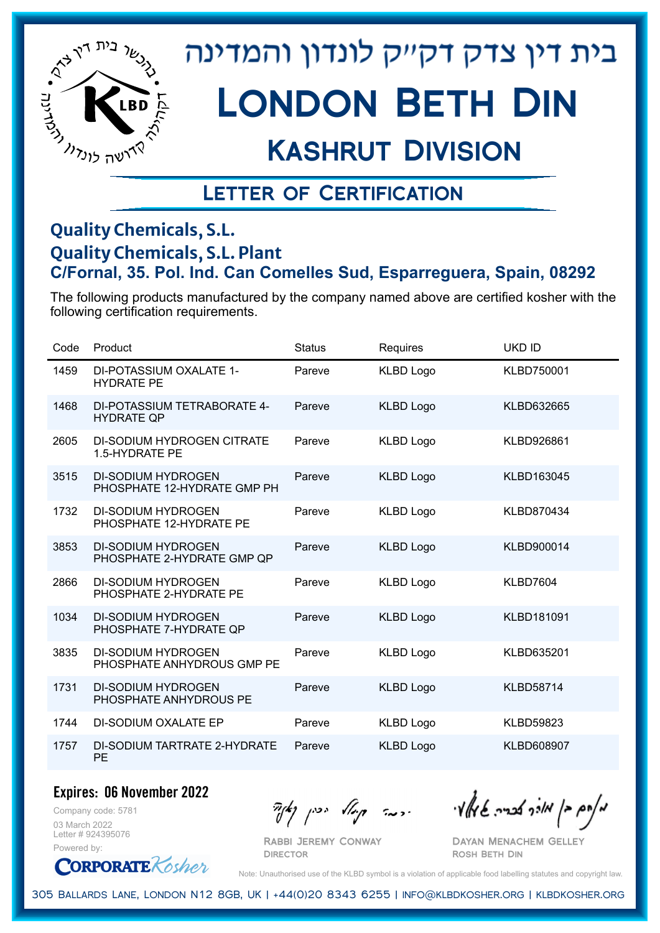

# London Beth Din

## Kashrut Division

### Letter of Certification

#### **Quality Chemicals, S.L. Quality Chemicals, S.L. Plant C/Fornal, 35. Pol. Ind. Can Comelles Sud, Esparreguera, Spain, 08292**

The following products manufactured by the company named above are certified kosher with the following certification requirements.

| Code | Product                                                  | <b>Status</b> | Requires         | <b>UKD ID</b>     |
|------|----------------------------------------------------------|---------------|------------------|-------------------|
| 1459 | DI-POTASSIUM OXALATE 1-<br><b>HYDRATE PE</b>             | Pareve        | <b>KLBD Logo</b> | KLBD750001        |
| 1468 | DI-POTASSIUM TETRABORATE 4-<br><b>HYDRATE QP</b>         | Pareve        | <b>KLBD Logo</b> | KLBD632665        |
| 2605 | <b>DI-SODIUM HYDROGEN CITRATE</b><br>1.5-HYDRATE PE      | Pareve        | <b>KLBD Logo</b> | KLBD926861        |
| 3515 | <b>DI-SODIUM HYDROGEN</b><br>PHOSPHATE 12-HYDRATE GMP PH | Pareve        | <b>KLBD Logo</b> | KLBD163045        |
| 1732 | <b>DI-SODIUM HYDROGEN</b><br>PHOSPHATE 12-HYDRATE PE     | Pareve        | <b>KLBD Logo</b> | <b>KLBD870434</b> |
| 3853 | <b>DI-SODIUM HYDROGEN</b><br>PHOSPHATE 2-HYDRATE GMP QP  | Pareve        | <b>KLBD Logo</b> | KLBD900014        |
| 2866 | <b>DI-SODIUM HYDROGEN</b><br>PHOSPHATE 2-HYDRATE PE      | Pareve        | <b>KLBD Logo</b> | KLBD7604          |
| 1034 | <b>DI-SODIUM HYDROGEN</b><br>PHOSPHATE 7-HYDRATE QP      | Pareve        | <b>KLBD Logo</b> | KLBD181091        |
| 3835 | <b>DI-SODIUM HYDROGEN</b><br>PHOSPHATE ANHYDROUS GMP PE  | Pareve        | <b>KLBD Logo</b> | KLBD635201        |
| 1731 | <b>DI-SODIUM HYDROGEN</b><br>PHOSPHATE ANHYDROUS PE      | Pareve        | <b>KLBD Logo</b> | <b>KLBD58714</b>  |
| 1744 | DI-SODIUM OXALATE EP                                     | Pareve        | <b>KLBD Logo</b> | <b>KLBD59823</b>  |
| 1757 | DI-SODIUM TARTRATE 2-HYDRATE<br>PE                       | Pareve        | <b>KLBD Logo</b> | <b>KLBD608907</b> |

**Expires: 06 November 2022**

Company code: 5781 03 March 2022 Letter # 924395076 Powered by:

**CORPORATE** Kosher

Rabbi Jeremy Conway

**DIRECTOR** 

 $\frac{1}{2}$ אלה אולך לכריה שיאלאי היה קיילא יכין קאיר

Dayan Menachem Gelley Rosh Beth Din

Note: Unauthorised use of the KLBD symbol is a violation of applicable food labelling statutes and copyright law.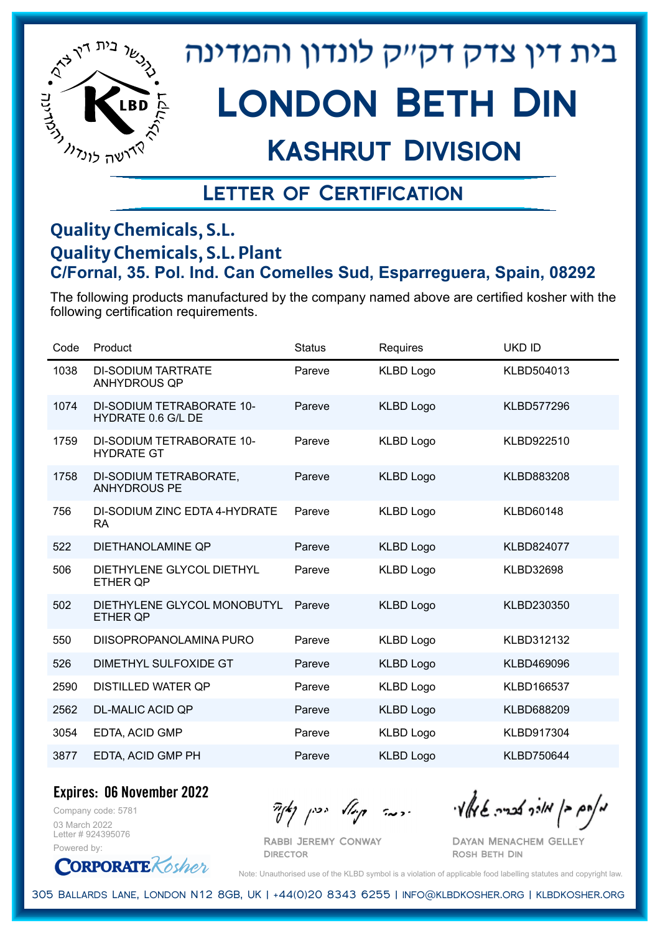

# London Beth Din

## Kashrut Division

### Letter of Certification

#### **Quality Chemicals, S.L. Quality Chemicals, S.L. Plant C/Fornal, 35. Pol. Ind. Can Comelles Sud, Esparreguera, Spain, 08292**

The following products manufactured by the company named above are certified kosher with the following certification requirements.

| Code | Product                                                       | <b>Status</b> | Requires         | <b>UKD ID</b>     |
|------|---------------------------------------------------------------|---------------|------------------|-------------------|
| 1038 | <b>DI-SODIUM TARTRATE</b><br><b>ANHYDROUS QP</b>              | Pareve        | <b>KLBD Logo</b> | KLBD504013        |
| 1074 | <b>DI-SODIUM TETRABORATE 10-</b><br><b>HYDRATE 0.6 G/L DE</b> | Pareve        | <b>KLBD Logo</b> | <b>KLBD577296</b> |
| 1759 | <b>DI-SODIUM TETRABORATE 10-</b><br><b>HYDRATE GT</b>         | Pareve        | <b>KLBD Logo</b> | KLBD922510        |
| 1758 | DI-SODIUM TETRABORATE,<br><b>ANHYDROUS PE</b>                 | Pareve        | <b>KLBD Logo</b> | KLBD883208        |
| 756  | DI-SODIUM ZINC EDTA 4-HYDRATE<br><b>RA</b>                    | Pareve        | <b>KLBD Logo</b> | <b>KLBD60148</b>  |
| 522  | DIETHANOLAMINE QP                                             | Pareve        | <b>KLBD Logo</b> | KLBD824077        |
| 506  | DIETHYLENE GLYCOL DIETHYL<br><b>ETHER QP</b>                  | Pareve        | <b>KLBD Logo</b> | <b>KLBD32698</b>  |
| 502  | DIETHYLENE GLYCOL MONOBUTYL<br><b>ETHER QP</b>                | Pareve        | <b>KLBD Logo</b> | KLBD230350        |
| 550  | DIISOPROPANOLAMINA PURO                                       | Pareve        | <b>KLBD Logo</b> | KLBD312132        |
| 526  | DIMETHYL SULFOXIDE GT                                         | Pareve        | <b>KLBD Logo</b> | KLBD469096        |
| 2590 | <b>DISTILLED WATER QP</b>                                     | Pareve        | <b>KLBD Logo</b> | KLBD166537        |
| 2562 | <b>DL-MALIC ACID QP</b>                                       | Pareve        | <b>KLBD Logo</b> | KLBD688209        |
| 3054 | EDTA, ACID GMP                                                | Pareve        | <b>KLBD Logo</b> | KLBD917304        |
| 3877 | EDTA, ACID GMP PH                                             | Pareve        | <b>KLBD Logo</b> | <b>KLBD750644</b> |

**Expires: 06 November 2022**

Company code: 5781 03 March 2022 Letter # 924395076 Powered by:

**CORPORATE** Kosher

 $\frac{1}{2}$ אלה אברה שיאלץ ויי ידעה קיולא יכין נאך

Dayan Menachem Gelley Rosh Beth Din

Note: Unauthorised use of the KLBD symbol is a violation of applicable food labelling statutes and copyright law.

305 Ballards Lane, London N12 8GB, UK | +44(0)20 8343 6255 | info@klbdkosher.org | klbdkosher.org

Rabbi Jeremy Conway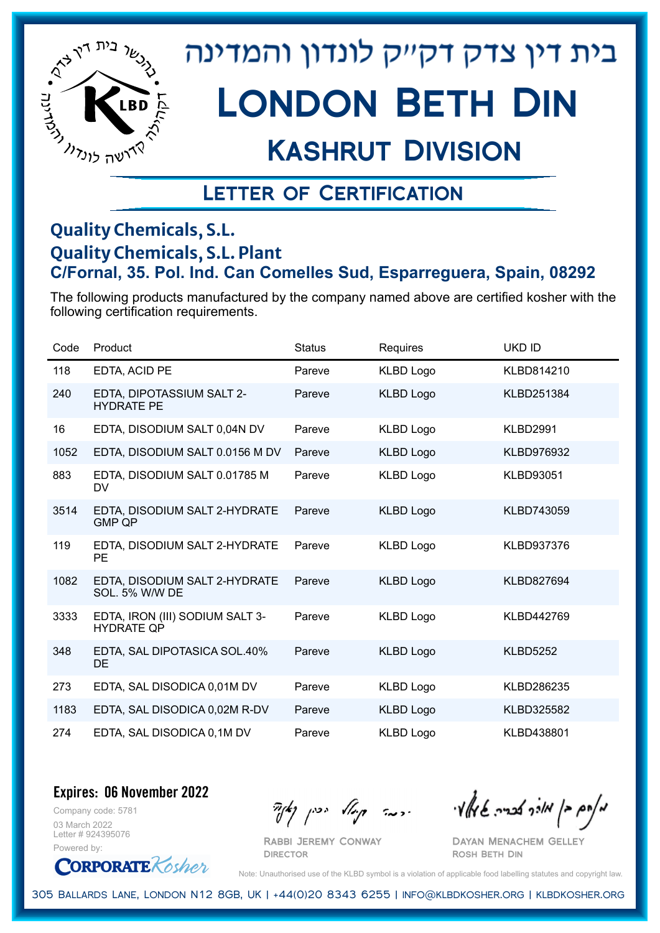

## Kashrut Division

### Letter of Certification

#### **Quality Chemicals, S.L. Quality Chemicals, S.L. Plant C/Fornal, 35. Pol. Ind. Can Comelles Sud, Esparreguera, Spain, 08292**

The following products manufactured by the company named above are certified kosher with the following certification requirements.

| Code | Product                                              | <b>Status</b> | Requires         | <b>UKD ID</b>    |
|------|------------------------------------------------------|---------------|------------------|------------------|
| 118  | EDTA, ACID PE                                        | Pareve        | <b>KLBD Logo</b> | KLBD814210       |
| 240  | EDTA, DIPOTASSIUM SALT 2-<br><b>HYDRATE PE</b>       | Pareve        | <b>KLBD Logo</b> | KLBD251384       |
| 16   | EDTA, DISODIUM SALT 0,04N DV                         | Pareve        | <b>KLBD Logo</b> | <b>KLBD2991</b>  |
| 1052 | EDTA, DISODIUM SALT 0.0156 M DV                      | Pareve        | <b>KLBD Logo</b> | KLBD976932       |
| 883  | EDTA, DISODIUM SALT 0.01785 M<br>DV.                 | Pareve        | <b>KLBD Logo</b> | <b>KLBD93051</b> |
| 3514 | EDTA, DISODIUM SALT 2-HYDRATE<br><b>GMP QP</b>       | Pareve        | <b>KLBD Logo</b> | KLBD743059       |
| 119  | EDTA, DISODIUM SALT 2-HYDRATE<br><b>PE</b>           | Pareve        | KLBD Logo        | KLBD937376       |
| 1082 | EDTA, DISODIUM SALT 2-HYDRATE<br>SOL. 5% W/W DE      | Pareve        | <b>KLBD Logo</b> | KLBD827694       |
| 3333 | EDTA, IRON (III) SODIUM SALT 3-<br><b>HYDRATE QP</b> | Pareve        | <b>KLBD Logo</b> | KLBD442769       |
| 348  | EDTA, SAL DIPOTASICA SOL.40%<br>DE.                  | Pareve        | <b>KLBD Logo</b> | <b>KLBD5252</b>  |
| 273  | EDTA, SAL DISODICA 0,01M DV                          | Pareve        | <b>KLBD Logo</b> | KLBD286235       |
| 1183 | EDTA, SAL DISODICA 0,02M R-DV                        | Pareve        | <b>KLBD Logo</b> | KLBD325582       |
| 274  | EDTA, SAL DISODICA 0,1M DV                           | Pareve        | <b>KLBD Logo</b> | KLBD438801       |

**Expires: 06 November 2022**

Company code: 5781 03 March 2022 Letter # 924395076 Powered by:

**ORPORATE** Kosher

Rabbi Jeremy Conway

 $\partial_{\eta}^{A}(\theta)$  and  $\partial_{\eta}^{A}(\theta)$  and  $\partial_{\eta}^{A}(\theta)$  and  $\partial_{\eta}^{A}(\theta)$ 

Dayan Menachem Gelley Rosh Beth Din

Note: Unauthorised use of the KLBD symbol is a violation of applicable food labelling statutes and copyright law.

305 Ballards Lane, London N12 8GB, UK | +44(0)20 8343 6255 | info@klbdkosher.org | klbdkosher.org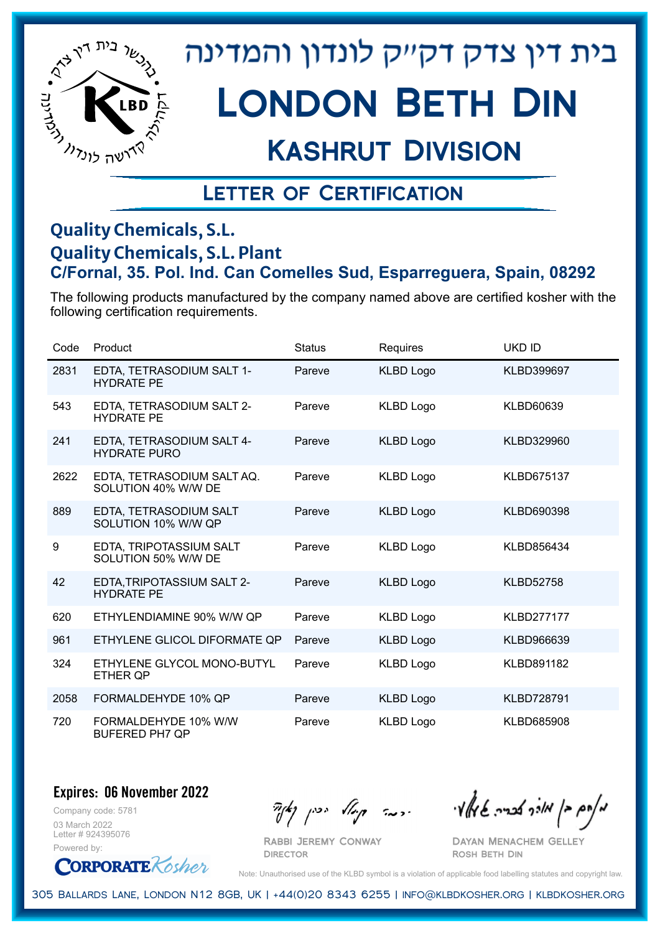

# London Beth Din

## Kashrut Division

### Letter of Certification

#### **Quality Chemicals, S.L. Quality Chemicals, S.L. Plant C/Fornal, 35. Pol. Ind. Can Comelles Sud, Esparreguera, Spain, 08292**

The following products manufactured by the company named above are certified kosher with the following certification requirements.

| Code | Product                                           | <b>Status</b> | Requires         | <b>UKD ID</b>     |
|------|---------------------------------------------------|---------------|------------------|-------------------|
| 2831 | EDTA, TETRASODIUM SALT 1-<br><b>HYDRATE PE</b>    | Pareve        | KLBD Logo        | <b>KLBD399697</b> |
| 543  | EDTA, TETRASODIUM SALT 2-<br><b>HYDRATE PE</b>    | Pareve        | <b>KLBD Logo</b> | <b>KLBD60639</b>  |
| 241  | EDTA, TETRASODIUM SALT 4-<br><b>HYDRATE PURO</b>  | Pareve        | <b>KLBD Logo</b> | KLBD329960        |
| 2622 | EDTA, TETRASODIUM SALT AQ.<br>SOLUTION 40% W/W DE | Pareve        | <b>KLBD Logo</b> | <b>KLBD675137</b> |
| 889  | EDTA, TETRASODIUM SALT<br>SOLUTION 10% W/W QP     | Pareve        | <b>KLBD Logo</b> | KLBD690398        |
| 9    | EDTA, TRIPOTASSIUM SALT<br>SOLUTION 50% W/W DE    | Pareve        | <b>KLBD Logo</b> | KLBD856434        |
| 42   | EDTA, TRIPOTASSIUM SALT 2-<br><b>HYDRATE PE</b>   | Pareve        | <b>KLBD Logo</b> | <b>KLBD52758</b>  |
| 620  | ETHYLENDIAMINE 90% W/W QP                         | Pareve        | <b>KLBD Logo</b> | <b>KLBD277177</b> |
| 961  | ETHYLENE GLICOL DIFORMATE QP                      | Pareve        | KLBD Logo        | KLBD966639        |
| 324  | ETHYLENE GLYCOL MONO-BUTYL<br><b>ETHER QP</b>     | Pareve        | <b>KLBD Logo</b> | <b>KLBD891182</b> |
| 2058 | FORMALDEHYDE 10% QP                               | Pareve        | KLBD Logo        | <b>KLBD728791</b> |
| 720  | FORMALDEHYDE 10% W/W<br><b>BUFERED PH7 QP</b>     | Pareve        | KLBD Logo        | <b>KLBD685908</b> |

**Expires: 06 November 2022**

Company code: 5781 03 March 2022 Letter # 924395076 Powered by:

**CORPORATE** Rosher

מאוס בן מורך אבריה שיואל וי<br>מאוס בן מורך אבריה שיואל וי

Dayan Menachem Gelley Rosh Beth Din

Note: Unauthorised use of the KLBD symbol is a violation of applicable food labelling statutes and copyright law.

305 Ballards Lane, London N12 8GB, UK | +44(0)20 8343 6255 | info@klbdkosher.org | klbdkosher.org

Rabbi Jeremy Conway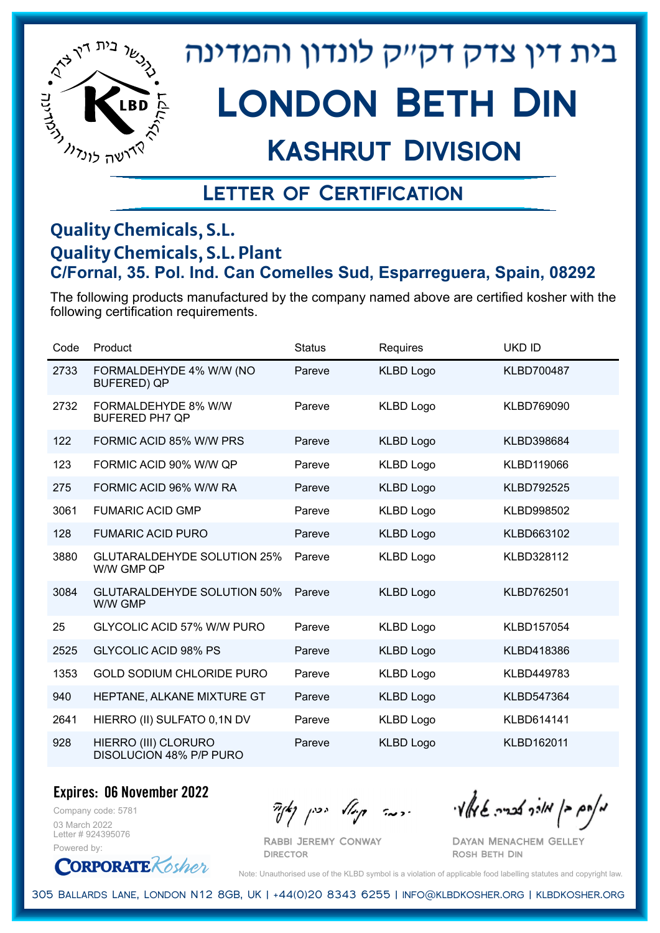

# London Beth Din

## Kashrut Division

### Letter of Certification

#### **Quality Chemicals, S.L. Quality Chemicals, S.L. Plant C/Fornal, 35. Pol. Ind. Can Comelles Sud, Esparreguera, Spain, 08292**

The following products manufactured by the company named above are certified kosher with the following certification requirements.

| Code | Product                                          | <b>Status</b> | Requires         | <b>UKD ID</b>     |
|------|--------------------------------------------------|---------------|------------------|-------------------|
| 2733 | FORMALDEHYDE 4% W/W (NO<br><b>BUFERED) QP</b>    | Pareve        | <b>KLBD Logo</b> | KLBD700487        |
| 2732 | FORMALDEHYDE 8% W/W<br><b>BUFERED PH7 QP</b>     | Pareve        | <b>KLBD Logo</b> | KLBD769090        |
| 122  | FORMIC ACID 85% W/W PRS                          | Pareve        | <b>KLBD Logo</b> | KLBD398684        |
| 123  | FORMIC ACID 90% W/W QP                           | Pareve        | <b>KLBD Logo</b> | KLBD119066        |
| 275  | FORMIC ACID 96% W/W RA                           | Pareve        | <b>KLBD Logo</b> | <b>KLBD792525</b> |
| 3061 | <b>FUMARIC ACID GMP</b>                          | Pareve        | <b>KLBD Logo</b> | KLBD998502        |
| 128  | <b>FUMARIC ACID PURO</b>                         | Pareve        | <b>KLBD Logo</b> | KLBD663102        |
| 3880 | <b>GLUTARALDEHYDE SOLUTION 25%</b><br>W/W GMP QP | Pareve        | <b>KLBD Logo</b> | KLBD328112        |
| 3084 | <b>GLUTARALDEHYDE SOLUTION 50%</b><br>W/W GMP    | Pareve        | <b>KLBD Logo</b> | KLBD762501        |
| 25   | <b>GLYCOLIC ACID 57% W/W PURO</b>                | Pareve        | <b>KLBD Logo</b> | KLBD157054        |
| 2525 | <b>GLYCOLIC ACID 98% PS</b>                      | Pareve        | <b>KLBD Logo</b> | KLBD418386        |
| 1353 | <b>GOLD SODIUM CHLORIDE PURO</b>                 | Pareve        | <b>KLBD Logo</b> | KLBD449783        |
| 940  | HEPTANE, ALKANE MIXTURE GT                       | Pareve        | <b>KLBD Logo</b> | KLBD547364        |
| 2641 | HIERRO (II) SULFATO 0,1N DV                      | Pareve        | <b>KLBD Logo</b> | KLBD614141        |
| 928  | HIERRO (III) CLORURO<br>DISOLUCION 48% P/P PURO  | Pareve        | <b>KLBD Logo</b> | <b>KLBD162011</b> |

**Expires: 06 November 2022**

Company code: 5781 03 March 2022 Letter # 924395076 Powered by:

**CORPORATE** Rosher

Rabbi Jeremy Conway

**DIRECTOR** 

 $\frac{1}{2}$ אלוק אולך לבריה שיאלץי הכבר קוואל יכין קאיר

Dayan Menachem Gelley Rosh Beth Din

Note: Unauthorised use of the KLBD symbol is a violation of applicable food labelling statutes and copyright law.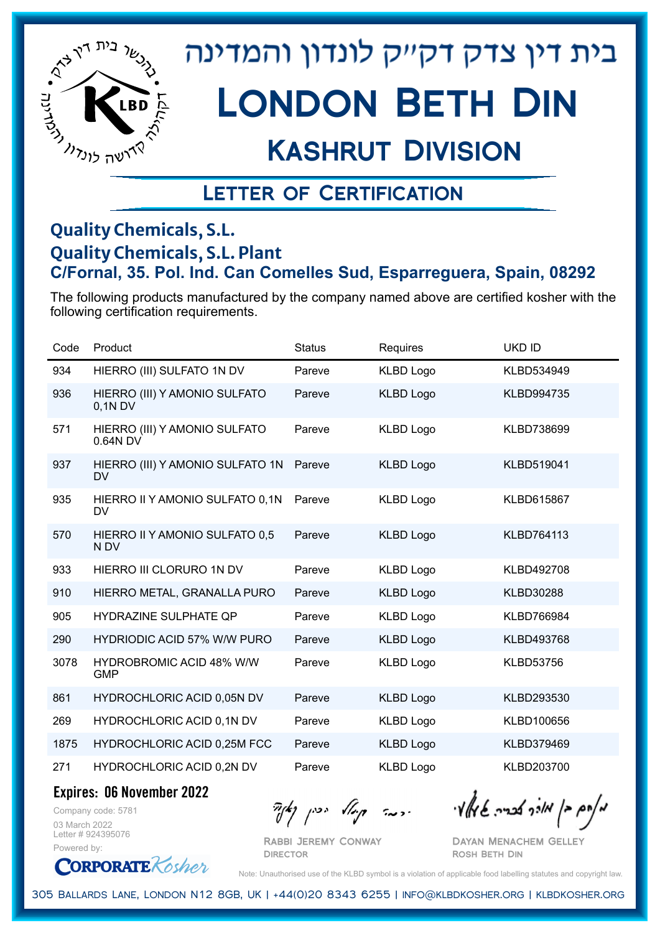

# Kashrut Division

### Letter of Certification

#### **Quality Chemicals, S.L. Quality Chemicals, S.L. Plant C/Fornal, 35. Pol. Ind. Can Comelles Sud, Esparreguera, Spain, 08292**

The following products manufactured by the company named above are certified kosher with the following certification requirements.

| Code | Product                                       | <b>Status</b> | Requires         | <b>UKD ID</b>     |
|------|-----------------------------------------------|---------------|------------------|-------------------|
| 934  | HIERRO (III) SULFATO 1N DV                    | Pareve        | <b>KLBD Logo</b> | KLBD534949        |
| 936  | HIERRO (III) Y AMONIO SULFATO<br>0,1N DV      | Pareve        | <b>KLBD Logo</b> | KLBD994735        |
| 571  | HIERRO (III) Y AMONIO SULFATO<br>0.64N DV     | Pareve        | <b>KLBD Logo</b> | KLBD738699        |
| 937  | HIERRO (III) Y AMONIO SULFATO 1N<br><b>DV</b> | Pareve        | <b>KLBD Logo</b> | KLBD519041        |
| 935  | HIERRO II Y AMONIO SULFATO 0,1N<br><b>DV</b>  | Pareve        | <b>KLBD Logo</b> | <b>KLBD615867</b> |
| 570  | HIERRO II Y AMONIO SULFATO 0,5<br>N DV        | Pareve        | <b>KLBD Logo</b> | KLBD764113        |
| 933  | HIERRO III CLORURO 1N DV                      | Pareve        | <b>KLBD Logo</b> | KLBD492708        |
| 910  | HIERRO METAL, GRANALLA PURO                   | Pareve        | <b>KLBD Logo</b> | <b>KLBD30288</b>  |
| 905  | HYDRAZINE SULPHATE QP                         | Pareve        | <b>KLBD Logo</b> | KLBD766984        |
| 290  | <b>HYDRIODIC ACID 57% W/W PURO</b>            | Pareve        | <b>KLBD Logo</b> | KLBD493768        |
| 3078 | <b>HYDROBROMIC ACID 48% W/W</b><br><b>GMP</b> | Pareve        | <b>KLBD Logo</b> | <b>KLBD53756</b>  |
| 861  | HYDROCHLORIC ACID 0,05N DV                    | Pareve        | <b>KLBD Logo</b> | KLBD293530        |
| 269  | HYDROCHLORIC ACID 0,1N DV                     | Pareve        | <b>KLBD Logo</b> | KLBD100656        |
| 1875 | HYDROCHLORIC ACID 0,25M FCC                   | Pareve        | <b>KLBD Logo</b> | KLBD379469        |
| 271  | HYDROCHLORIC ACID 0,2N DV                     | Pareve        | <b>KLBD Logo</b> | KLBD203700        |

**Expires: 06 November 2022**

**ORPORATE** Kosher

Company code: 5781 03 March 2022 Letter # 924395076 Powered by:

 $\partial_{\eta}^{A}(\theta)$  and  $\partial_{\eta}^{A}(\theta)$  and  $\partial_{\eta}^{A}(\theta)$  and  $\partial_{\eta}^{A}(\theta)$ 

Rabbi Jeremy Conway **DIRECTOR** 

Dayan Menachem Gelley Rosh Beth Din

Note: Unauthorised use of the KLBD symbol is a violation of applicable food labelling statutes and copyright law.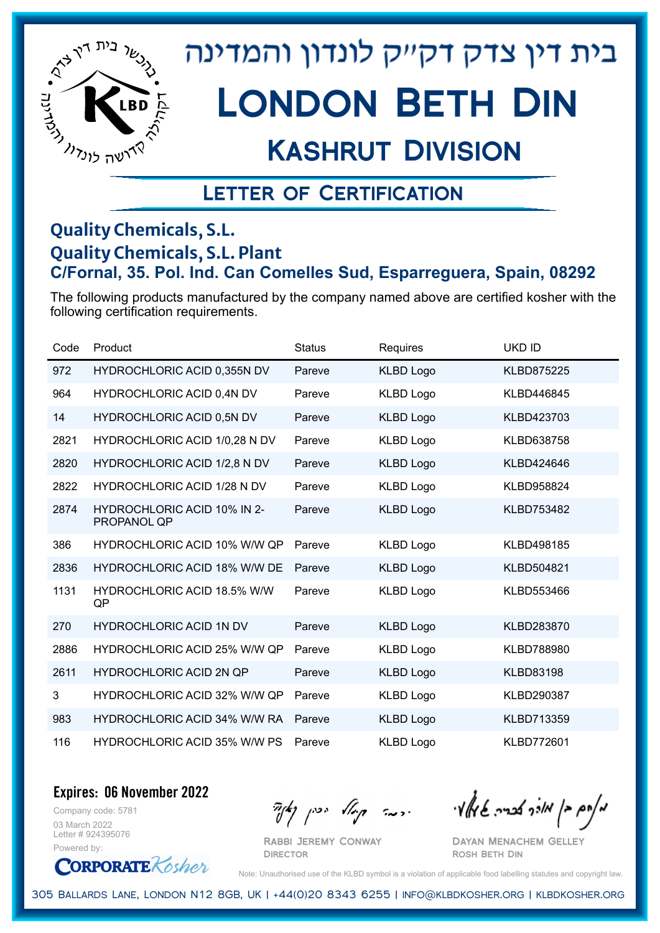

## Kashrut Division

### Letter of Certification

#### **Quality Chemicals, S.L. Quality Chemicals, S.L. Plant C/Fornal, 35. Pol. Ind. Can Comelles Sud, Esparreguera, Spain, 08292**

The following products manufactured by the company named above are certified kosher with the following certification requirements.

| Code | Product                                           | <b>Status</b> | Requires         | UKD ID            |
|------|---------------------------------------------------|---------------|------------------|-------------------|
| 972  | HYDROCHLORIC ACID 0,355N DV                       | Pareve        | <b>KLBD Logo</b> | <b>KLBD875225</b> |
| 964  | HYDROCHLORIC ACID 0,4N DV                         | Pareve        | <b>KLBD Logo</b> | KLBD446845        |
| 14   | <b>HYDROCHLORIC ACID 0,5N DV</b>                  | Pareve        | <b>KLBD Logo</b> | KLBD423703        |
| 2821 | HYDROCHLORIC ACID 1/0,28 N DV                     | Pareve        | <b>KLBD Logo</b> | KLBD638758        |
| 2820 | HYDROCHLORIC ACID 1/2,8 N DV                      | Pareve        | <b>KLBD Logo</b> | KLBD424646        |
| 2822 | <b>HYDROCHLORIC ACID 1/28 N DV</b>                | Pareve        | <b>KLBD Logo</b> | KLBD958824        |
| 2874 | <b>HYDROCHLORIC ACID 10% IN 2-</b><br>PROPANOL QP | Pareve        | <b>KLBD Logo</b> | KLBD753482        |
| 386  | <b>HYDROCHLORIC ACID 10% W/W QP</b>               | Pareve        | <b>KLBD Logo</b> | KLBD498185        |
| 2836 | <b>HYDROCHLORIC ACID 18% W/W DE</b>               | Pareve        | <b>KLBD Logo</b> | KLBD504821        |
| 1131 | <b>HYDROCHLORIC ACID 18.5% W/W</b><br>QP          | Pareve        | <b>KLBD Logo</b> | KLBD553466        |
| 270  | <b>HYDROCHLORIC ACID 1N DV</b>                    | Pareve        | <b>KLBD Logo</b> | KLBD283870        |
| 2886 | HYDROCHLORIC ACID 25% W/W QP                      | Pareve        | <b>KLBD Logo</b> | <b>KLBD788980</b> |
| 2611 | <b>HYDROCHLORIC ACID 2N QP</b>                    | Pareve        | <b>KLBD Logo</b> | <b>KLBD83198</b>  |
| 3    | <b>HYDROCHLORIC ACID 32% W/W QP</b>               | Pareve        | <b>KLBD Logo</b> | KLBD290387        |
| 983  | <b>HYDROCHLORIC ACID 34% W/W RA</b>               | Pareve        | <b>KLBD Logo</b> | KLBD713359        |
| 116  | <b>HYDROCHLORIC ACID 35% W/W PS</b>               | Pareve        | <b>KLBD Logo</b> | <b>KLBD772601</b> |

**Expires: 06 November 2022**

Company code: 5781 03 March 2022 Letter # 924395076 Powered by:



 $\partial_{\eta}^{A}(\theta)$  and  $\partial_{\eta}^{A}(\theta)$  and  $\partial_{\eta}^{A}(\theta)$  and  $\partial_{\eta}^{A}(\theta)$ 

Dayan Menachem Gelley Rosh Beth Din

Note: Unauthorised use of the KLBD symbol is a violation of applicable food labelling statutes and copyright law.

305 Ballards Lane, London N12 8GB, UK | +44(0)20 8343 6255 | info@klbdkosher.org | klbdkosher.org

Rabbi Jeremy Conway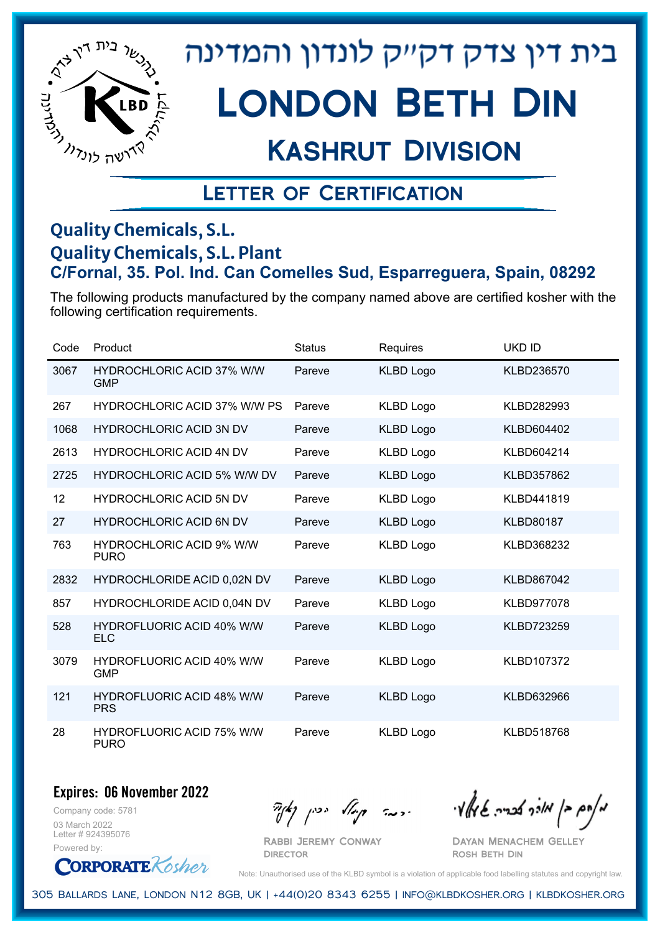

## Kashrut Division

### Letter of Certification

#### **Quality Chemicals, S.L. Quality Chemicals, S.L. Plant C/Fornal, 35. Pol. Ind. Can Comelles Sud, Esparreguera, Spain, 08292**

The following products manufactured by the company named above are certified kosher with the following certification requirements.

| Code | Product                                         | <b>Status</b> | Requires         | <b>UKD ID</b>     |
|------|-------------------------------------------------|---------------|------------------|-------------------|
| 3067 | <b>HYDROCHLORIC ACID 37% W/W</b><br><b>GMP</b>  | Pareve        | <b>KLBD Logo</b> | KLBD236570        |
| 267  | <b>HYDROCHLORIC ACID 37% W/W PS</b>             | Pareve        | <b>KLBD Logo</b> | KLBD282993        |
| 1068 | <b>HYDROCHLORIC ACID 3N DV</b>                  | Pareve        | <b>KLBD Logo</b> | KLBD604402        |
| 2613 | <b>HYDROCHLORIC ACID 4N DV</b>                  | Pareve        | <b>KLBD Logo</b> | KLBD604214        |
| 2725 | <b>HYDROCHLORIC ACID 5% W/W DV</b>              | Pareve        | <b>KLBD Logo</b> | KLBD357862        |
| 12   | <b>HYDROCHLORIC ACID 5N DV</b>                  | Pareve        | <b>KLBD Logo</b> | KLBD441819        |
| 27   | <b>HYDROCHLORIC ACID 6N DV</b>                  | Pareve        | <b>KLBD Logo</b> | <b>KLBD80187</b>  |
| 763  | <b>HYDROCHLORIC ACID 9% W/W</b><br><b>PURO</b>  | Pareve        | <b>KLBD Logo</b> | KLBD368232        |
| 2832 | HYDROCHLORIDE ACID 0,02N DV                     | Pareve        | <b>KLBD Logo</b> | KLBD867042        |
| 857  | HYDROCHLORIDE ACID 0,04N DV                     | Pareve        | <b>KLBD Logo</b> | <b>KLBD977078</b> |
| 528  | <b>HYDROFLUORIC ACID 40% W/W</b><br><b>ELC</b>  | Pareve        | <b>KLBD Logo</b> | <b>KLBD723259</b> |
| 3079 | <b>HYDROFLUORIC ACID 40% W/W</b><br><b>GMP</b>  | Pareve        | <b>KLBD Logo</b> | KLBD107372        |
| 121  | <b>HYDROFLUORIC ACID 48% W/W</b><br><b>PRS</b>  | Pareve        | <b>KLBD Logo</b> | KLBD632966        |
| 28   | <b>HYDROFLUORIC ACID 75% W/W</b><br><b>PURO</b> | Pareve        | <b>KLBD Logo</b> | <b>KLBD518768</b> |

**Expires: 06 November 2022**

Company code: 5781 03 March 2022 Letter # 924395076 Powered by:

**CORPORATE** Rosher

מאוס בן מורך אבריה שיואל וי<br>מאוס בן מורך אבריה שיואל וי

Dayan Menachem Gelley Rosh Beth Din

Note: Unauthorised use of the KLBD symbol is a violation of applicable food labelling statutes and copyright law.

305 Ballards Lane, London N12 8GB, UK | +44(0)20 8343 6255 | info@klbdkosher.org | klbdkosher.org

Rabbi Jeremy Conway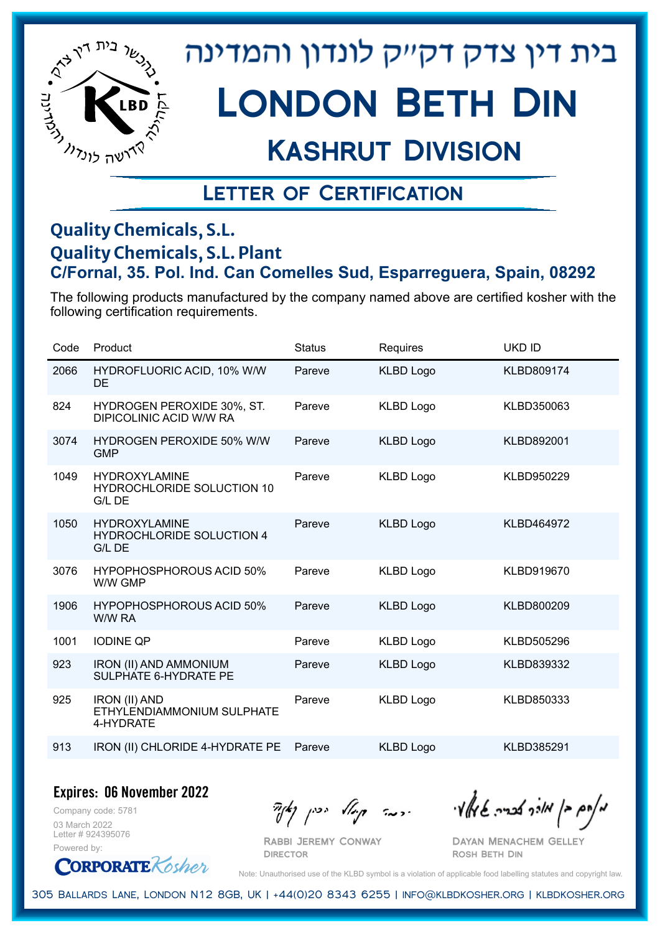

# London Beth Din

## Kashrut Division

### Letter of Certification

#### **Quality Chemicals, S.L. Quality Chemicals, S.L. Plant C/Fornal, 35. Pol. Ind. Can Comelles Sud, Esparreguera, Spain, 08292**

The following products manufactured by the company named above are certified kosher with the following certification requirements.

| Code | Product                                                             | <b>Status</b> | Requires         | <b>UKD ID</b> |
|------|---------------------------------------------------------------------|---------------|------------------|---------------|
| 2066 | HYDROFLUORIC ACID, 10% W/W<br><b>DE</b>                             | Pareve        | <b>KLBD Logo</b> | KLBD809174    |
| 824  | <b>HYDROGEN PEROXIDE 30%, ST.</b><br><b>DIPICOLINIC ACID W/W RA</b> | Pareve        | <b>KLBD Logo</b> | KLBD350063    |
| 3074 | <b>HYDROGEN PEROXIDE 50% W/W</b><br><b>GMP</b>                      | Pareve        | <b>KLBD Logo</b> | KLBD892001    |
| 1049 | <b>HYDROXYLAMINE</b><br>HYDROCHLORIDE SOLUCTION 10<br>G/L DE        | Pareve        | <b>KLBD Logo</b> | KLBD950229    |
| 1050 | <b>HYDROXYLAMINE</b><br><b>HYDROCHLORIDE SOLUCTION 4</b><br>G/L DE  | Pareve        | <b>KLBD Logo</b> | KLBD464972    |
| 3076 | <b>HYPOPHOSPHOROUS ACID 50%</b><br>W/W GMP                          | Pareve        | <b>KLBD Logo</b> | KLBD919670    |
| 1906 | HYPOPHOSPHOROUS ACID 50%<br>W/W RA                                  | Pareve        | <b>KLBD Logo</b> | KLBD800209    |
| 1001 | <b>IODINE QP</b>                                                    | Pareve        | <b>KLBD Logo</b> | KLBD505296    |
| 923  | <b>IRON (II) AND AMMONIUM</b><br>SULPHATE 6-HYDRATE PE              | Pareve        | <b>KLBD Logo</b> | KLBD839332    |
| 925  | <b>IRON (II) AND</b><br>ETHYLENDIAMMONIUM SULPHATE<br>4-HYDRATE     | Pareve        | <b>KLBD Logo</b> | KLBD850333    |
| 913  | IRON (II) CHLORIDE 4-HYDRATE PE                                     | Pareve        | <b>KLBD Logo</b> | KLBD385291    |

**Expires: 06 November 2022**

Company code: 5781 03 March 2022 Letter # 924395076 Powered by:

 $\frac{1}{2}$ אולך אברה שיאלי ויכה קייל יכין קאיר

Dayan Menachem Gelley Rosh Beth Din

**CORPORATE** Kosher

Note: Unauthorised use of the KLBD symbol is a violation of applicable food labelling statutes and copyright law.

305 Ballards Lane, London N12 8GB, UK | +44(0)20 8343 6255 | info@klbdkosher.org | klbdkosher.org

Rabbi Jeremy Conway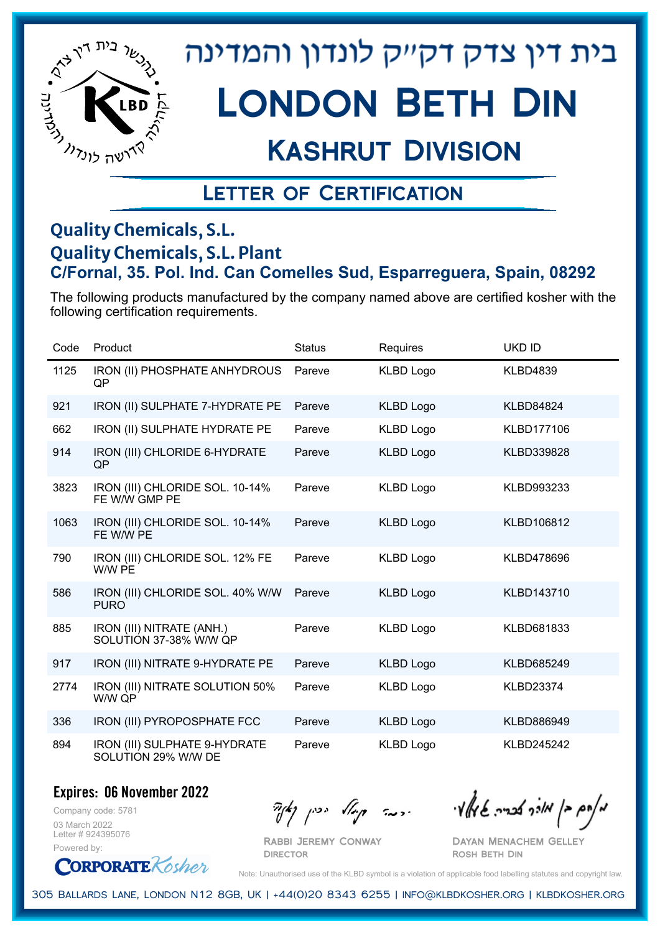

# Kashrut Division

### Letter of Certification

#### **Quality Chemicals, S.L. Quality Chemicals, S.L. Plant C/Fornal, 35. Pol. Ind. Can Comelles Sud, Esparreguera, Spain, 08292**

The following products manufactured by the company named above are certified kosher with the following certification requirements.

| Code | Product                                              | <b>Status</b> | Requires         | <b>UKD ID</b>    |
|------|------------------------------------------------------|---------------|------------------|------------------|
| 1125 | IRON (II) PHOSPHATE ANHYDROUS<br>QP                  | Pareve        | <b>KLBD Logo</b> | <b>KLBD4839</b>  |
| 921  | IRON (II) SULPHATE 7-HYDRATE PE                      | Pareve        | <b>KLBD Logo</b> | <b>KLBD84824</b> |
| 662  | IRON (II) SULPHATE HYDRATE PE                        | Pareve        | <b>KLBD Logo</b> | KLBD177106       |
| 914  | IRON (III) CHLORIDE 6-HYDRATE<br>QP                  | Pareve        | <b>KLBD Logo</b> | KLBD339828       |
| 3823 | IRON (III) CHLORIDE SOL. 10-14%<br>FE W/W GMP PE     | Pareve        | <b>KLBD Logo</b> | KLBD993233       |
| 1063 | IRON (III) CHLORIDE SOL. 10-14%<br>FE W/W PE         | Pareve        | <b>KLBD Logo</b> | KLBD106812       |
| 790  | IRON (III) CHLORIDE SOL. 12% FE<br>W/W PE            | Pareve        | <b>KLBD Logo</b> | KLBD478696       |
| 586  | IRON (III) CHLORIDE SOL. 40% W/W<br><b>PURO</b>      | Pareve        | <b>KLBD Logo</b> | KLBD143710       |
| 885  | IRON (III) NITRATE (ANH.)<br>SOLUTION 37-38% W/W QP  | Pareve        | <b>KLBD Logo</b> | KLBD681833       |
| 917  | IRON (III) NITRATE 9-HYDRATE PE                      | Pareve        | <b>KLBD Logo</b> | KLBD685249       |
| 2774 | IRON (III) NITRATE SOLUTION 50%<br>W/W QP            | Pareve        | <b>KLBD Logo</b> | <b>KLBD23374</b> |
| 336  | IRON (III) PYROPOSPHATE FCC                          | Pareve        | <b>KLBD Logo</b> | KLBD886949       |
| 894  | IRON (III) SULPHATE 9-HYDRATE<br>SOLUTION 29% W/W DE | Pareve        | <b>KLBD Logo</b> | KLBD245242       |

**Expires: 06 November 2022**

Company code: 5781 03 March 2022 Letter # 924395076 Powered by:

Rabbi Jeremy Conway

**DIRECTOR** 

 $\frac{1}{\sqrt{2\pi}}\int_{0}^{\infty}$   $\frac{1}{\sqrt{2\pi}}\int_{0}^{\infty}$   $\frac{1}{\sqrt{2\pi}}\int_{0}^{\infty}$   $\frac{1}{\sqrt{2\pi}}\int_{0}^{\infty}$   $\frac{1}{\sqrt{2\pi}}\int_{0}^{\infty}$ 

Dayan Menachem Gelley Rosh Beth Din

**CORPORATE** Kosher

Note: Unauthorised use of the KLBD symbol is a violation of applicable food labelling statutes and copyright law.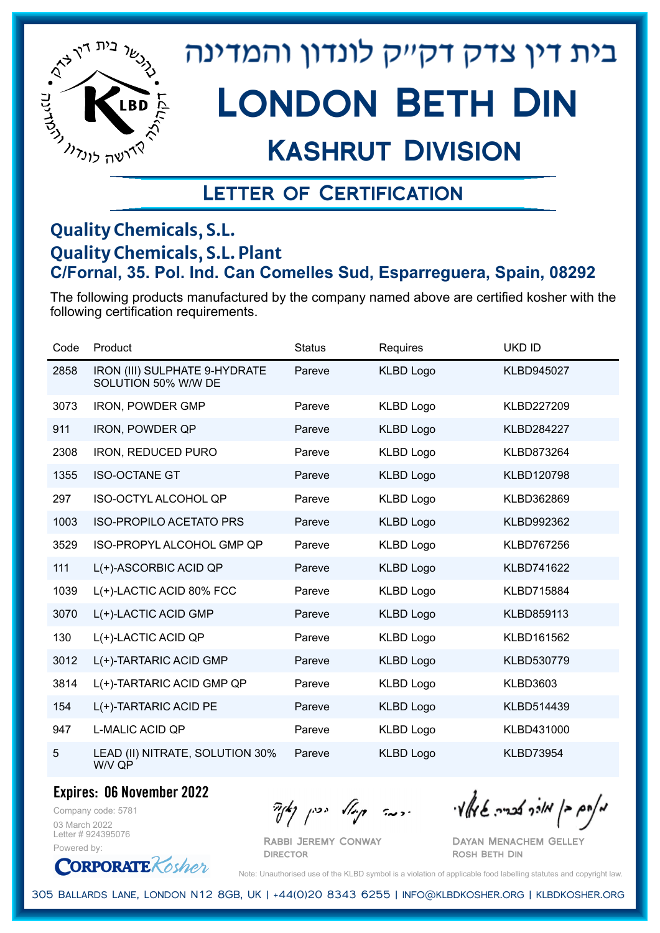

## Kashrut Division

### Letter of Certification

#### **Quality Chemicals, S.L. Quality Chemicals, S.L. Plant C/Fornal, 35. Pol. Ind. Can Comelles Sud, Esparreguera, Spain, 08292**

The following products manufactured by the company named above are certified kosher with the following certification requirements.

| Code | Product                                              | <b>Status</b> | Requires         | <b>UKD ID</b>     |
|------|------------------------------------------------------|---------------|------------------|-------------------|
| 2858 | IRON (III) SULPHATE 9-HYDRATE<br>SOLUTION 50% W/W DE | Pareve        | <b>KLBD Logo</b> | <b>KLBD945027</b> |
| 3073 | <b>IRON, POWDER GMP</b>                              | Pareve        | <b>KLBD Logo</b> | KLBD227209        |
| 911  | <b>IRON, POWDER QP</b>                               | Pareve        | <b>KLBD Logo</b> | <b>KLBD284227</b> |
| 2308 | IRON, REDUCED PURO                                   | Pareve        | <b>KLBD Logo</b> | KLBD873264        |
| 1355 | <b>ISO-OCTANE GT</b>                                 | Pareve        | <b>KLBD Logo</b> | KLBD120798        |
| 297  | <b>ISO-OCTYL ALCOHOL QP</b>                          | Pareve        | <b>KLBD Logo</b> | KLBD362869        |
| 1003 | <b>ISO-PROPILO ACETATO PRS</b>                       | Pareve        | <b>KLBD Logo</b> | KLBD992362        |
| 3529 | ISO-PROPYL ALCOHOL GMP QP                            | Pareve        | <b>KLBD Logo</b> | <b>KLBD767256</b> |
| 111  | L(+)-ASCORBIC ACID QP                                | Pareve        | <b>KLBD Logo</b> | KLBD741622        |
| 1039 | L(+)-LACTIC ACID 80% FCC                             | Pareve        | <b>KLBD Logo</b> | <b>KLBD715884</b> |
| 3070 | L(+)-LACTIC ACID GMP                                 | Pareve        | <b>KLBD Logo</b> | KLBD859113        |
| 130  | L(+)-LACTIC ACID QP                                  | Pareve        | <b>KLBD Logo</b> | KLBD161562        |
| 3012 | L(+)-TARTARIC ACID GMP                               | Pareve        | <b>KLBD Logo</b> | KLBD530779        |
| 3814 | L(+)-TARTARIC ACID GMP QP                            | Pareve        | <b>KLBD Logo</b> | <b>KLBD3603</b>   |
| 154  | L(+)-TARTARIC ACID PE                                | Pareve        | <b>KLBD Logo</b> | KLBD514439        |
| 947  | <b>L-MALIC ACID QP</b>                               | Pareve        | <b>KLBD Logo</b> | KLBD431000        |
| 5    | LEAD (II) NITRATE, SOLUTION 30%<br>W/V QP            | Pareve        | <b>KLBD Logo</b> | <b>KLBD73954</b>  |

#### **Expires: 06 November 2022**

Company code: 5781 03 March 2022 Letter # 924395076 Powered by:

**CORPORATE** Rosher

Rabbi Jeremy Conway **DIRECTOR** 

 $\frac{1}{2}$   $\frac{1}{2}$   $\frac{1}{2}$   $\frac{1}{2}$   $\frac{1}{2}$   $\frac{1}{2}$   $\frac{1}{2}$   $\frac{1}{2}$   $\frac{1}{2}$   $\frac{1}{2}$   $\frac{1}{2}$   $\frac{1}{2}$   $\frac{1}{2}$   $\frac{1}{2}$   $\frac{1}{2}$   $\frac{1}{2}$   $\frac{1}{2}$   $\frac{1}{2}$   $\frac{1}{2}$   $\frac{1}{2}$   $\frac{1}{2}$   $\frac{1}{2}$ 

Dayan Menachem Gelley Rosh Beth Din

Note: Unauthorised use of the KLBD symbol is a violation of applicable food labelling statutes and copyright law.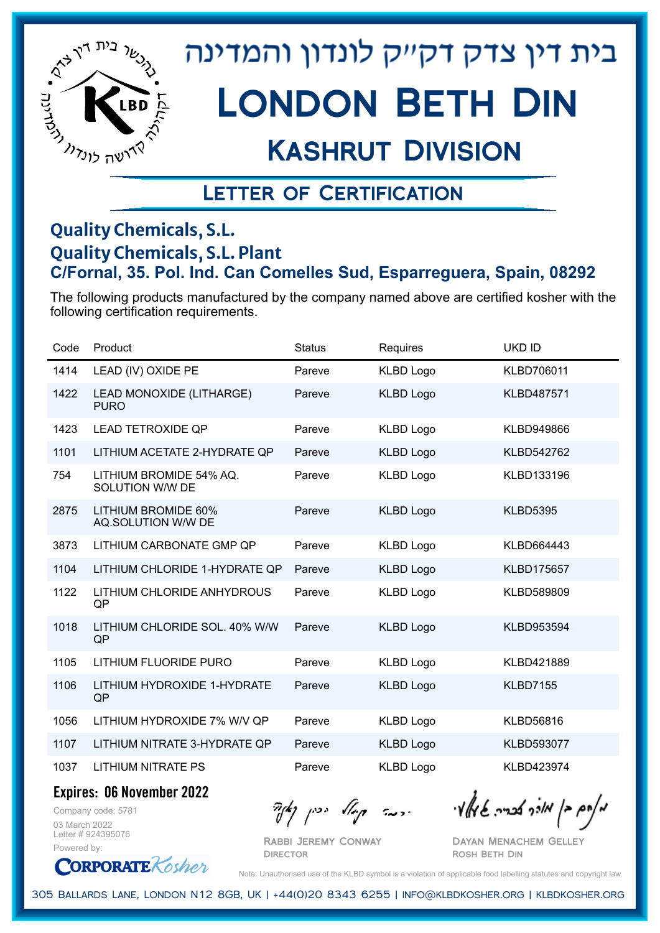

# London Beth Din

### Kashrut Division

### Letter of Certification

#### **Quality Chemicals, S.L. Quality Chemicals, S.L. Plant C/Fornal, 35. Pol. Ind. Can Comelles Sud, Esparreguera, Spain, 08292**

The following products manufactured by the company named above are certified kosher with the following certification requirements.

| Code | Product                                    | <b>Status</b> | Requires         | <b>UKD ID</b>     |
|------|--------------------------------------------|---------------|------------------|-------------------|
| 1414 | LEAD (IV) OXIDE PE                         | Pareve        | <b>KLBD Logo</b> | KLBD706011        |
| 1422 | LEAD MONOXIDE (LITHARGE)<br><b>PURO</b>    | Pareve        | <b>KLBD Logo</b> | <b>KLBD487571</b> |
| 1423 | <b>LEAD TETROXIDE QP</b>                   | Pareve        | <b>KLBD Logo</b> | <b>KLBD949866</b> |
| 1101 | LITHIUM ACETATE 2-HYDRATE QP               | Pareve        | <b>KLBD Logo</b> | KLBD542762        |
| 754  | LITHIUM BROMIDE 54% AQ.<br>SOLUTION W/W DE | Pareve        | <b>KLBD Logo</b> | KLBD133196        |
| 2875 | LITHIUM BROMIDE 60%<br>AQ.SOLUTION W/W DE  | Pareve        | <b>KLBD Logo</b> | <b>KLBD5395</b>   |
| 3873 | LITHIUM CARBONATE GMP QP                   | Pareve        | <b>KLBD Logo</b> | KLBD664443        |
| 1104 | LITHIUM CHLORIDE 1-HYDRATE QP              | Pareve        | <b>KLBD Logo</b> | <b>KLBD175657</b> |
| 1122 | LITHIUM CHLORIDE ANHYDROUS<br>QP           | Pareve        | <b>KLBD Logo</b> | KLBD589809        |
| 1018 | LITHIUM CHLORIDE SOL. 40% W/W<br>QP        | Pareve        | <b>KLBD Logo</b> | KLBD953594        |
| 1105 | <b>LITHIUM FLUORIDE PURO</b>               | Pareve        | <b>KLBD Logo</b> | KLBD421889        |
| 1106 | LITHIUM HYDROXIDE 1-HYDRATE<br>QP          | Pareve        | <b>KLBD Logo</b> | <b>KLBD7155</b>   |
| 1056 | LITHIUM HYDROXIDE 7% W/V QP                | Pareve        | <b>KLBD Logo</b> | <b>KLBD56816</b>  |
| 1107 | LITHIUM NITRATE 3-HYDRATE QP               | Pareve        | <b>KLBD Logo</b> | KLBD593077        |
| 1037 | LITHIUM NITRATE PS                         | Pareve        | <b>KLBD Logo</b> | KLBD423974        |

**Expires: 06 November 2022**

**CORPORATE** Kosher

Company code: 5781 03 March 2022 Letter # 924395076

Powered by:

 $\partial_{\eta} \partial_{\eta}$   $\partial_{\eta} \partial_{\eta}$  and  $\partial_{\eta} \partial_{\eta} \partial_{\eta}$  and  $\partial_{\eta} \partial_{\eta} \partial_{\eta}$ 

Rabbi Jeremy Conway **DIRECTOR** 

Dayan Menachem Gelley Rosh Beth Din

Note: Unauthorised use of the KLBD symbol is a violation of applicable food labelling statutes and copyright law.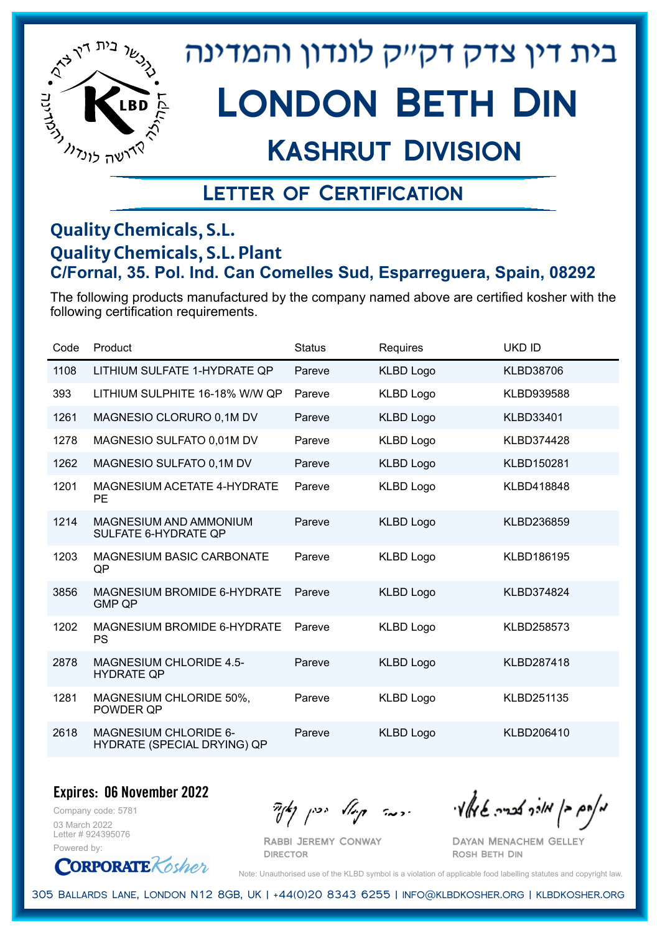

## Kashrut Division

### Letter of Certification

#### **Quality Chemicals, S.L. Quality Chemicals, S.L. Plant C/Fornal, 35. Pol. Ind. Can Comelles Sud, Esparreguera, Spain, 08292**

The following products manufactured by the company named above are certified kosher with the following certification requirements.

| Code | Product                                               | <b>Status</b> | Requires         | <b>UKD ID</b>     |
|------|-------------------------------------------------------|---------------|------------------|-------------------|
| 1108 | LITHIUM SULFATE 1-HYDRATE QP                          | Pareve        | <b>KLBD Logo</b> | <b>KLBD38706</b>  |
| 393  | LITHIUM SULPHITE 16-18% W/W QP                        | Pareve        | <b>KLBD Logo</b> | KLBD939588        |
| 1261 | MAGNESIO CLORURO 0,1M DV                              | Pareve        | <b>KLBD Logo</b> | <b>KLBD33401</b>  |
| 1278 | MAGNESIO SULFATO 0,01M DV                             | Pareve        | <b>KLBD Logo</b> | KLBD374428        |
| 1262 | MAGNESIO SULFATO 0,1M DV                              | Pareve        | <b>KLBD Logo</b> | KLBD150281        |
| 1201 | <b>MAGNESIUM ACETATE 4-HYDRATE</b><br><b>PE</b>       | Pareve        | <b>KLBD Logo</b> | KLBD418848        |
| 1214 | MAGNESIUM AND AMMONIUM<br><b>SULFATE 6-HYDRATE QP</b> | Pareve        | <b>KLBD Logo</b> | KLBD236859        |
| 1203 | <b>MAGNESIUM BASIC CARBONATE</b><br>QP                | Pareve        | <b>KLBD Logo</b> | KLBD186195        |
| 3856 | <b>MAGNESIUM BROMIDE 6-HYDRATE</b><br><b>GMP QP</b>   | Pareve        | <b>KLBD Logo</b> | <b>KLBD374824</b> |
| 1202 | <b>MAGNESIUM BROMIDE 6-HYDRATE</b><br><b>PS</b>       | Pareve        | <b>KLBD Logo</b> | KLBD258573        |
| 2878 | <b>MAGNESIUM CHLORIDE 4.5-</b><br><b>HYDRATE QP</b>   | Pareve        | <b>KLBD Logo</b> | KLBD287418        |
| 1281 | MAGNESIUM CHLORIDE 50%,<br>POWDER QP                  | Pareve        | <b>KLBD Logo</b> | KLBD251135        |
| 2618 | MAGNESIUM CHLORIDE 6-<br>HYDRATE (SPECIAL DRYING) QP  | Pareve        | <b>KLBD Logo</b> | KLBD206410        |

#### **Expires: 06 November 2022**

Company code: 5781 03 March 2022 Letter # 924395076 Powered by:

**CORPORATE** Kosher

Rabbi Jeremy Conway

 $\mathcal{H}_{\text{max}}$   $\mathcal{H}_{\text{max}}$  and  $\mathcal{H}_{\text{max}}$  . The contract  $\mathcal{H}_{\text{max}}$ 

Dayan Menachem Gelley Rosh Beth Din

Note: Unauthorised use of the KLBD symbol is a violation of applicable food labelling statutes and copyright law.

305 Ballards Lane, London N12 8GB, UK | +44(0)20 8343 6255 | info@klbdkosher.org | klbdkosher.org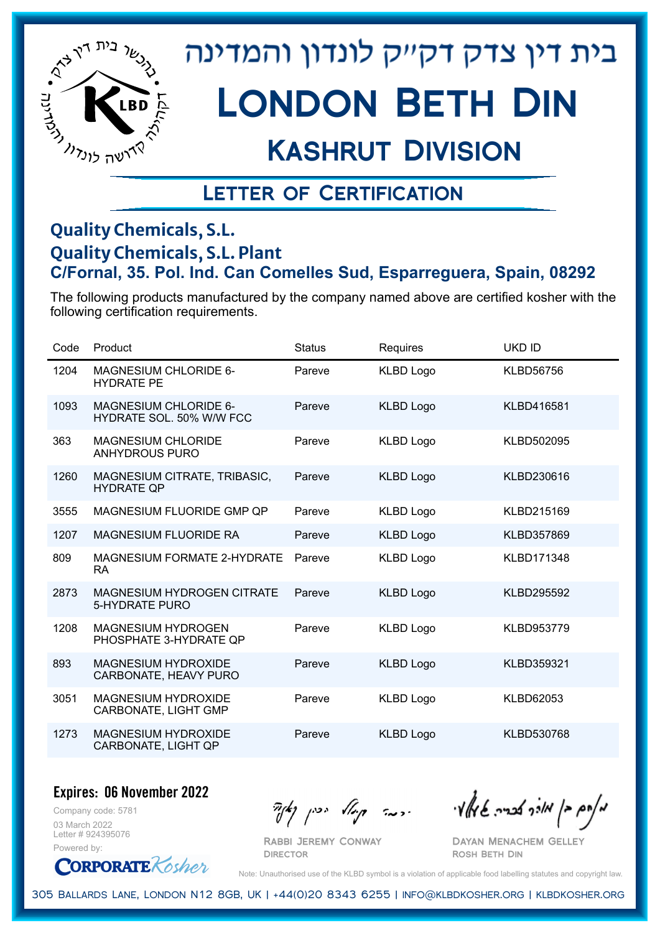

# London Beth Din

## Kashrut Division

### Letter of Certification

#### **Quality Chemicals, S.L. Quality Chemicals, S.L. Plant C/Fornal, 35. Pol. Ind. Can Comelles Sud, Esparreguera, Spain, 08292**

The following products manufactured by the company named above are certified kosher with the following certification requirements.

| Code | Product                                                    | <b>Status</b> | Requires         | <b>UKD ID</b>    |
|------|------------------------------------------------------------|---------------|------------------|------------------|
| 1204 | <b>MAGNESIUM CHLORIDE 6-</b><br><b>HYDRATE PE</b>          | Pareve        | <b>KLBD Logo</b> | <b>KLBD56756</b> |
| 1093 | <b>MAGNESIUM CHLORIDE 6-</b><br>HYDRATE SOL. 50% W/W FCC   | Pareve        | <b>KLBD Logo</b> | KLBD416581       |
| 363  | <b>MAGNESIUM CHLORIDE</b><br><b>ANHYDROUS PURO</b>         | Pareve        | <b>KLBD Logo</b> | KLBD502095       |
| 1260 | MAGNESIUM CITRATE, TRIBASIC,<br><b>HYDRATE QP</b>          | Pareve        | <b>KLBD Logo</b> | KLBD230616       |
| 3555 | MAGNESIUM FLUORIDE GMP QP                                  | Pareve        | <b>KLBD Logo</b> | KLBD215169       |
| 1207 | <b>MAGNESIUM FLUORIDE RA</b>                               | Pareve        | <b>KLBD Logo</b> | KLBD357869       |
| 809  | MAGNESIUM FORMATE 2-HYDRATE<br>RA.                         | Pareve        | <b>KLBD Logo</b> | KLBD171348       |
| 2873 | <b>MAGNESIUM HYDROGEN CITRATE</b><br><b>5-HYDRATE PURO</b> | Pareve        | <b>KLBD Logo</b> | KLBD295592       |
| 1208 | <b>MAGNESIUM HYDROGEN</b><br>PHOSPHATE 3-HYDRATE QP        | Pareve        | <b>KLBD Logo</b> | KLBD953779       |
| 893  | <b>MAGNESIUM HYDROXIDE</b><br>CARBONATE, HEAVY PURO        | Pareve        | <b>KLBD Logo</b> | KLBD359321       |
| 3051 | <b>MAGNESIUM HYDROXIDE</b><br>CARBONATE, LIGHT GMP         | Pareve        | <b>KLBD Logo</b> | <b>KLBD62053</b> |
| 1273 | <b>MAGNESIUM HYDROXIDE</b><br><b>CARBONATE, LIGHT QP</b>   | Pareve        | <b>KLBD Logo</b> | KLBD530768       |

#### **Expires: 06 November 2022**

Company code: 5781 03 March 2022 Letter # 924395076 Powered by:



Rabbi Jeremy Conway

 $\mathcal{H}_{\text{max}}$   $\mathcal{H}_{\text{max}}$  and  $\mathcal{H}_{\text{max}}$  . The contract  $\mathcal{H}_{\text{max}}$ 

Dayan Menachem Gelley Rosh Beth Din

Note: Unauthorised use of the KLBD symbol is a violation of applicable food labelling statutes and copyright law.

305 Ballards Lane, London N12 8GB, UK | +44(0)20 8343 6255 | info@klbdkosher.org | klbdkosher.org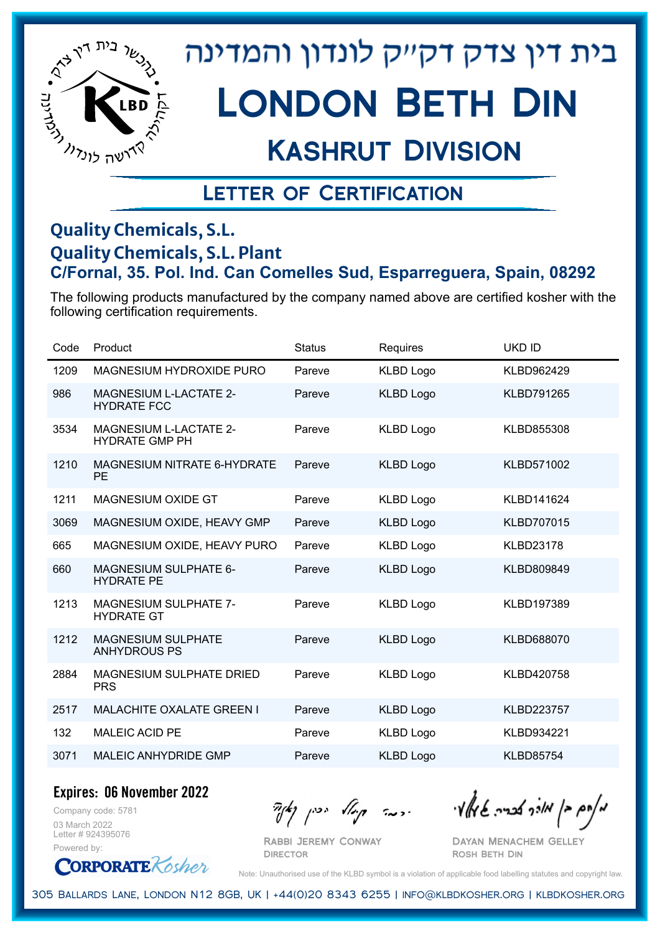

# Kashrut Division

### Letter of Certification

#### **Quality Chemicals, S.L. Quality Chemicals, S.L. Plant C/Fornal, 35. Pol. Ind. Can Comelles Sud, Esparreguera, Spain, 08292**

The following products manufactured by the company named above are certified kosher with the following certification requirements.

| Product                                                | <b>Status</b> | Requires         | UKD ID            |
|--------------------------------------------------------|---------------|------------------|-------------------|
| MAGNESIUM HYDROXIDE PURO                               | Pareve        | <b>KLBD Logo</b> | KLBD962429        |
| <b>MAGNESIUM L-LACTATE 2-</b><br><b>HYDRATE FCC</b>    | Pareve        | <b>KLBD Logo</b> | <b>KLBD791265</b> |
| <b>MAGNESIUM L-LACTATE 2-</b><br><b>HYDRATE GMP PH</b> | Pareve        | <b>KLBD Logo</b> | KLBD855308        |
| MAGNESIUM NITRATE 6-HYDRATE<br><b>PE</b>               | Pareve        | <b>KLBD Logo</b> | KLBD571002        |
| <b>MAGNESIUM OXIDE GT</b>                              | Pareve        | <b>KLBD Logo</b> | KLBD141624        |
| MAGNESIUM OXIDE, HEAVY GMP                             | Pareve        | <b>KLBD Logo</b> | <b>KLBD707015</b> |
| MAGNESIUM OXIDE, HEAVY PURO                            | Pareve        | <b>KLBD Logo</b> | <b>KLBD23178</b>  |
| <b>MAGNESIUM SULPHATE 6-</b><br><b>HYDRATE PE</b>      | Pareve        | <b>KLBD Logo</b> | KLBD809849        |
| <b>MAGNESIUM SULPHATE 7-</b><br><b>HYDRATE GT</b>      | Pareve        | <b>KLBD Logo</b> | KLBD197389        |
| <b>MAGNESIUM SULPHATE</b><br><b>ANHYDROUS PS</b>       | Pareve        | <b>KLBD Logo</b> | KLBD688070        |
| <b>MAGNESIUM SULPHATE DRIED</b><br><b>PRS</b>          | Pareve        | <b>KLBD Logo</b> | KLBD420758        |
| <b>MALACHITE OXALATE GREEN I</b>                       | Pareve        | <b>KLBD Logo</b> | <b>KLBD223757</b> |
| <b>MALEIC ACID PE</b>                                  | Pareve        | <b>KLBD Logo</b> | KLBD934221        |
| <b>MALEIC ANHYDRIDE GMP</b>                            | Pareve        | <b>KLBD Logo</b> | <b>KLBD85754</b>  |
|                                                        |               |                  |                   |

**Expires: 06 November 2022**

Company code: 5781 03 March 2022 Letter # 924395076 Powered by:

**ORPORATE** Kosher

Rabbi Jeremy Conway **DIRECTOR** 

 $\partial_{\eta}^{A}(\theta)$  and  $\partial_{\eta}^{A}(\theta)$  and  $\partial_{\eta}^{A}(\theta)$  and  $\partial_{\eta}^{A}(\theta)$ 

Dayan Menachem Gelley Rosh Beth Din

Note: Unauthorised use of the KLBD symbol is a violation of applicable food labelling statutes and copyright law.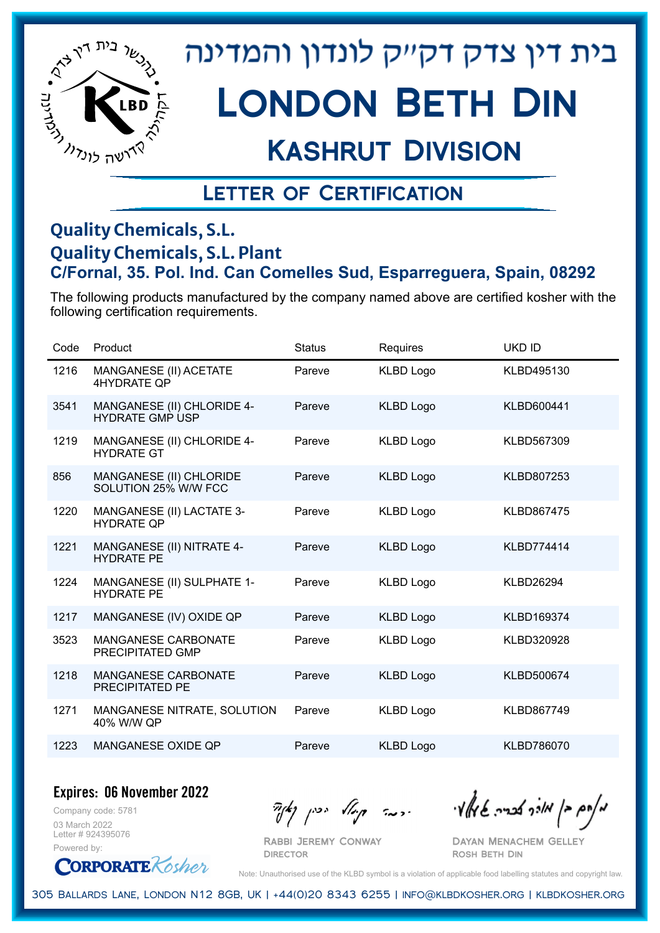

# London Beth Din

## Kashrut Division

### Letter of Certification

#### **Quality Chemicals, S.L. Quality Chemicals, S.L. Plant C/Fornal, 35. Pol. Ind. Can Comelles Sud, Esparreguera, Spain, 08292**

The following products manufactured by the company named above are certified kosher with the following certification requirements.

| Code | Product                                              | <b>Status</b> | Requires         | <b>UKD ID</b>     |
|------|------------------------------------------------------|---------------|------------------|-------------------|
| 1216 | MANGANESE (II) ACETATE<br>4HYDRATE OP                | Pareve        | <b>KLBD Logo</b> | KLBD495130        |
| 3541 | MANGANESE (II) CHLORIDE 4-<br><b>HYDRATE GMP USP</b> | Pareve        | <b>KLBD Logo</b> | KLBD600441        |
| 1219 | MANGANESE (II) CHLORIDE 4-<br><b>HYDRATE GT</b>      | Pareve        | <b>KLBD Logo</b> | KLBD567309        |
| 856  | MANGANESE (II) CHLORIDE<br>SOLUTION 25% W/W FCC      | Pareve        | <b>KLBD Logo</b> | KLBD807253        |
| 1220 | MANGANESE (II) LACTATE 3-<br><b>HYDRATE QP</b>       | Pareve        | <b>KLBD Logo</b> | <b>KLBD867475</b> |
| 1221 | MANGANESE (II) NITRATE 4-<br><b>HYDRATE PE</b>       | Pareve        | <b>KLBD Logo</b> | KLBD774414        |
| 1224 | MANGANESE (II) SULPHATE 1-<br><b>HYDRATE PE</b>      | Pareve        | <b>KLBD Logo</b> | <b>KLBD26294</b>  |
| 1217 | MANGANESE (IV) OXIDE QP                              | Pareve        | <b>KLBD Logo</b> | KLBD169374        |
| 3523 | <b>MANGANESE CARBONATE</b><br>PRECIPITATED GMP       | Pareve        | <b>KLBD Logo</b> | KLBD320928        |
| 1218 | MANGANESE CARBONATE<br><b>PRECIPITATED PE</b>        | Pareve        | <b>KLBD Logo</b> | KLBD500674        |
| 1271 | MANGANESE NITRATE, SOLUTION<br>40% W/W QP            | Pareve        | <b>KLBD Logo</b> | KLBD867749        |
| 1223 | MANGANESE OXIDE QP                                   | Pareve        | <b>KLBD Logo</b> | KLBD786070        |

**Expires: 06 November 2022**

Company code: 5781 03 March 2022 Letter # 924395076 Powered by:

**CORPORATE** Kosher

Rabbi Jeremy Conway

**DIRECTOR** 

 $\partial_{\eta}^{A}(\theta)$  and  $\partial_{\eta}^{A}(\theta)$  and  $\partial_{\eta}^{A}(\theta)$  and  $\partial_{\eta}^{A}(\theta)$ 

Dayan Menachem Gelley Rosh Beth Din

Note: Unauthorised use of the KLBD symbol is a violation of applicable food labelling statutes and copyright law.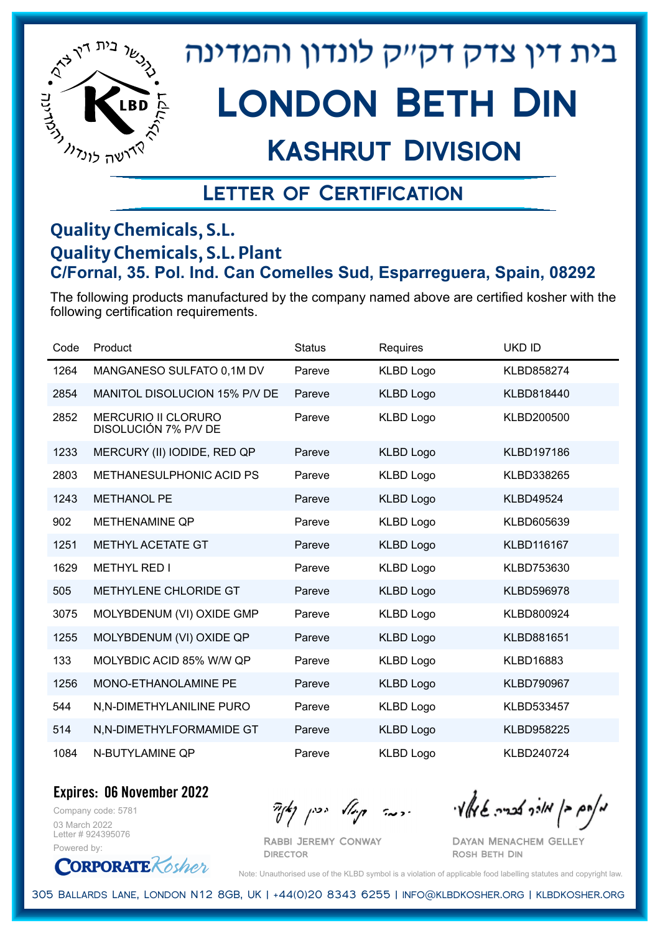

## Kashrut Division

### Letter of Certification

#### **Quality Chemicals, S.L. Quality Chemicals, S.L. Plant C/Fornal, 35. Pol. Ind. Can Comelles Sud, Esparreguera, Spain, 08292**

The following products manufactured by the company named above are certified kosher with the following certification requirements.

| Code | Product                                            | <b>Status</b> | Requires         | <b>UKD ID</b>     |
|------|----------------------------------------------------|---------------|------------------|-------------------|
| 1264 | MANGANESO SULFATO 0,1M DV                          | Pareve        | <b>KLBD Logo</b> | KLBD858274        |
| 2854 | MANITOL DISOLUCION 15% P/V DE                      | Pareve        | <b>KLBD Logo</b> | KLBD818440        |
| 2852 | <b>MERCURIO II CLORURO</b><br>DISOLUCIÓN 7% P/V DE | Pareve        | <b>KLBD Logo</b> | KLBD200500        |
| 1233 | MERCURY (II) IODIDE, RED QP                        | Pareve        | <b>KLBD Logo</b> | KLBD197186        |
| 2803 | <b>METHANESULPHONIC ACID PS</b>                    | Pareve        | <b>KLBD Logo</b> | KLBD338265        |
| 1243 | <b>METHANOL PE</b>                                 | Pareve        | <b>KLBD Logo</b> | <b>KLBD49524</b>  |
| 902  | <b>METHENAMINE QP</b>                              | Pareve        | <b>KLBD Logo</b> | KLBD605639        |
| 1251 | METHYL ACETATE GT                                  | Pareve        | <b>KLBD Logo</b> | KLBD116167        |
| 1629 | <b>METHYL RED I</b>                                | Pareve        | <b>KLBD Logo</b> | KLBD753630        |
| 505  | METHYLENE CHLORIDE GT                              | Pareve        | <b>KLBD Logo</b> | KLBD596978        |
| 3075 | MOLYBDENUM (VI) OXIDE GMP                          | Pareve        | <b>KLBD Logo</b> | KLBD800924        |
| 1255 | MOLYBDENUM (VI) OXIDE QP                           | Pareve        | <b>KLBD Logo</b> | KLBD881651        |
| 133  | MOLYBDIC ACID 85% W/W QP                           | Pareve        | <b>KLBD Logo</b> | KLBD16883         |
| 1256 | MONO-ETHANOLAMINE PE                               | Pareve        | <b>KLBD Logo</b> | <b>KLBD790967</b> |
| 544  | N,N-DIMETHYLANILINE PURO                           | Pareve        | <b>KLBD Logo</b> | KLBD533457        |
| 514  | N,N-DIMETHYLFORMAMIDE GT                           | Pareve        | <b>KLBD Logo</b> | KLBD958225        |
| 1084 | N-BUTYLAMINE QP                                    | Pareve        | <b>KLBD Logo</b> | KLBD240724        |

**Expires: 06 November 2022**

Company code: 5781 03 March 2022 Letter # 924395076 Powered by:

**CORPORATE** Rosher

 $\partial_{\eta} \partial_{\eta}$   $\partial_{\eta} \partial_{\eta}$  and  $\partial_{\eta} \partial_{\eta} \partial_{\eta}$  and  $\partial_{\eta} \partial_{\eta} \partial_{\eta}$ 

Dayan Menachem Gelley Rosh Beth Din

Note: Unauthorised use of the KLBD symbol is a violation of applicable food labelling statutes and copyright law.

305 Ballards Lane, London N12 8GB, UK | +44(0)20 8343 6255 | info@klbdkosher.org | klbdkosher.org

Rabbi Jeremy Conway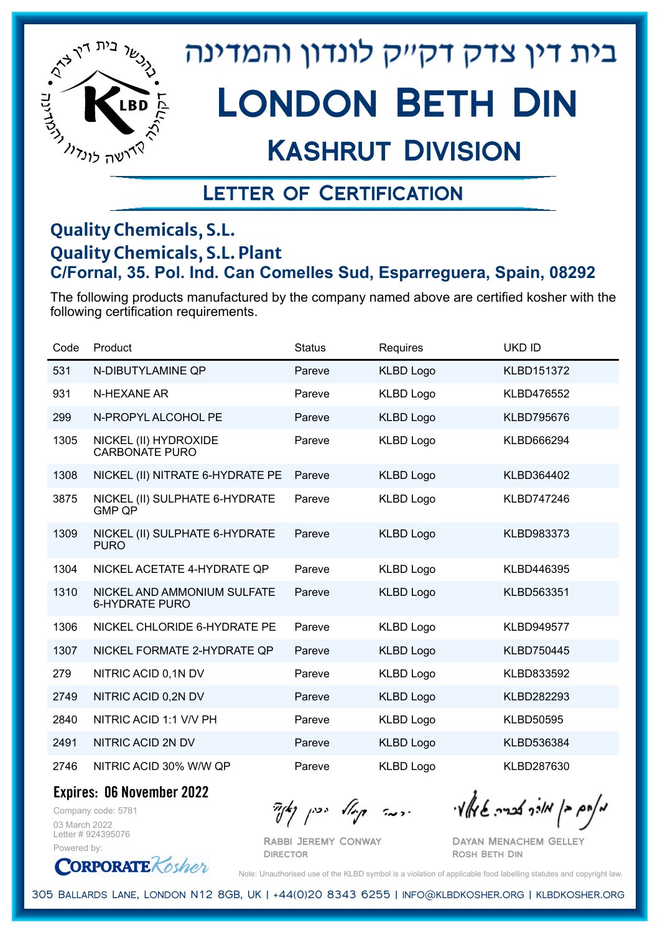

# Kashrut Division

### Letter of Certification

#### **Quality Chemicals, S.L. Quality Chemicals, S.L. Plant C/Fornal, 35. Pol. Ind. Can Comelles Sud, Esparreguera, Spain, 08292**

The following products manufactured by the company named above are certified kosher with the following certification requirements.

| Code | Product                                              | <b>Status</b> | Requires         | <b>UKD ID</b>     |
|------|------------------------------------------------------|---------------|------------------|-------------------|
| 531  | N-DIBUTYLAMINE QP                                    | Pareve        | <b>KLBD Logo</b> | <b>KLBD151372</b> |
| 931  | N-HEXANE AR                                          | Pareve        | <b>KLBD Logo</b> | <b>KLBD476552</b> |
| 299  | N-PROPYL ALCOHOL PE                                  | Pareve        | <b>KLBD Logo</b> | <b>KLBD795676</b> |
| 1305 | NICKEL (II) HYDROXIDE<br><b>CARBONATE PURO</b>       | Pareve        | <b>KLBD Logo</b> | KLBD666294        |
| 1308 | NICKEL (II) NITRATE 6-HYDRATE PE                     | Pareve        | <b>KLBD Logo</b> | KLBD364402        |
| 3875 | NICKEL (II) SULPHATE 6-HYDRATE<br><b>GMP QP</b>      | Pareve        | <b>KLBD Logo</b> | <b>KLBD747246</b> |
| 1309 | NICKEL (II) SULPHATE 6-HYDRATE<br><b>PURO</b>        | Pareve        | <b>KLBD Logo</b> | KLBD983373        |
| 1304 | NICKEL ACETATE 4-HYDRATE QP                          | Pareve        | <b>KLBD Logo</b> | KLBD446395        |
| 1310 | NICKEL AND AMMONIUM SULFATE<br><b>6-HYDRATE PURO</b> | Pareve        | <b>KLBD Logo</b> | KLBD563351        |
| 1306 | NICKEL CHLORIDE 6-HYDRATE PE                         | Pareve        | <b>KLBD Logo</b> | <b>KLBD949577</b> |
| 1307 | NICKEL FORMATE 2-HYDRATE QP                          | Pareve        | <b>KLBD Logo</b> | <b>KLBD750445</b> |
| 279  | NITRIC ACID 0,1N DV                                  | Pareve        | <b>KLBD Logo</b> | KLBD833592        |
| 2749 | NITRIC ACID 0,2N DV                                  | Pareve        | <b>KLBD Logo</b> | KLBD282293        |
| 2840 | NITRIC ACID 1:1 V/V PH                               | Pareve        | <b>KLBD Logo</b> | <b>KLBD50595</b>  |
| 2491 | NITRIC ACID 2N DV                                    | Pareve        | <b>KLBD Logo</b> | KLBD536384        |
| 2746 | NITRIC ACID 30% W/W QP                               | Pareve        | <b>KLBD Logo</b> | KLBD287630        |

**Expires: 06 November 2022**

Company code: 5781 03 March 2022 Letter # 924395076 Powered by:

**CORPORATE** Kosher

Rabbi Jeremy Conway **DIRECTOR** 

 $\partial_{\eta} \partial_{\eta}$   $\partial_{\eta} \partial_{\eta}$  and  $\partial_{\eta} \partial_{\eta} \partial_{\eta}$  and  $\partial_{\eta} \partial_{\eta} \partial_{\eta}$ 

Dayan Menachem Gelley Rosh Beth Din

Note: Unauthorised use of the KLBD symbol is a violation of applicable food labelling statutes and copyright law.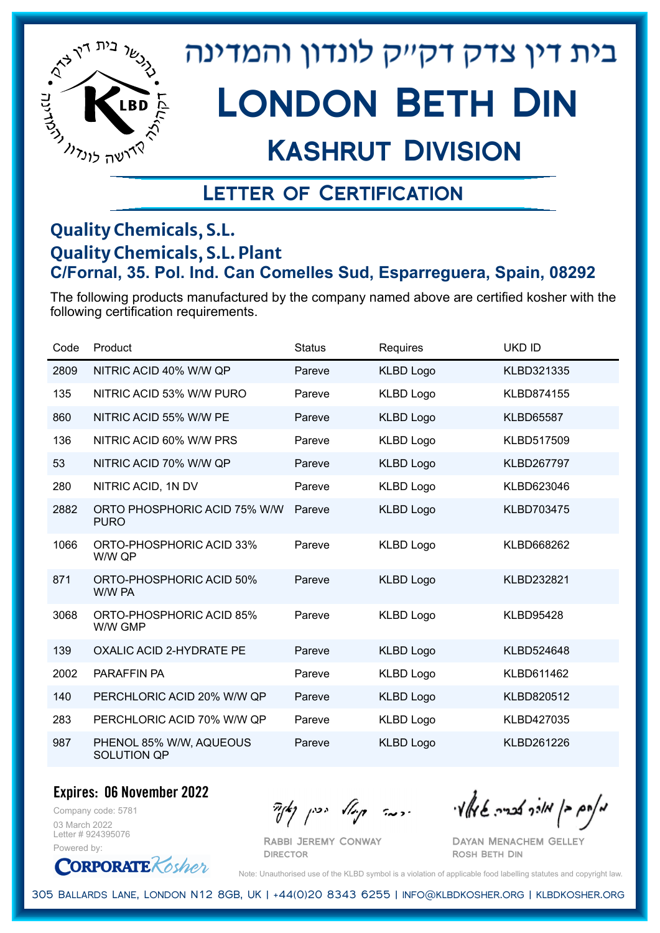

## Kashrut Division

### Letter of Certification

#### **Quality Chemicals, S.L. Quality Chemicals, S.L. Plant C/Fornal, 35. Pol. Ind. Can Comelles Sud, Esparreguera, Spain, 08292**

The following products manufactured by the company named above are certified kosher with the following certification requirements.

| Code | Product                                     | <b>Status</b> | Requires         | <b>UKD ID</b>     |
|------|---------------------------------------------|---------------|------------------|-------------------|
| 2809 | NITRIC ACID 40% W/W QP                      | Pareve        | <b>KLBD Logo</b> | KLBD321335        |
| 135  | NITRIC ACID 53% W/W PURO                    | Pareve        | <b>KLBD Logo</b> | <b>KLBD874155</b> |
| 860  | NITRIC ACID 55% W/W PE                      | Pareve        | <b>KLBD Logo</b> | <b>KLBD65587</b>  |
| 136  | NITRIC ACID 60% W/W PRS                     | Pareve        | <b>KLBD Logo</b> | KLBD517509        |
| 53   | NITRIC ACID 70% W/W QP                      | Pareve        | <b>KLBD Logo</b> | <b>KLBD267797</b> |
| 280  | NITRIC ACID, 1N DV                          | Pareve        | <b>KLBD Logo</b> | KLBD623046        |
| 2882 | ORTO PHOSPHORIC ACID 75% W/W<br><b>PURO</b> | Pareve        | <b>KLBD Logo</b> | <b>KLBD703475</b> |
| 1066 | ORTO-PHOSPHORIC ACID 33%<br>W/W QP          | Pareve        | <b>KLBD Logo</b> | KLBD668262        |
| 871  | ORTO-PHOSPHORIC ACID 50%<br>W/W PA          | Pareve        | <b>KLBD Logo</b> | KLBD232821        |
| 3068 | ORTO-PHOSPHORIC ACID 85%<br>W/W GMP         | Pareve        | <b>KLBD Logo</b> | <b>KLBD95428</b>  |
| 139  | <b>OXALIC ACID 2-HYDRATE PE</b>             | Pareve        | <b>KLBD Logo</b> | KLBD524648        |
| 2002 | <b>PARAFFIN PA</b>                          | Pareve        | <b>KLBD Logo</b> | KLBD611462        |
| 140  | PERCHLORIC ACID 20% W/W QP                  | Pareve        | <b>KLBD Logo</b> | KLBD820512        |
| 283  | PERCHLORIC ACID 70% W/W QP                  | Pareve        | <b>KLBD Logo</b> | KLBD427035        |
| 987  | PHENOL 85% W/W, AQUEOUS<br>SOLUTION QP      | Pareve        | <b>KLBD Logo</b> | KLBD261226        |

**Expires: 06 November 2022**

Company code: 5781 03 March 2022 Letter # 924395076 Powered by:

**CORPORATE** Kosher

 $\frac{1}{2}$ אולך אולך בריה שיאלי ויכה קיול יכין קאיד

Dayan Menachem Gelley Rosh Beth Din

Note: Unauthorised use of the KLBD symbol is a violation of applicable food labelling statutes and copyright law.

305 Ballards Lane, London N12 8GB, UK | +44(0)20 8343 6255 | info@klbdkosher.org | klbdkosher.org

Rabbi Jeremy Conway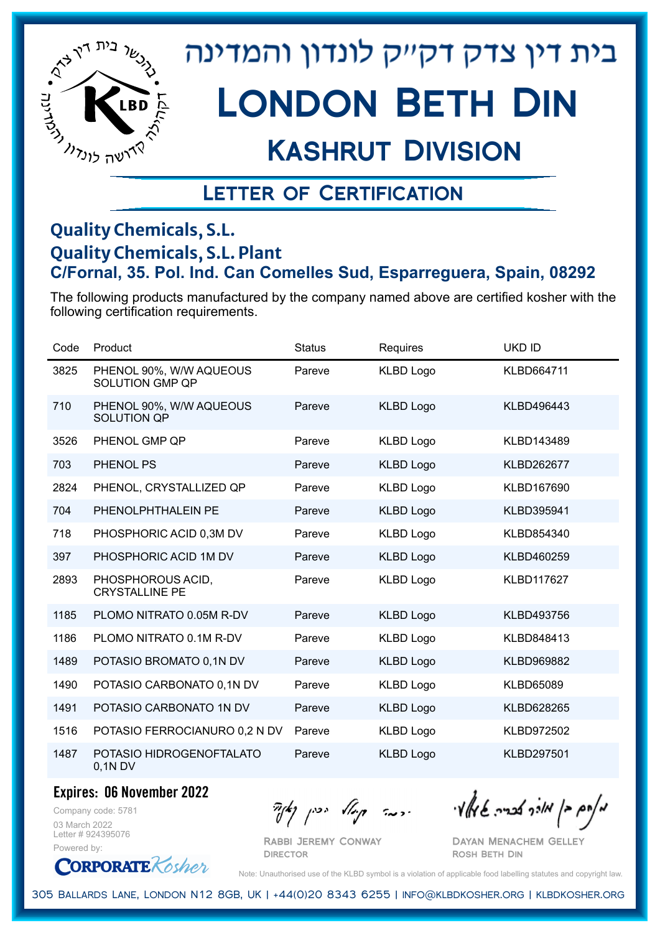

# London Beth Din

## Kashrut Division

### Letter of Certification

#### **Quality Chemicals, S.L. Quality Chemicals, S.L. Plant C/Fornal, 35. Pol. Ind. Can Comelles Sud, Esparreguera, Spain, 08292**

The following products manufactured by the company named above are certified kosher with the following certification requirements.

| Code | Product                                           | <b>Status</b> | Requires         | <b>UKD ID</b>     |
|------|---------------------------------------------------|---------------|------------------|-------------------|
| 3825 | PHENOL 90%, W/W AQUEOUS<br><b>SOLUTION GMP QP</b> | Pareve        | <b>KLBD Logo</b> | KLBD664711        |
| 710  | PHENOL 90%, W/W AQUEOUS<br>SOLUTION QP            | Pareve        | <b>KLBD Logo</b> | KLBD496443        |
| 3526 | PHENOL GMP QP                                     | Pareve        | <b>KLBD Logo</b> | KLBD143489        |
| 703  | PHENOL PS                                         | Pareve        | <b>KLBD Logo</b> | <b>KLBD262677</b> |
| 2824 | PHENOL, CRYSTALLIZED QP                           | Pareve        | <b>KLBD Logo</b> | KLBD167690        |
| 704  | PHENOLPHTHALEIN PE                                | Pareve        | <b>KLBD Logo</b> | KLBD395941        |
| 718  | PHOSPHORIC ACID 0,3M DV                           | Pareve        | <b>KLBD Logo</b> | KLBD854340        |
| 397  | PHOSPHORIC ACID 1M DV                             | Pareve        | <b>KLBD Logo</b> | KLBD460259        |
| 2893 | PHOSPHOROUS ACID,<br><b>CRYSTALLINE PE</b>        | Pareve        | <b>KLBD Logo</b> | <b>KLBD117627</b> |
| 1185 | PLOMO NITRATO 0.05M R-DV                          | Pareve        | <b>KLBD Logo</b> | KLBD493756        |
| 1186 | PLOMO NITRATO 0.1M R-DV                           | Pareve        | <b>KLBD Logo</b> | KLBD848413        |
| 1489 | POTASIO BROMATO 0,1N DV                           | Pareve        | <b>KLBD Logo</b> | KLBD969882        |
| 1490 | POTASIO CARBONATO 0,1N DV                         | Pareve        | <b>KLBD Logo</b> | <b>KLBD65089</b>  |
| 1491 | POTASIO CARBONATO 1N DV                           | Pareve        | <b>KLBD Logo</b> | KLBD628265        |
| 1516 | POTASIO FERROCIANURO 0,2 N DV                     | Pareve        | <b>KLBD Logo</b> | KLBD972502        |
| 1487 | POTASIO HIDROGENOFTALATO<br>$0,1N$ DV             | Pareve        | <b>KLBD Logo</b> | KLBD297501        |

**Expires: 06 November 2022**

Company code: 5781 03 March 2022 Letter # 924395076 Powered by:

**CORPORATE** Rosher

Rabbi Jeremy Conway

**DIRECTOR** 

 $\frac{1}{2}$ אולך אברה שיאלי ויכה קייל יכין קאיר

Dayan Menachem Gelley Rosh Beth Din

Note: Unauthorised use of the KLBD symbol is a violation of applicable food labelling statutes and copyright law.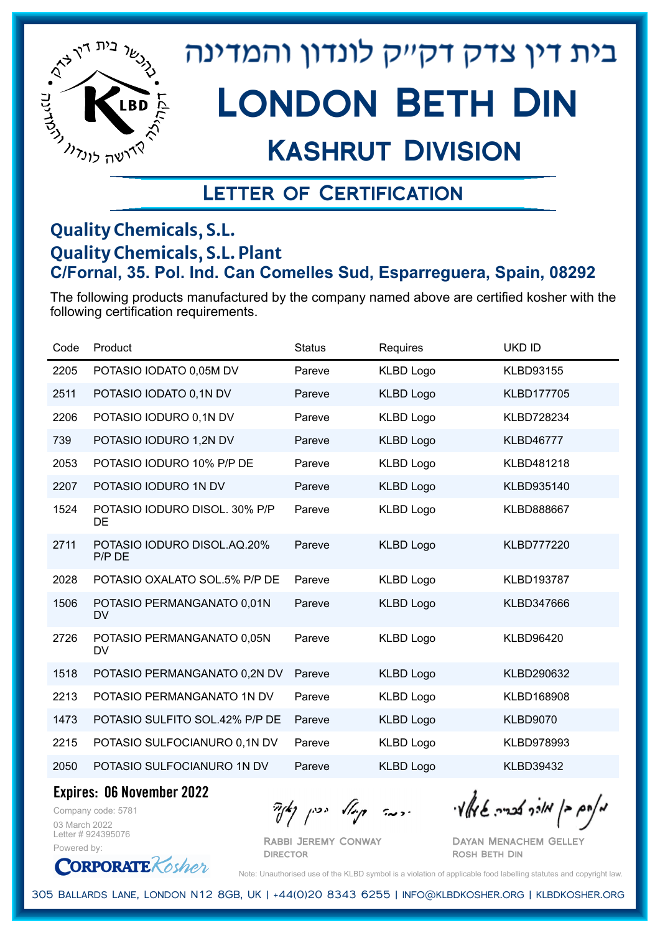

## Kashrut Division

### Letter of Certification

#### **Quality Chemicals, S.L. Quality Chemicals, S.L. Plant C/Fornal, 35. Pol. Ind. Can Comelles Sud, Esparreguera, Spain, 08292**

The following products manufactured by the company named above are certified kosher with the following certification requirements.

| Code | Product                                 | <b>Status</b> | Requires         | <b>UKD ID</b>     |
|------|-----------------------------------------|---------------|------------------|-------------------|
| 2205 | POTASIO IODATO 0,05M DV                 | Pareve        | <b>KLBD Logo</b> | <b>KLBD93155</b>  |
| 2511 | POTASIO IODATO 0,1N DV                  | Pareve        | <b>KLBD Logo</b> | KLBD177705        |
| 2206 | POTASIO IODURO 0,1N DV                  | Pareve        | <b>KLBD Logo</b> | KLBD728234        |
| 739  | POTASIO IODURO 1,2N DV                  | Pareve        | <b>KLBD Logo</b> | <b>KLBD46777</b>  |
| 2053 | POTASIO IODURO 10% P/P DE               | Pareve        | <b>KLBD Logo</b> | KLBD481218        |
| 2207 | POTASIO IODURO 1N DV                    | Pareve        | <b>KLBD Logo</b> | KLBD935140        |
| 1524 | POTASIO IODURO DISOL, 30% P/P<br>DE     | Pareve        | <b>KLBD Logo</b> | <b>KLBD888667</b> |
| 2711 | POTASIO IODURO DISOL.AQ.20%<br>P/P DE   | Pareve        | <b>KLBD Logo</b> | <b>KLBD777220</b> |
| 2028 | POTASIO OXALATO SOL.5% P/P DE           | Pareve        | <b>KLBD Logo</b> | <b>KLBD193787</b> |
| 1506 | POTASIO PERMANGANATO 0,01N<br><b>DV</b> | Pareve        | <b>KLBD Logo</b> | KLBD347666        |
| 2726 | POTASIO PERMANGANATO 0,05N<br>DV        | Pareve        | <b>KLBD Logo</b> | <b>KLBD96420</b>  |
| 1518 | POTASIO PERMANGANATO 0,2N DV            | Pareve        | <b>KLBD Logo</b> | KLBD290632        |
| 2213 | POTASIO PERMANGANATO 1N DV              | Pareve        | <b>KLBD Logo</b> | KLBD168908        |
| 1473 | POTASIO SULFITO SOL.42% P/P DE          | Pareve        | <b>KLBD Logo</b> | <b>KLBD9070</b>   |
| 2215 | POTASIO SULFOCIANURO 0,1N DV            | Pareve        | <b>KLBD Logo</b> | KLBD978993        |
| 2050 | POTASIO SULFOCIANURO 1N DV              | Pareve        | <b>KLBD Logo</b> | <b>KLBD39432</b>  |

**Expires: 06 November 2022**

**ORPORATE** Kosher

Company code: 5781 03 March 2022 Letter # 924395076 Powered by:

 $\partial_{\eta}^{A}(\theta)$  and  $\partial_{\eta}^{A}(\theta)$  and  $\partial_{\eta}^{A}(\theta)$  and  $\partial_{\eta}^{A}(\theta)$ 

Rabbi Jeremy Conway **DIRECTOR** 

Dayan Menachem Gelley Rosh Beth Din

Note: Unauthorised use of the KLBD symbol is a violation of applicable food labelling statutes and copyright law.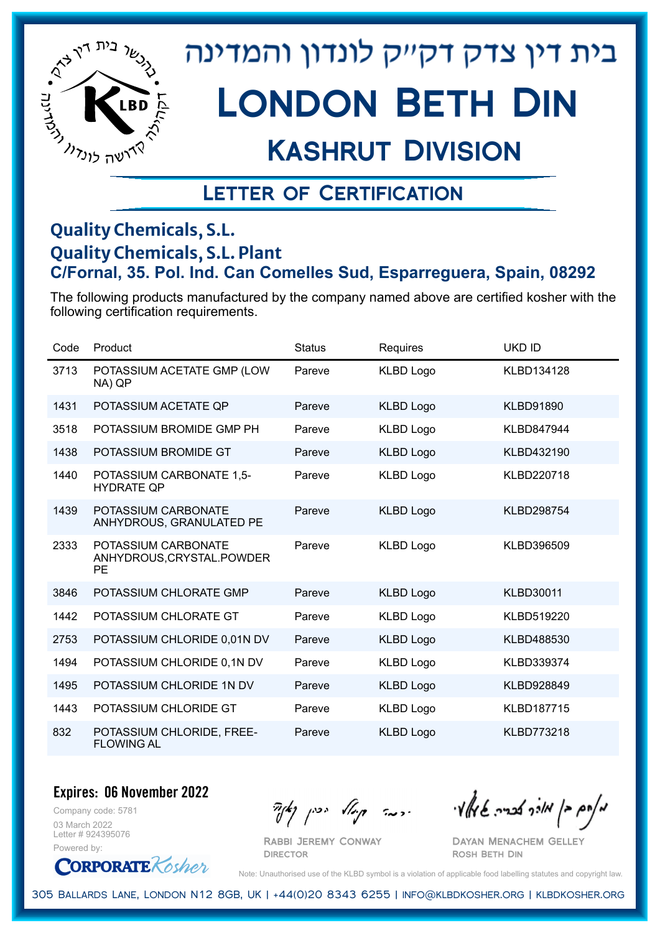

# London Beth Din

### Kashrut Division

### Letter of Certification

#### **Quality Chemicals, S.L. Quality Chemicals, S.L. Plant C/Fornal, 35. Pol. Ind. Can Comelles Sud, Esparreguera, Spain, 08292**

The following products manufactured by the company named above are certified kosher with the following certification requirements.

| Code | Product                                                        | <b>Status</b> | Requires         | <b>UKD ID</b>     |
|------|----------------------------------------------------------------|---------------|------------------|-------------------|
| 3713 | POTASSIUM ACETATE GMP (LOW<br>NA) QP                           | Pareve        | <b>KLBD Logo</b> | KLBD134128        |
| 1431 | POTASSIUM ACETATE QP                                           | Pareve        | <b>KLBD Logo</b> | <b>KLBD91890</b>  |
| 3518 | POTASSIUM BROMIDE GMP PH                                       | Pareve        | <b>KLBD Logo</b> | <b>KLBD847944</b> |
| 1438 | POTASSIUM BROMIDE GT                                           | Pareve        | <b>KLBD Logo</b> | KLBD432190        |
| 1440 | POTASSIUM CARBONATE 1,5-<br><b>HYDRATE QP</b>                  | Pareve        | <b>KLBD Logo</b> | KLBD220718        |
| 1439 | POTASSIUM CARBONATE<br>ANHYDROUS, GRANULATED PE                | Pareve        | <b>KLBD Logo</b> | <b>KLBD298754</b> |
| 2333 | POTASSIUM CARBONATE<br>ANHYDROUS, CRYSTAL. POWDER<br><b>PE</b> | Pareve        | <b>KLBD Logo</b> | KLBD396509        |
| 3846 | POTASSIUM CHLORATE GMP                                         | Pareve        | <b>KLBD Logo</b> | <b>KLBD30011</b>  |
| 1442 | POTASSIUM CHLORATE GT                                          | Pareve        | KLBD Logo        | KLBD519220        |
| 2753 | POTASSIUM CHLORIDE 0,01N DV                                    | Pareve        | <b>KLBD Logo</b> | KLBD488530        |
| 1494 | POTASSIUM CHLORIDE 0,1N DV                                     | Pareve        | KLBD Logo        | KLBD339374        |
| 1495 | POTASSIUM CHLORIDE 1N DV                                       | Pareve        | <b>KLBD Logo</b> | <b>KLBD928849</b> |
| 1443 | POTASSIUM CHLORIDE GT                                          | Pareve        | KLBD Logo        | <b>KLBD187715</b> |
| 832  | POTASSIUM CHLORIDE, FREE-<br><b>FLOWING AL</b>                 | Pareve        | <b>KLBD Logo</b> | <b>KLBD773218</b> |

#### **Expires: 06 November 2022**

Company code: 5781 03 March 2022 Letter # 924395076 Powered by:



 $\frac{1}{2}$   $\frac{1}{2}$   $\frac{1}{2}$   $\frac{1}{2}$   $\frac{1}{2}$   $\frac{1}{2}$   $\frac{1}{2}$   $\frac{1}{2}$   $\frac{1}{2}$   $\frac{1}{2}$   $\frac{1}{2}$   $\frac{1}{2}$   $\frac{1}{2}$   $\frac{1}{2}$   $\frac{1}{2}$   $\frac{1}{2}$   $\frac{1}{2}$   $\frac{1}{2}$   $\frac{1}{2}$   $\frac{1}{2}$   $\frac{1}{2}$   $\frac{1}{2}$ 

Dayan Menachem Gelley Rosh Beth Din

Note: Unauthorised use of the KLBD symbol is a violation of applicable food labelling statutes and copyright law.

305 Ballards Lane, London N12 8GB, UK | +44(0)20 8343 6255 | info@klbdkosher.org | klbdkosher.org

Rabbi Jeremy Conway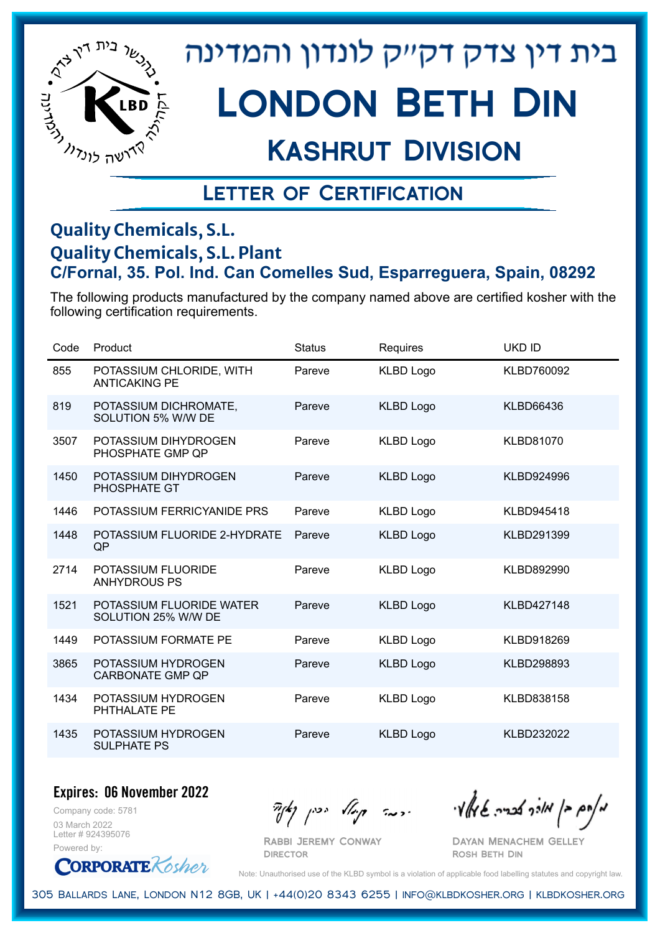

# London Beth Din

## Kashrut Division

### Letter of Certification

#### **Quality Chemicals, S.L. Quality Chemicals, S.L. Plant C/Fornal, 35. Pol. Ind. Can Comelles Sud, Esparreguera, Spain, 08292**

The following products manufactured by the company named above are certified kosher with the following certification requirements.

| Code | Product                                          | <b>Status</b> | <b>Requires</b>  | <b>UKD ID</b>     |
|------|--------------------------------------------------|---------------|------------------|-------------------|
| 855  | POTASSIUM CHLORIDE, WITH<br><b>ANTICAKING PE</b> | Pareve        | <b>KLBD Logo</b> | KLBD760092        |
| 819  | POTASSIUM DICHROMATE,<br>SOLUTION 5% W/W DE      | Pareve        | <b>KLBD Logo</b> | <b>KLBD66436</b>  |
| 3507 | POTASSIUM DIHYDROGEN<br>PHOSPHATE GMP QP         | Pareve        | <b>KLBD Logo</b> | <b>KLBD81070</b>  |
| 1450 | POTASSIUM DIHYDROGEN<br>PHOSPHATE GT             | Pareve        | <b>KLBD Logo</b> | KLBD924996        |
| 1446 | POTASSIUM FERRICYANIDE PRS                       | Pareve        | <b>KLBD Logo</b> | KLBD945418        |
| 1448 | POTASSIUM FLUORIDE 2-HYDRATE<br>QP               | Pareve        | <b>KLBD Logo</b> | KLBD291399        |
| 2714 | POTASSIUM FLUORIDE<br><b>ANHYDROUS PS</b>        | Pareve        | <b>KLBD Logo</b> | KLBD892990        |
| 1521 | POTASSIUM FLUORIDE WATER<br>SOLUTION 25% W/W DE  | Pareve        | <b>KLBD Logo</b> | <b>KLBD427148</b> |
| 1449 | POTASSIUM FORMATE PE                             | Pareve        | <b>KLBD Logo</b> | KLBD918269        |
| 3865 | POTASSIUM HYDROGEN<br><b>CARBONATE GMP QP</b>    | Pareve        | <b>KLBD Logo</b> | KLBD298893        |
| 1434 | POTASSIUM HYDROGEN<br>PHTHALATE PE               | Pareve        | <b>KLBD Logo</b> | KLBD838158        |
| 1435 | POTASSIUM HYDROGEN<br><b>SULPHATE PS</b>         | Pareve        | <b>KLBD Logo</b> | KLBD232022        |

#### **Expires: 06 November 2022**

Company code: 5781 03 March 2022 Letter # 924395076 Powered by:

**CORPORATE** Kosher

Rabbi Jeremy Conway

 $\mathcal{H}_{\text{max}}$   $\mathcal{H}_{\text{max}}$  and  $\mathcal{H}_{\text{max}}$  . The contract  $\mathcal{H}_{\text{max}}$ 

Dayan Menachem Gelley Rosh Beth Din

Note: Unauthorised use of the KLBD symbol is a violation of applicable food labelling statutes and copyright law.

305 Ballards Lane, London N12 8GB, UK | +44(0)20 8343 6255 | info@klbdkosher.org | klbdkosher.org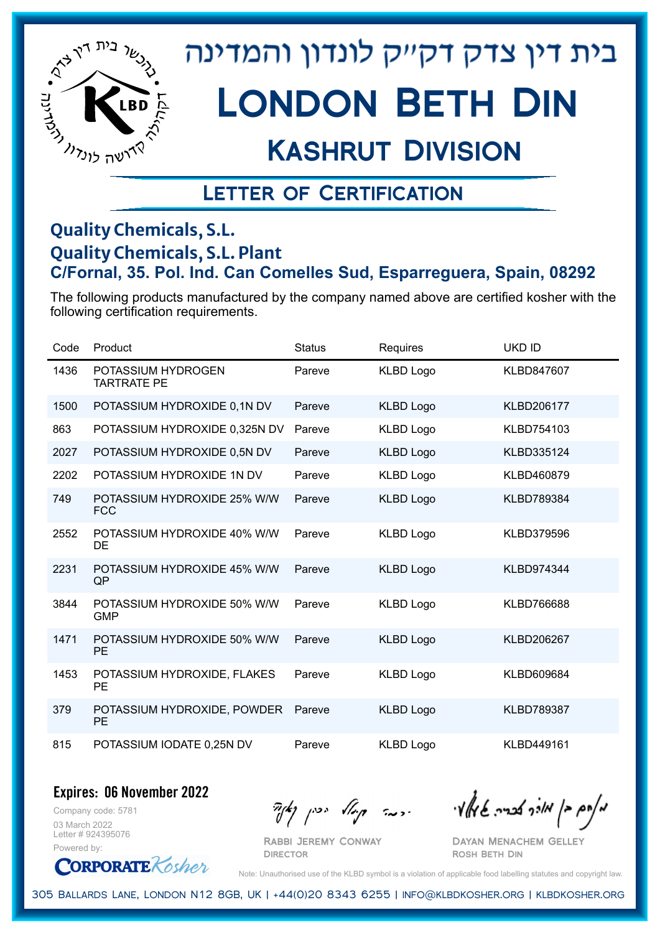

## Kashrut Division

### Letter of Certification

#### **Quality Chemicals, S.L. Quality Chemicals, S.L. Plant C/Fornal, 35. Pol. Ind. Can Comelles Sud, Esparreguera, Spain, 08292**

The following products manufactured by the company named above are certified kosher with the following certification requirements.

| Code | Product                                   | <b>Status</b> | Requires         | <b>UKD ID</b>     |
|------|-------------------------------------------|---------------|------------------|-------------------|
| 1436 | POTASSIUM HYDROGEN<br><b>TARTRATE PE</b>  | Pareve        | <b>KLBD Logo</b> | KLBD847607        |
| 1500 | POTASSIUM HYDROXIDE 0,1N DV               | Pareve        | <b>KLBD Logo</b> | <b>KLBD206177</b> |
| 863  | POTASSIUM HYDROXIDE 0,325N DV             | Pareve        | <b>KLBD Logo</b> | KLBD754103        |
| 2027 | POTASSIUM HYDROXIDE 0,5N DV               | Pareve        | <b>KLBD Logo</b> | KLBD335124        |
| 2202 | POTASSIUM HYDROXIDE 1N DV                 | Pareve        | <b>KLBD Logo</b> | KLBD460879        |
| 749  | POTASSIUM HYDROXIDE 25% W/W<br><b>FCC</b> | Pareve        | <b>KLBD Logo</b> | KLBD789384        |
| 2552 | POTASSIUM HYDROXIDE 40% W/W<br>DE         | Pareve        | <b>KLBD Logo</b> | KLBD379596        |
| 2231 | POTASSIUM HYDROXIDE 45% W/W<br>QP         | Pareve        | <b>KLBD Logo</b> | KLBD974344        |
| 3844 | POTASSIUM HYDROXIDE 50% W/W<br><b>GMP</b> | Pareve        | <b>KLBD Logo</b> | <b>KLBD766688</b> |
| 1471 | POTASSIUM HYDROXIDE 50% W/W<br><b>PE</b>  | Pareve        | <b>KLBD Logo</b> | KLBD206267        |
| 1453 | POTASSIUM HYDROXIDE, FLAKES<br><b>PE</b>  | Pareve        | <b>KLBD Logo</b> | KLBD609684        |
| 379  | POTASSIUM HYDROXIDE, POWDER<br>PE         | Pareve        | <b>KLBD Logo</b> | <b>KLBD789387</b> |
| 815  | POTASSIUM IODATE 0,25N DV                 | Pareve        | <b>KLBD Logo</b> | KLBD449161        |

**Expires: 06 November 2022**

Company code: 5781 03 March 2022 Letter # 924395076 Powered by:

**DIRECTOR** 

Rabbi Jeremy Conway

 $\partial_{\eta} \partial_{\eta}$   $\partial_{\eta} \partial_{\eta}$  and  $\partial_{\eta} \partial_{\eta} \partial_{\eta}$  and  $\partial_{\eta} \partial_{\eta} \partial_{\eta}$ 

Dayan Menachem Gelley Rosh Beth Din

**CORPORATE** Kosher

Note: Unauthorised use of the KLBD symbol is a violation of applicable food labelling statutes and copyright law.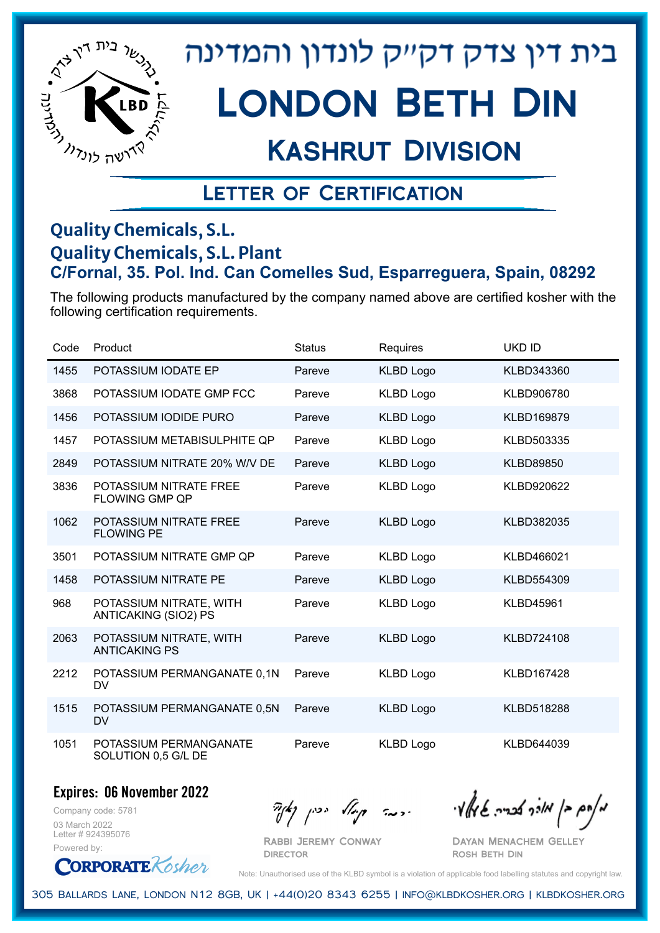

## Kashrut Division

### Letter of Certification

#### **Quality Chemicals, S.L. Quality Chemicals, S.L. Plant C/Fornal, 35. Pol. Ind. Can Comelles Sud, Esparreguera, Spain, 08292**

The following products manufactured by the company named above are certified kosher with the following certification requirements.

| Code | Product                                         | <b>Status</b> | Requires         | <b>UKD ID</b>     |
|------|-------------------------------------------------|---------------|------------------|-------------------|
| 1455 | POTASSIUM IODATE EP                             | Pareve        | <b>KLBD Logo</b> | KLBD343360        |
| 3868 | POTASSIUM IODATE GMP FCC                        | Pareve        | <b>KLBD Logo</b> | KLBD906780        |
| 1456 | POTASSIUM IODIDE PURO                           | Pareve        | <b>KLBD Logo</b> | KLBD169879        |
| 1457 | POTASSIUM METABISULPHITE QP                     | Pareve        | <b>KLBD Logo</b> | KLBD503335        |
| 2849 | POTASSIUM NITRATE 20% W/V DE                    | Pareve        | <b>KLBD Logo</b> | <b>KLBD89850</b>  |
| 3836 | POTASSIUM NITRATE FREE<br><b>FLOWING GMP QP</b> | Pareve        | <b>KLBD Logo</b> | KLBD920622        |
| 1062 | POTASSIUM NITRATE FREE<br><b>FLOWING PE</b>     | Pareve        | <b>KLBD Logo</b> | KLBD382035        |
| 3501 | POTASSIUM NITRATE GMP QP                        | Pareve        | <b>KLBD Logo</b> | KLBD466021        |
| 1458 | POTASSIUM NITRATE PE                            | Pareve        | <b>KLBD Logo</b> | KLBD554309        |
| 968  | POTASSIUM NITRATE, WITH<br>ANTICAKING (SIO2) PS | Pareve        | <b>KLBD Logo</b> | <b>KLBD45961</b>  |
| 2063 | POTASSIUM NITRATE, WITH<br><b>ANTICAKING PS</b> | Pareve        | <b>KLBD Logo</b> | <b>KLBD724108</b> |
| 2212 | POTASSIUM PERMANGANATE 0,1N<br>DV               | Pareve        | <b>KLBD Logo</b> | <b>KLBD167428</b> |
| 1515 | POTASSIUM PERMANGANATE 0,5N<br><b>DV</b>        | Pareve        | <b>KLBD Logo</b> | <b>KLBD518288</b> |
| 1051 | POTASSIUM PERMANGANATE<br>SOLUTION 0,5 G/L DE   | Pareve        | <b>KLBD Logo</b> | KLBD644039        |

**Expires: 06 November 2022**

Company code: 5781 03 March 2022 Letter # 924395076 Powered by:

 $\partial_{\eta}^{A}(\theta)$  and  $\partial_{\eta}^{A}(\theta)$  and  $\partial_{\eta}^{A}(\theta)$  and  $\partial_{\eta}^{A}(\theta)$ 

Dayan Menachem Gelley Rosh Beth Din

**CORPORATE** Rosher

Note: Unauthorised use of the KLBD symbol is a violation of applicable food labelling statutes and copyright law.

305 Ballards Lane, London N12 8GB, UK | +44(0)20 8343 6255 | info@klbdkosher.org | klbdkosher.org

Rabbi Jeremy Conway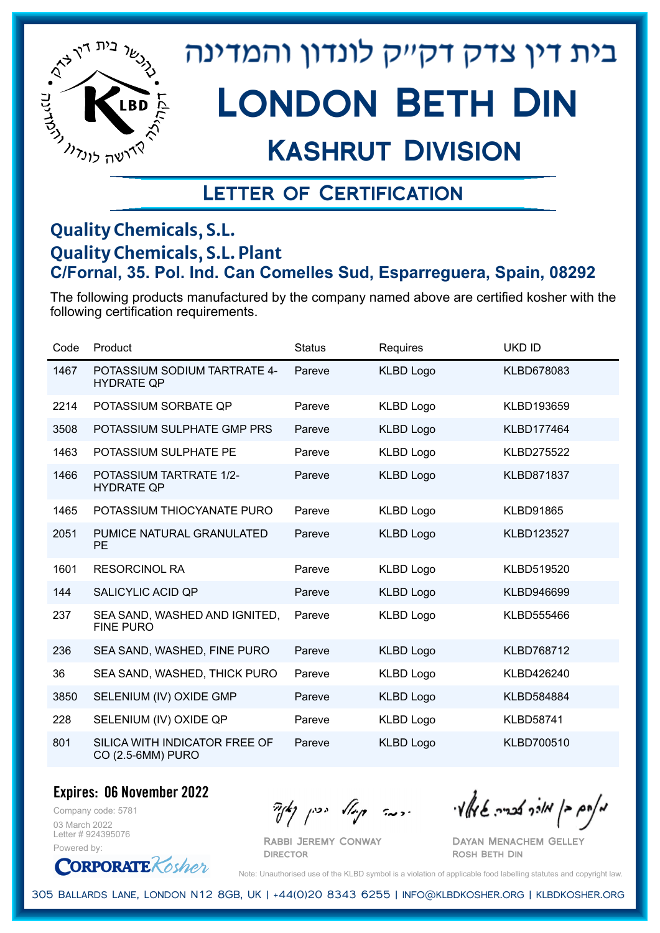

# Kashrut Division

### Letter of Certification

#### **Quality Chemicals, S.L. Quality Chemicals, S.L. Plant C/Fornal, 35. Pol. Ind. Can Comelles Sud, Esparreguera, Spain, 08292**

The following products manufactured by the company named above are certified kosher with the following certification requirements.

| Code | Product                                             | <b>Status</b> | <b>Requires</b>  | <b>UKD ID</b>     |
|------|-----------------------------------------------------|---------------|------------------|-------------------|
| 1467 | POTASSIUM SODIUM TARTRATE 4-<br><b>HYDRATE QP</b>   | Pareve        | <b>KLBD Logo</b> | KLBD678083        |
| 2214 | POTASSIUM SORBATE QP                                | Pareve        | <b>KLBD Logo</b> | KLBD193659        |
| 3508 | POTASSIUM SULPHATE GMP PRS                          | Pareve        | <b>KLBD Logo</b> | <b>KLBD177464</b> |
| 1463 | POTASSIUM SULPHATE PE                               | Pareve        | <b>KLBD Logo</b> | <b>KLBD275522</b> |
| 1466 | <b>POTASSIUM TARTRATE 1/2-</b><br><b>HYDRATE QP</b> | Pareve        | <b>KLBD Logo</b> | <b>KLBD871837</b> |
| 1465 | POTASSIUM THIOCYANATE PURO                          | Pareve        | <b>KLBD Logo</b> | <b>KLBD91865</b>  |
| 2051 | PUMICE NATURAL GRANULATED<br><b>PE</b>              | Pareve        | <b>KLBD Logo</b> | <b>KLBD123527</b> |
| 1601 | <b>RESORCINOL RA</b>                                | Pareve        | <b>KLBD Logo</b> | KLBD519520        |
| 144  | <b>SALICYLIC ACID QP</b>                            | Pareve        | <b>KLBD Logo</b> | KLBD946699        |
| 237  | SEA SAND, WASHED AND IGNITED,<br><b>FINE PURO</b>   | Pareve        | <b>KLBD Logo</b> | KLBD555466        |
| 236  | SEA SAND, WASHED, FINE PURO                         | Pareve        | <b>KLBD Logo</b> | <b>KLBD768712</b> |
| 36   | SEA SAND, WASHED, THICK PURO                        | Pareve        | <b>KLBD Logo</b> | KLBD426240        |
| 3850 | SELENIUM (IV) OXIDE GMP                             | Pareve        | <b>KLBD Logo</b> | <b>KLBD584884</b> |
| 228  | SELENIUM (IV) OXIDE QP                              | Pareve        | <b>KLBD Logo</b> | <b>KLBD58741</b>  |
| 801  | SILICA WITH INDICATOR FREE OF<br>CO (2.5-6MM) PURO  | Pareve        | <b>KLBD Logo</b> | <b>KLBD700510</b> |

**Expires: 06 November 2022**

Company code: 5781 03 March 2022 Letter # 924395076 Powered by:

**CORPORATE** Kosher

Rabbi Jeremy Conway

**DIRECTOR** 

 $\frac{1}{2}$ אלוק אולך לבריה שיאלץי הכבר קוואל יכין קאיר

Dayan Menachem Gelley Rosh Beth Din

Note: Unauthorised use of the KLBD symbol is a violation of applicable food labelling statutes and copyright law.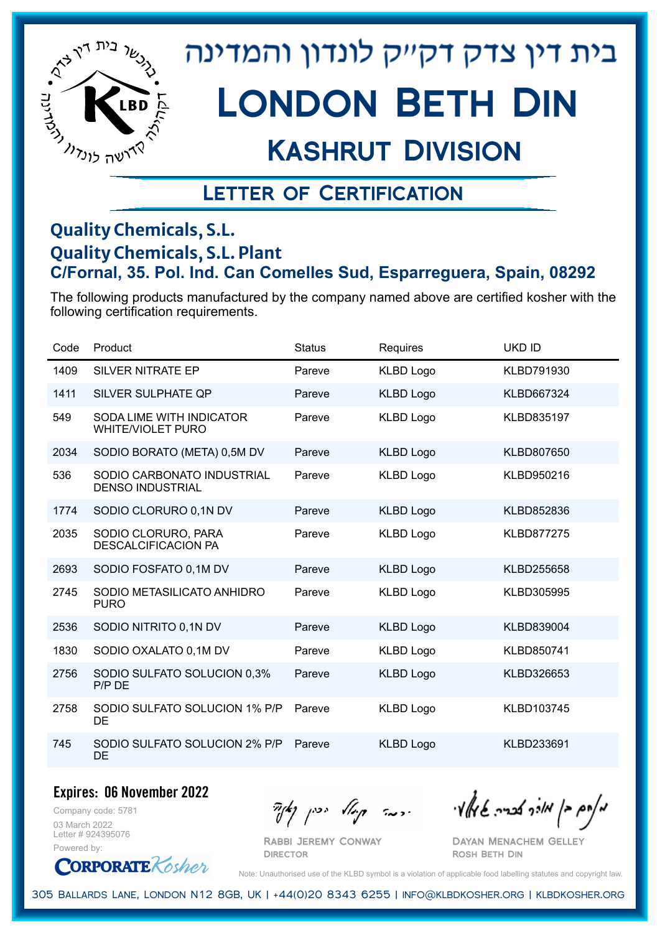

# London Beth Din

### Kashrut Division

### Letter of Certification

#### **Quality Chemicals, S.L. Quality Chemicals, S.L. Plant C/Fornal, 35. Pol. Ind. Can Comelles Sud, Esparreguera, Spain, 08292**

The following products manufactured by the company named above are certified kosher with the following certification requirements.

| Code | Product                                               | <b>Status</b> | Requires         | <b>UKD ID</b>     |
|------|-------------------------------------------------------|---------------|------------------|-------------------|
| 1409 | <b>SILVER NITRATE EP</b>                              | Pareve        | <b>KLBD Logo</b> | KLBD791930        |
| 1411 | SILVER SULPHATE QP                                    | Pareve        | <b>KLBD Logo</b> | <b>KLBD667324</b> |
| 549  | SODA LIME WITH INDICATOR<br><b>WHITE/VIOLET PURO</b>  | Pareve        | <b>KLBD Logo</b> | KLBD835197        |
| 2034 | SODIO BORATO (META) 0,5M DV                           | Pareve        | <b>KLBD Logo</b> | <b>KLBD807650</b> |
| 536  | SODIO CARBONATO INDUSTRIAL<br><b>DENSO INDUSTRIAL</b> | Pareve        | <b>KLBD Logo</b> | KLBD950216        |
| 1774 | SODIO CLORURO 0,1N DV                                 | Pareve        | <b>KLBD Logo</b> | KLBD852836        |
| 2035 | SODIO CLORURO, PARA<br><b>DESCALCIFICACION PA</b>     | Pareve        | <b>KLBD Logo</b> | <b>KLBD877275</b> |
| 2693 | SODIO FOSFATO 0,1M DV                                 | Pareve        | <b>KLBD Logo</b> | KLBD255658        |
| 2745 | SODIO METASILICATO ANHIDRO<br><b>PURO</b>             | Pareve        | <b>KLBD Logo</b> | KLBD305995        |
| 2536 | SODIO NITRITO 0,1N DV                                 | Pareve        | <b>KLBD Logo</b> | KLBD839004        |
| 1830 | SODIO OXALATO 0,1M DV                                 | Pareve        | <b>KLBD Logo</b> | KLBD850741        |
| 2756 | SODIO SULFATO SOLUCION 0,3%<br>P/P DE                 | Pareve        | <b>KLBD Logo</b> | KLBD326653        |
| 2758 | SODIO SULFATO SOLUCION 1% P/P<br>DE                   | Pareve        | <b>KLBD Logo</b> | KLBD103745        |
| 745  | SODIO SULFATO SOLUCION 2% P/P<br><b>DE</b>            | Pareve        | <b>KLBD Logo</b> | KLBD233691        |

**Expires: 06 November 2022**

Company code: 5781 03 March 2022 Letter # 924395076 Powered by:

**CORPORATE** Kosher

Rabbi Jeremy Conway

**DIRECTOR** 

 $\frac{1}{2}$ אלוק אולך לבריה שיאלץי הכבר קוואל יכין קאיר

Dayan Menachem Gelley Rosh Beth Din

Note: Unauthorised use of the KLBD symbol is a violation of applicable food labelling statutes and copyright law.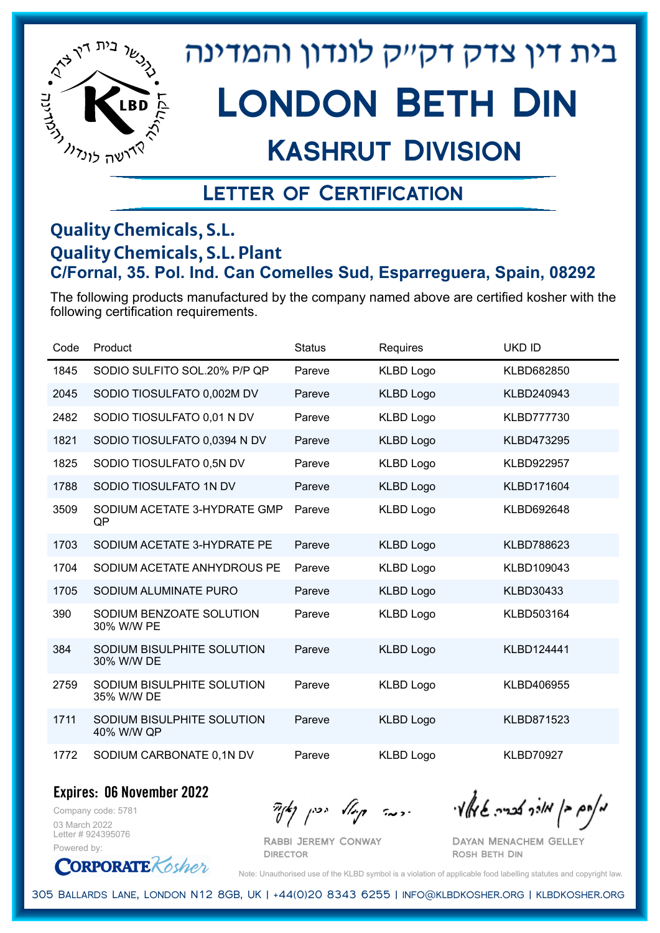

## Kashrut Division

### Letter of Certification

#### **Quality Chemicals, S.L. Quality Chemicals, S.L. Plant C/Fornal, 35. Pol. Ind. Can Comelles Sud, Esparreguera, Spain, 08292**

The following products manufactured by the company named above are certified kosher with the following certification requirements.

| Code | Product                                  | <b>Status</b> | Requires         | <b>UKD ID</b>     |
|------|------------------------------------------|---------------|------------------|-------------------|
| 1845 | SODIO SULFITO SOL.20% P/P QP             | Pareve        | <b>KLBD Logo</b> | KLBD682850        |
| 2045 | SODIO TIOSULFATO 0,002M DV               | Pareve        | <b>KLBD Logo</b> | KLBD240943        |
| 2482 | SODIO TIOSULFATO 0,01 N DV               | Pareve        | <b>KLBD Logo</b> | <b>KLBD777730</b> |
| 1821 | SODIO TIOSULFATO 0,0394 N DV             | Pareve        | <b>KLBD Logo</b> | KLBD473295        |
| 1825 | SODIO TIOSULFATO 0,5N DV                 | Pareve        | <b>KLBD Logo</b> | <b>KLBD922957</b> |
| 1788 | SODIO TIOSULFATO 1N DV                   | Pareve        | <b>KLBD Logo</b> | KLBD171604        |
| 3509 | SODIUM ACETATE 3-HYDRATE GMP<br>QP       | Pareve        | <b>KLBD Logo</b> | KLBD692648        |
| 1703 | SODIUM ACETATE 3-HYDRATE PE              | Pareve        | <b>KLBD Logo</b> | KLBD788623        |
| 1704 | SODIUM ACETATE ANHYDROUS PE              | Pareve        | <b>KLBD Logo</b> | KLBD109043        |
| 1705 | SODIUM ALUMINATE PURO                    | Pareve        | <b>KLBD Logo</b> | <b>KLBD30433</b>  |
| 390  | SODIUM BENZOATE SOLUTION<br>30% W/W PE   | Pareve        | <b>KLBD Logo</b> | KLBD503164        |
| 384  | SODIUM BISULPHITE SOLUTION<br>30% W/W DE | Pareve        | <b>KLBD Logo</b> | KLBD124441        |
| 2759 | SODIUM BISULPHITE SOLUTION<br>35% W/W DE | Pareve        | <b>KLBD Logo</b> | KLBD406955        |
| 1711 | SODIUM BISULPHITE SOLUTION<br>40% W/W QP | Pareve        | <b>KLBD Logo</b> | KLBD871523        |
| 1772 | SODIUM CARBONATE 0,1N DV                 | Pareve        | <b>KLBD Logo</b> | <b>KLBD70927</b>  |

**Expires: 06 November 2022**

Company code: 5781 03 March 2022 Letter # 924395076 Powered by:

 $\partial_{\eta}^{A}(\theta)$  and  $\partial_{\eta}^{A}(\theta)$  and  $\partial_{\eta}^{A}(\theta)$  and  $\partial_{\eta}^{A}(\theta)$ 

Rabbi Jeremy Conway **DIRECTOR** 

Dayan Menachem Gelley Rosh Beth Din

**CORPORATE** Rosher Note: Unauthorised use of the KLBD symbol is a violation of applicable food labelling statutes and copyright law.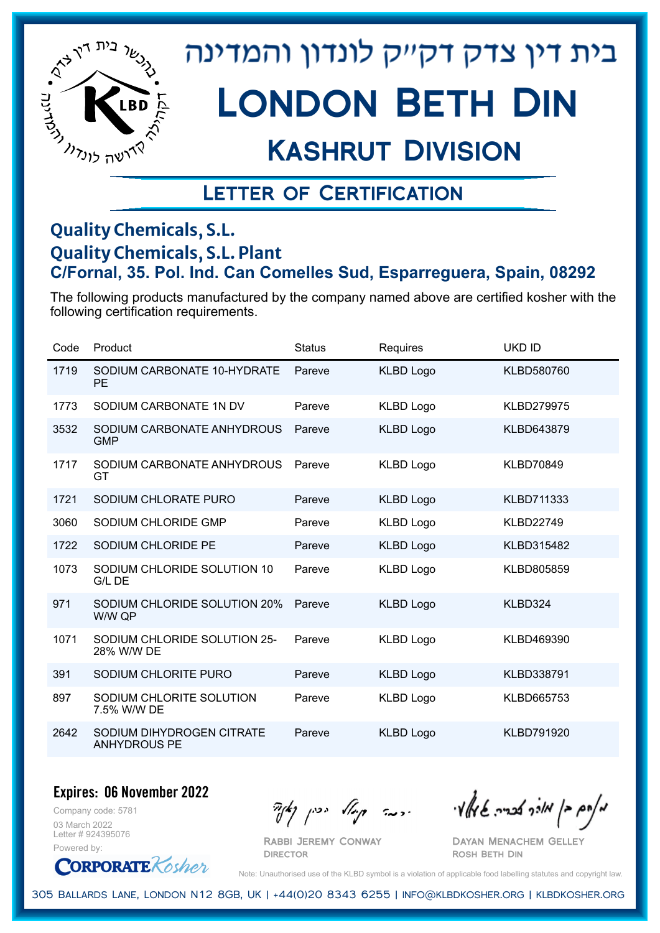

# London Beth Din

### Kashrut Division

### Letter of Certification

#### **Quality Chemicals, S.L. Quality Chemicals, S.L. Plant C/Fornal, 35. Pol. Ind. Can Comelles Sud, Esparreguera, Spain, 08292**

The following products manufactured by the company named above are certified kosher with the following certification requirements.

| Code | Product                                          | <b>Status</b> | Requires         | <b>UKD ID</b>     |
|------|--------------------------------------------------|---------------|------------------|-------------------|
| 1719 | SODIUM CARBONATE 10-HYDRATE<br><b>PE</b>         | Pareve        | <b>KLBD Logo</b> | KLBD580760        |
| 1773 | SODIUM CARBONATE 1N DV                           | Pareve        | <b>KLBD Logo</b> | <b>KLBD279975</b> |
| 3532 | SODIUM CARBONATE ANHYDROUS<br><b>GMP</b>         | Pareve        | <b>KLBD Logo</b> | KLBD643879        |
| 1717 | SODIUM CARBONATE ANHYDROUS<br>GT                 | Pareve        | <b>KLBD Logo</b> | <b>KLBD70849</b>  |
| 1721 | SODIUM CHLORATE PURO                             | Pareve        | <b>KLBD Logo</b> | KLBD711333        |
| 3060 | SODIUM CHLORIDE GMP                              | Pareve        | <b>KLBD Logo</b> | <b>KLBD22749</b>  |
| 1722 | SODIUM CHLORIDE PE                               | Pareve        | <b>KLBD Logo</b> | KLBD315482        |
| 1073 | SODIUM CHLORIDE SOLUTION 10<br>G/L DE            | Pareve        | <b>KLBD Logo</b> | KLBD805859        |
| 971  | SODIUM CHLORIDE SOLUTION 20%<br>W/W QP           | Pareve        | <b>KLBD Logo</b> | KLBD324           |
| 1071 | SODIUM CHLORIDE SOLUTION 25-<br>28% W/W DE       | Pareve        | <b>KLBD Logo</b> | KLBD469390        |
| 391  | SODIUM CHLORITE PURO                             | Pareve        | <b>KLBD Logo</b> | KLBD338791        |
| 897  | SODIUM CHLORITE SOLUTION<br>7.5% W/W DE          | Pareve        | <b>KLBD Logo</b> | KLBD665753        |
| 2642 | SODIUM DIHYDROGEN CITRATE<br><b>ANHYDROUS PE</b> | Pareve        | <b>KLBD Logo</b> | <b>KLBD791920</b> |

**Expires: 06 November 2022**

Company code: 5781 03 March 2022 Letter # 924395076 Powered by:

**CORPORATE** Kosher

 $\mathcal{H}_{\mathcal{C}}$   $\mathcal{H}_{\mathcal{C}}$   $\mathcal{H}_{\mathcal{C}}$   $\mathcal{H}_{\mathcal{C}}$   $\mathcal{H}_{\mathcal{C}}$   $\mathcal{H}_{\mathcal{C}}$   $\mathcal{H}_{\mathcal{C}}$   $\mathcal{H}_{\mathcal{C}}$   $\mathcal{H}_{\mathcal{C}}$   $\mathcal{H}_{\mathcal{C}}$   $\mathcal{H}_{\mathcal{C}}$   $\mathcal{H}_{\mathcal{C}}$ 

Dayan Menachem Gelley Rosh Beth Din

Note: Unauthorised use of the KLBD symbol is a violation of applicable food labelling statutes and copyright law.

305 Ballards Lane, London N12 8GB, UK | +44(0)20 8343 6255 | info@klbdkosher.org | klbdkosher.org

Rabbi Jeremy Conway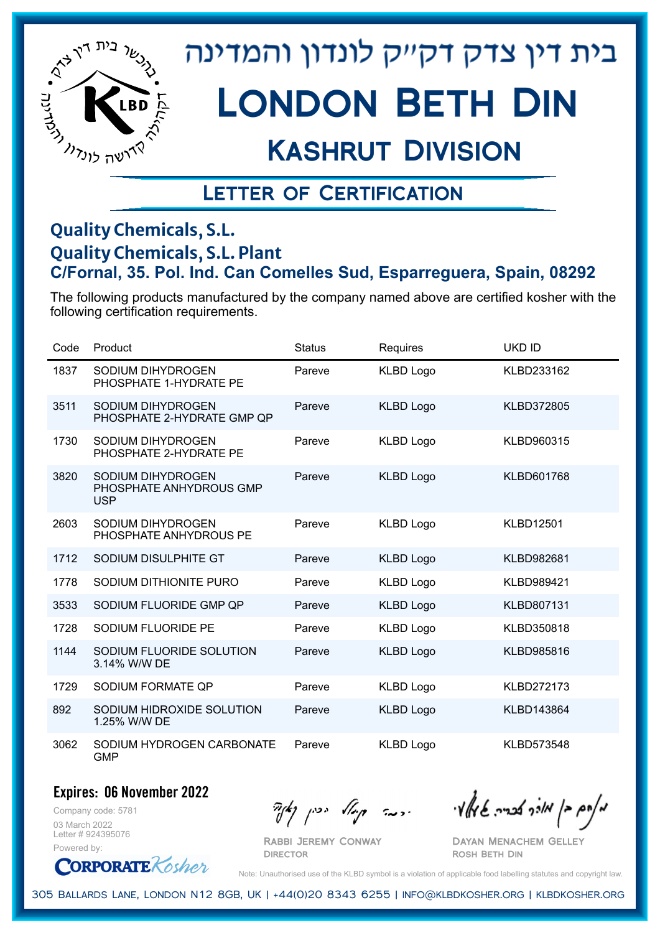

# London Beth Din

## Kashrut Division

### Letter of Certification

#### **Quality Chemicals, S.L. Quality Chemicals, S.L. Plant C/Fornal, 35. Pol. Ind. Can Comelles Sud, Esparreguera, Spain, 08292**

The following products manufactured by the company named above are certified kosher with the following certification requirements.

| Code | Product                                                    | <b>Status</b> | Requires         | <b>UKD ID</b>     |
|------|------------------------------------------------------------|---------------|------------------|-------------------|
| 1837 | SODIUM DIHYDROGEN<br>PHOSPHATE 1-HYDRATE PE                | Pareve        | <b>KLBD Logo</b> | KLBD233162        |
| 3511 | SODIUM DIHYDROGEN<br>PHOSPHATE 2-HYDRATE GMP QP            | Pareve        | <b>KLBD Logo</b> | <b>KLBD372805</b> |
| 1730 | SODIUM DIHYDROGEN<br>PHOSPHATE 2-HYDRATE PE                | Pareve        | <b>KLBD Logo</b> | KLBD960315        |
| 3820 | SODIUM DIHYDROGEN<br>PHOSPHATE ANHYDROUS GMP<br><b>USP</b> | Pareve        | <b>KLBD Logo</b> | KLBD601768        |
| 2603 | SODIUM DIHYDROGEN<br>PHOSPHATE ANHYDROUS PE                | Pareve        | <b>KLBD Logo</b> | <b>KLBD12501</b>  |
| 1712 | SODIUM DISULPHITE GT                                       | Pareve        | <b>KLBD Logo</b> | KLBD982681        |
| 1778 | SODIUM DITHIONITE PURO                                     | Pareve        | <b>KLBD Logo</b> | KLBD989421        |
| 3533 | SODIUM FLUORIDE GMP QP                                     | Pareve        | <b>KLBD Logo</b> | KLBD807131        |
| 1728 | SODIUM FLUORIDE PE                                         | Pareve        | <b>KLBD Logo</b> | KLBD350818        |
| 1144 | SODIUM FLUORIDE SOLUTION<br>3.14% W/W DE                   | Pareve        | <b>KLBD Logo</b> | KLBD985816        |
| 1729 | SODIUM FORMATE QP                                          | Pareve        | <b>KLBD Logo</b> | <b>KLBD272173</b> |
| 892  | SODIUM HIDROXIDE SOLUTION<br>1.25% W/W DE                  | Pareve        | <b>KLBD Logo</b> | KLBD143864        |
| 3062 | SODIUM HYDROGEN CARBONATE<br><b>GMP</b>                    | Pareve        | <b>KLBD Logo</b> | <b>KLBD573548</b> |

#### **Expires: 06 November 2022**

Company code: 5781 03 March 2022 Letter # 924395076 Powered by:

**CORPORATE** Rosher

 $\partial_{\eta}^{A}(\theta)$  and  $\partial_{\eta}^{A}(\theta)$  and  $\partial_{\eta}^{A}(\theta)$  and  $\partial_{\eta}^{A}(\theta)$ 

Dayan Menachem Gelley Rosh Beth Din

Note: Unauthorised use of the KLBD symbol is a violation of applicable food labelling statutes and copyright law.

305 Ballards Lane, London N12 8GB, UK | +44(0)20 8343 6255 | info@klbdkosher.org | klbdkosher.org

Rabbi Jeremy Conway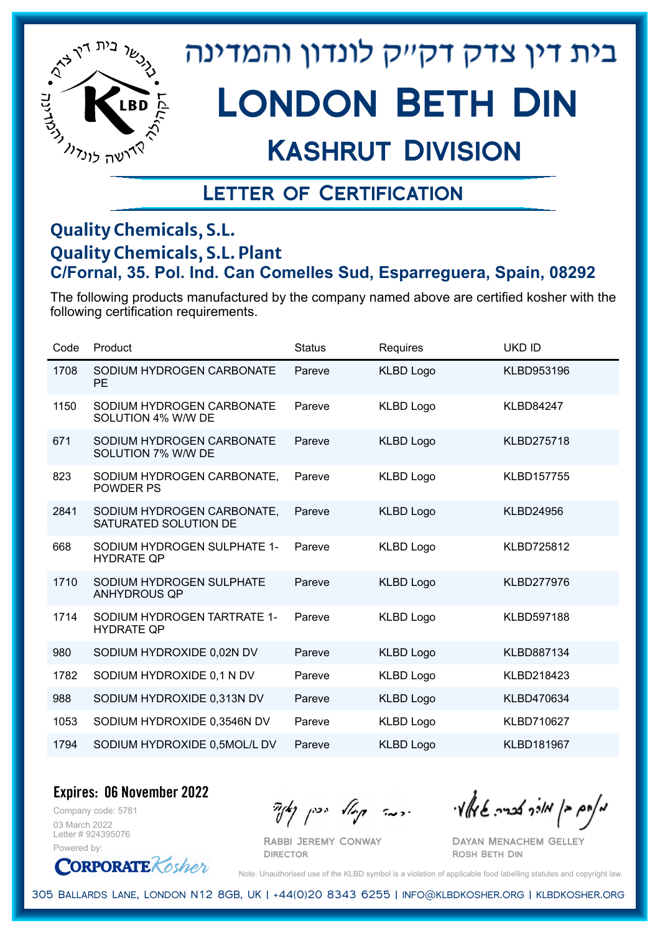

# London Beth Din

## Kashrut Division

### Letter of Certification

#### **Quality Chemicals, S.L. Quality Chemicals, S.L. Plant C/Fornal, 35. Pol. Ind. Can Comelles Sud, Esparreguera, Spain, 08292**

The following products manufactured by the company named above are certified kosher with the following certification requirements.

| Code | Product                                             | <b>Status</b> | Requires         | <b>UKD ID</b>     |
|------|-----------------------------------------------------|---------------|------------------|-------------------|
| 1708 | SODIUM HYDROGEN CARBONATE<br><b>PE</b>              | Pareve        | <b>KLBD Logo</b> | KLBD953196        |
| 1150 | SODIUM HYDROGEN CARBONATE<br>SOLUTION 4% W/W DE     | Pareve        | <b>KLBD Logo</b> | <b>KLBD84247</b>  |
| 671  | SODIUM HYDROGEN CARBONATE<br>SOLUTION 7% W/W DE     | Pareve        | <b>KLBD Logo</b> | <b>KLBD275718</b> |
| 823  | SODIUM HYDROGEN CARBONATE,<br><b>POWDER PS</b>      | Pareve        | <b>KLBD Logo</b> | <b>KLBD157755</b> |
| 2841 | SODIUM HYDROGEN CARBONATE,<br>SATURATED SOLUTION DE | Pareve        | <b>KLBD Logo</b> | <b>KLBD24956</b>  |
| 668  | SODIUM HYDROGEN SULPHATE 1-<br><b>HYDRATE QP</b>    | Pareve        | <b>KLBD Logo</b> | <b>KLBD725812</b> |
| 1710 | SODIUM HYDROGEN SULPHATE<br><b>ANHYDROUS QP</b>     | Pareve        | <b>KLBD Logo</b> | <b>KLBD277976</b> |
| 1714 | SODIUM HYDROGEN TARTRATE 1-<br><b>HYDRATE QP</b>    | Pareve        | <b>KLBD Logo</b> | <b>KLBD597188</b> |
| 980  | SODIUM HYDROXIDE 0,02N DV                           | Pareve        | <b>KLBD Logo</b> | <b>KLBD887134</b> |
| 1782 | SODIUM HYDROXIDE 0,1 N DV                           | Pareve        | <b>KLBD Logo</b> | KLBD218423        |
| 988  | SODIUM HYDROXIDE 0,313N DV                          | Pareve        | <b>KLBD Logo</b> | KLBD470634        |
| 1053 | SODIUM HYDROXIDE 0,3546N DV                         | Pareve        | <b>KLBD Logo</b> | <b>KLBD710627</b> |
| 1794 | SODIUM HYDROXIDE 0,5MOL/L DV                        | Pareve        | <b>KLBD Logo</b> | <b>KLBD181967</b> |

**Expires: 06 November 2022**

Company code: 5781 03 March 2022 Letter # 924395076 Powered by:

**CORPORATE** Kosher

Rabbi Jeremy Conway

**DIRECTOR** 

 $\frac{1}{2}$ אולך אברה שיאלי ויכה קייל יכין קאיר

Dayan Menachem Gelley Rosh Beth Din

Note: Unauthorised use of the KLBD symbol is a violation of applicable food labelling statutes and copyright law.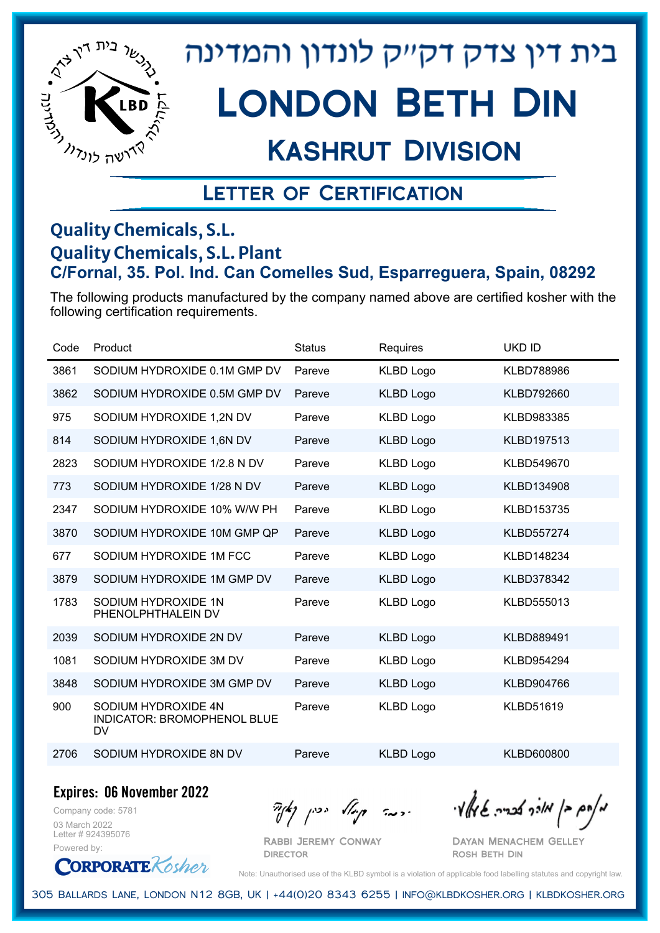

## Kashrut Division

### Letter of Certification

#### **Quality Chemicals, S.L. Quality Chemicals, S.L. Plant C/Fornal, 35. Pol. Ind. Can Comelles Sud, Esparreguera, Spain, 08292**

The following products manufactured by the company named above are certified kosher with the following certification requirements.

| Code | Product                                                         | <b>Status</b> | Requires         | <b>UKD ID</b>     |
|------|-----------------------------------------------------------------|---------------|------------------|-------------------|
| 3861 | SODIUM HYDROXIDE 0.1M GMP DV                                    | Pareve        | <b>KLBD Logo</b> | <b>KLBD788986</b> |
| 3862 | SODIUM HYDROXIDE 0.5M GMP DV                                    | Pareve        | <b>KLBD Logo</b> | KLBD792660        |
| 975  | SODIUM HYDROXIDE 1,2N DV                                        | Pareve        | <b>KLBD Logo</b> | KLBD983385        |
| 814  | SODIUM HYDROXIDE 1,6N DV                                        | Pareve        | <b>KLBD Logo</b> | <b>KLBD197513</b> |
| 2823 | SODIUM HYDROXIDE 1/2.8 N DV                                     | Pareve        | <b>KLBD Logo</b> | KLBD549670        |
| 773  | SODIUM HYDROXIDE 1/28 N DV                                      | Pareve        | <b>KLBD Logo</b> | KLBD134908        |
| 2347 | SODIUM HYDROXIDE 10% W/W PH                                     | Pareve        | <b>KLBD Logo</b> | KLBD153735        |
| 3870 | SODIUM HYDROXIDE 10M GMP QP                                     | Pareve        | <b>KLBD Logo</b> | <b>KLBD557274</b> |
| 677  | SODIUM HYDROXIDE 1M FCC                                         | Pareve        | <b>KLBD Logo</b> | KLBD148234        |
| 3879 | SODIUM HYDROXIDE 1M GMP DV                                      | Pareve        | <b>KLBD Logo</b> | KLBD378342        |
| 1783 | SODIUM HYDROXIDE 1N<br>PHENOLPHTHALEIN DV                       | Pareve        | <b>KLBD Logo</b> | KLBD555013        |
| 2039 | SODIUM HYDROXIDE 2N DV                                          | Pareve        | <b>KLBD Logo</b> | KLBD889491        |
| 1081 | SODIUM HYDROXIDE 3M DV                                          | Pareve        | <b>KLBD Logo</b> | KLBD954294        |
| 3848 | SODIUM HYDROXIDE 3M GMP DV                                      | Pareve        | <b>KLBD Logo</b> | KLBD904766        |
| 900  | SODIUM HYDROXIDE 4N<br>INDICATOR: BROMOPHENOL BLUE<br><b>DV</b> | Pareve        | <b>KLBD Logo</b> | KLBD51619         |
| 2706 | SODIUM HYDROXIDE 8N DV                                          | Pareve        | <b>KLBD Logo</b> | KLBD600800        |

**Expires: 06 November 2022**

Company code: 5781 03 March 2022 Letter # 924395076 Powered by:

**ORPORATE** Kosher

Rabbi Jeremy Conway **DIRECTOR** 

מאוס בן מוכך אבריה שמאי זי יו יו יודע ייכן נאדי

Dayan Menachem Gelley Rosh Beth Din

Note: Unauthorised use of the KLBD symbol is a violation of applicable food labelling statutes and copyright law.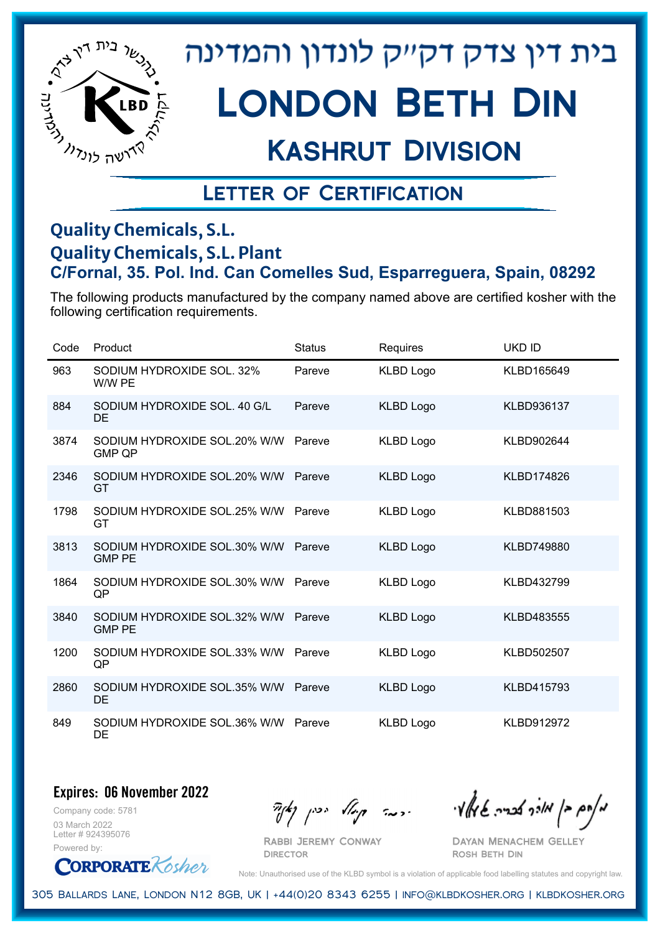

# London Beth Din

## Kashrut Division

### Letter of Certification

#### **Quality Chemicals, S.L. Quality Chemicals, S.L. Plant C/Fornal, 35. Pol. Ind. Can Comelles Sud, Esparreguera, Spain, 08292**

The following products manufactured by the company named above are certified kosher with the following certification requirements.

| Code | Product                                       | <b>Status</b> | Requires         | <b>UKD ID</b> |
|------|-----------------------------------------------|---------------|------------------|---------------|
| 963  | SODIUM HYDROXIDE SOL, 32%<br>W/W PE           | Pareve        | <b>KLBD Logo</b> | KLBD165649    |
| 884  | SODIUM HYDROXIDE SOL, 40 G/L<br><b>DE</b>     | Pareve        | <b>KLBD Logo</b> | KLBD936137    |
| 3874 | SODIUM HYDROXIDE SOL.20% W/W<br><b>GMP QP</b> | Pareve        | <b>KLBD Logo</b> | KLBD902644    |
| 2346 | SODIUM HYDROXIDE SOL.20% W/W<br>GT            | Pareve        | <b>KLBD Logo</b> | KLBD174826    |
| 1798 | SODIUM HYDROXIDE SOL.25% W/W<br>GT            | Pareve        | <b>KLBD Logo</b> | KLBD881503    |
| 3813 | SODIUM HYDROXIDE SOL.30% W/W<br><b>GMP PE</b> | Pareve        | <b>KLBD Logo</b> | KLBD749880    |
| 1864 | SODIUM HYDROXIDE SOL.30% W/W<br>QP            | Pareve        | <b>KLBD Logo</b> | KLBD432799    |
| 3840 | SODIUM HYDROXIDE SOL.32% W/W<br><b>GMP PE</b> | Pareve        | <b>KLBD Logo</b> | KLBD483555    |
| 1200 | SODIUM HYDROXIDE SOL.33% W/W<br>QP            | Pareve        | <b>KLBD Logo</b> | KLBD502507    |
| 2860 | SODIUM HYDROXIDE SOL.35% W/W<br><b>DE</b>     | Pareve        | <b>KLBD Logo</b> | KLBD415793    |
| 849  | SODIUM HYDROXIDE SOL.36% W/W<br>DE            | Pareve        | <b>KLBD Logo</b> | KLBD912972    |

**Expires: 06 November 2022**

Company code: 5781 03 March 2022 Letter # 924395076 Powered by:

**CORPORATE** Kosher

Rabbi Jeremy Conway

**DIRECTOR** 

Dayan Menachem Gelley Rosh Beth Din

Note: Unauthorised use of the KLBD symbol is a violation of applicable food labelling statutes and copyright law.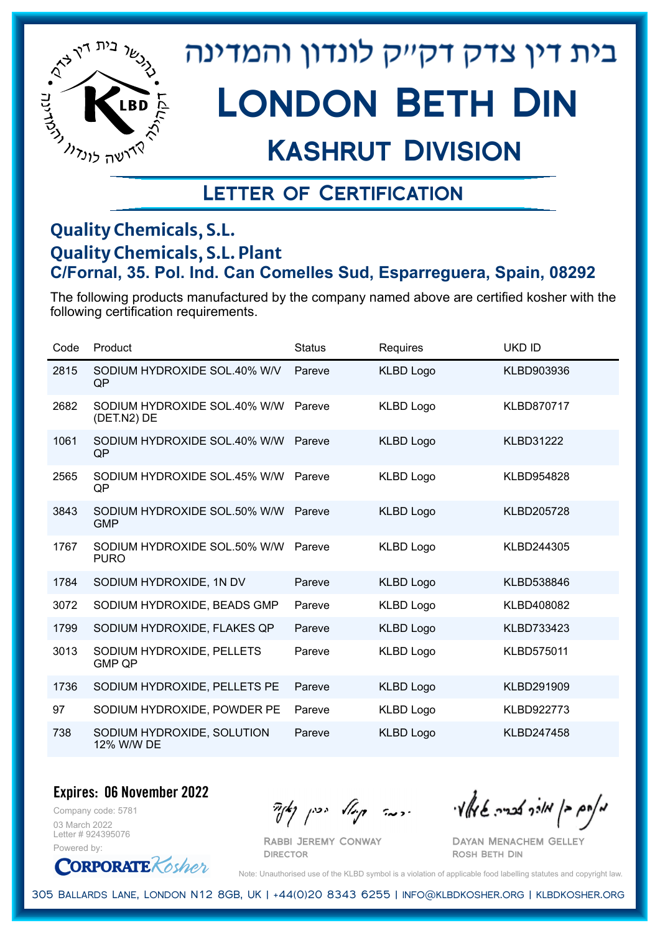

# London Beth Din

## Kashrut Division

### Letter of Certification

#### **Quality Chemicals, S.L. Quality Chemicals, S.L. Plant C/Fornal, 35. Pol. Ind. Can Comelles Sud, Esparreguera, Spain, 08292**

The following products manufactured by the company named above are certified kosher with the following certification requirements.

| Code | Product                                     | <b>Status</b> | Requires         | <b>UKD ID</b>     |
|------|---------------------------------------------|---------------|------------------|-------------------|
| 2815 | SODIUM HYDROXIDE SOL.40% W/V<br>QP          | Pareve        | <b>KLBD Logo</b> | KLBD903936        |
| 2682 | SODIUM HYDROXIDE SOL.40% W/W<br>(DET.N2) DE | Pareve        | <b>KLBD Logo</b> | <b>KLBD870717</b> |
| 1061 | SODIUM HYDROXIDE SOL.40% W/W<br>QP          | Pareve        | <b>KLBD Logo</b> | <b>KLBD31222</b>  |
| 2565 | SODIUM HYDROXIDE SOL.45% W/W<br>QP          | Pareve        | <b>KLBD Logo</b> | <b>KLBD954828</b> |
| 3843 | SODIUM HYDROXIDE SOL.50% W/W<br><b>GMP</b>  | Pareve        | <b>KLBD Logo</b> | <b>KLBD205728</b> |
| 1767 | SODIUM HYDROXIDE SOL.50% W/W<br><b>PURO</b> | Pareve        | <b>KLBD Logo</b> | KLBD244305        |
| 1784 | SODIUM HYDROXIDE, 1N DV                     | Pareve        | <b>KLBD Logo</b> | KLBD538846        |
| 3072 | SODIUM HYDROXIDE, BEADS GMP                 | Pareve        | <b>KLBD Logo</b> | KLBD408082        |
| 1799 | SODIUM HYDROXIDE, FLAKES QP                 | Pareve        | <b>KLBD Logo</b> | KLBD733423        |
| 3013 | SODIUM HYDROXIDE, PELLETS<br><b>GMP QP</b>  | Pareve        | KLBD Logo        | <b>KLBD575011</b> |
| 1736 | SODIUM HYDROXIDE, PELLETS PE                | Pareve        | <b>KLBD Logo</b> | KLBD291909        |
| 97   | SODIUM HYDROXIDE, POWDER PE                 | Pareve        | <b>KLBD Logo</b> | <b>KLBD922773</b> |
| 738  | SODIUM HYDROXIDE, SOLUTION<br>12% W/W DE    | Pareve        | <b>KLBD Logo</b> | <b>KLBD247458</b> |

**Expires: 06 November 2022**

Company code: 5781 03 March 2022 Letter # 924395076 Powered by:



Rabbi Jeremy Conway

**DIRECTOR** 

 $\mathcal{H}_{\text{max}}$   $\mathcal{H}_{\text{max}}$  and  $\mathcal{H}_{\text{max}}$  . The contract  $\mathcal{H}_{\text{max}}$ 

Dayan Menachem Gelley Rosh Beth Din

Note: Unauthorised use of the KLBD symbol is a violation of applicable food labelling statutes and copyright law.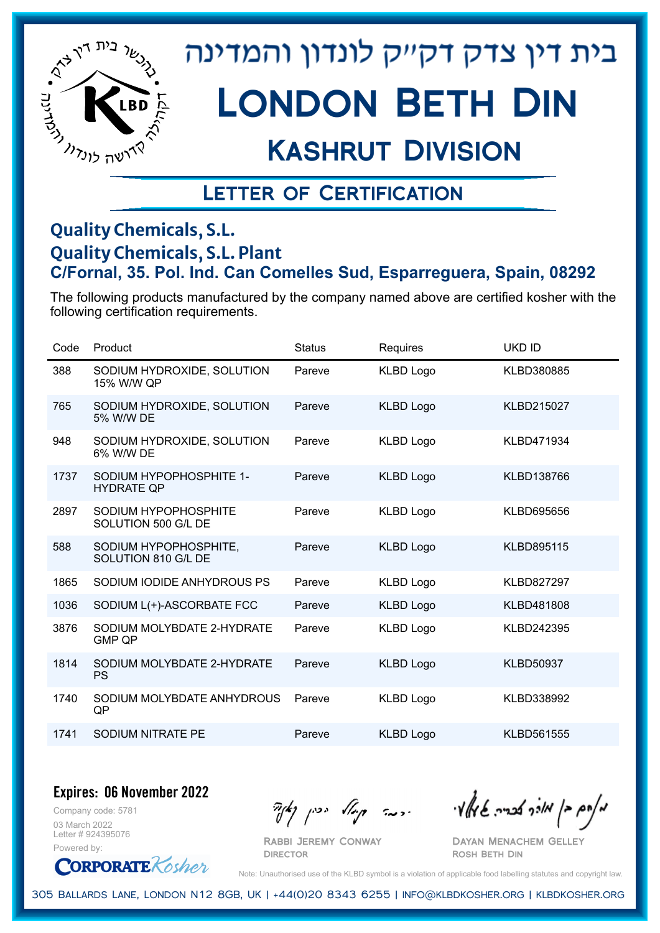

# London Beth Din

## Kashrut Division

### Letter of Certification

#### **Quality Chemicals, S.L. Quality Chemicals, S.L. Plant C/Fornal, 35. Pol. Ind. Can Comelles Sud, Esparreguera, Spain, 08292**

The following products manufactured by the company named above are certified kosher with the following certification requirements.

| Code | Product                                      | <b>Status</b> | Requires         | <b>UKD ID</b>     |
|------|----------------------------------------------|---------------|------------------|-------------------|
| 388  | SODIUM HYDROXIDE, SOLUTION<br>15% W/W QP     | Pareve        | <b>KLBD Logo</b> | KLBD380885        |
| 765  | SODIUM HYDROXIDE, SOLUTION<br>5% W/W DE      | Pareve        | <b>KLBD Logo</b> | KLBD215027        |
| 948  | SODIUM HYDROXIDE, SOLUTION<br>6% W/W DE      | Pareve        | <b>KLBD Logo</b> | KLBD471934        |
| 1737 | SODIUM HYPOPHOSPHITE 1-<br><b>HYDRATE QP</b> | Pareve        | <b>KLBD Logo</b> | KLBD138766        |
| 2897 | SODIUM HYPOPHOSPHITE<br>SOLUTION 500 G/L DE  | Pareve        | <b>KLBD Logo</b> | KLBD695656        |
| 588  | SODIUM HYPOPHOSPHITE,<br>SOLUTION 810 G/L DE | Pareve        | <b>KLBD Logo</b> | <b>KLBD895115</b> |
| 1865 | SODIUM IODIDE ANHYDROUS PS                   | Pareve        | <b>KLBD Logo</b> | KLBD827297        |
| 1036 | SODIUM L(+)-ASCORBATE FCC                    | Pareve        | <b>KLBD Logo</b> | KLBD481808        |
| 3876 | SODIUM MOLYBDATE 2-HYDRATE<br><b>GMP OP</b>  | Pareve        | <b>KLBD Logo</b> | KLBD242395        |
| 1814 | SODIUM MOLYBDATE 2-HYDRATE<br><b>PS</b>      | Pareve        | <b>KLBD Logo</b> | <b>KLBD50937</b>  |
| 1740 | SODIUM MOLYBDATE ANHYDROUS<br>QP             | Pareve        | <b>KLBD Logo</b> | KLBD338992        |
| 1741 | SODIUM NITRATE PE                            | Pareve        | <b>KLBD Logo</b> | KLBD561555        |

**Expires: 06 November 2022**

Company code: 5781 03 March 2022 Letter # 924395076 Powered by:

**CORPORATE** Kosher

Rabbi Jeremy Conway

**DIRECTOR** 

 $\mathcal{H}_{\mathcal{C}}$   $\mathcal{H}_{\mathcal{C}}$   $\mathcal{H}_{\mathcal{C}}$   $\mathcal{H}_{\mathcal{C}}$   $\mathcal{H}_{\mathcal{C}}$   $\mathcal{H}_{\mathcal{C}}$   $\mathcal{H}_{\mathcal{C}}$   $\mathcal{H}_{\mathcal{C}}$   $\mathcal{H}_{\mathcal{C}}$   $\mathcal{H}_{\mathcal{C}}$   $\mathcal{H}_{\mathcal{C}}$   $\mathcal{H}_{\mathcal{C}}$ 

Dayan Menachem Gelley Rosh Beth Din

Note: Unauthorised use of the KLBD symbol is a violation of applicable food labelling statutes and copyright law.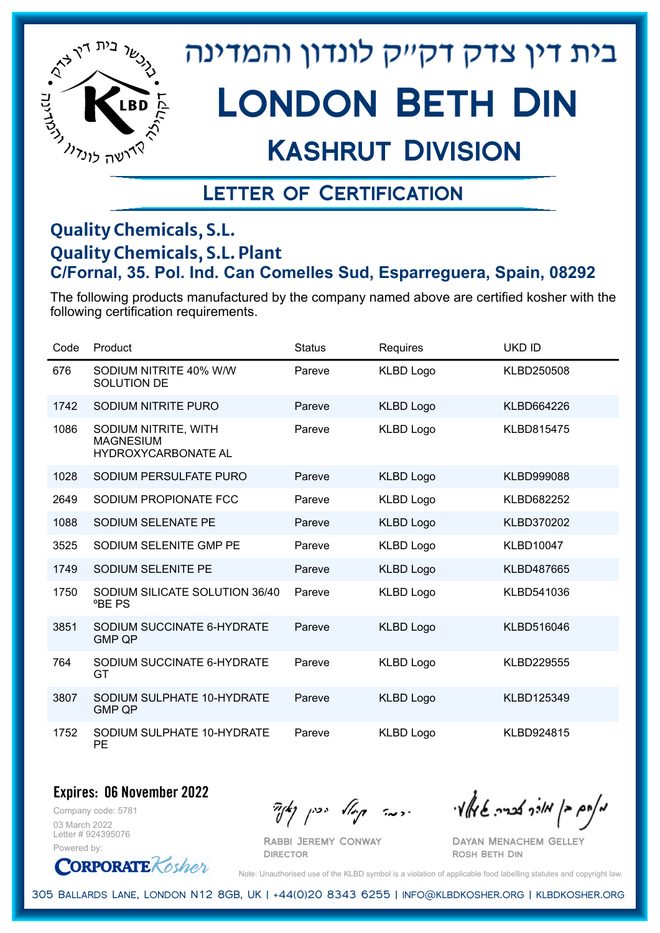

# London Beth Din

## Kashrut Division

### Letter of Certification

#### **Quality Chemicals, S.L. Quality Chemicals, S.L. Plant C/Fornal, 35. Pol. Ind. Can Comelles Sud, Esparreguera, Spain, 08292**

The following products manufactured by the company named above are certified kosher with the following certification requirements.

| Code | Product                                                         | <b>Status</b> | <b>Requires</b>  | <b>UKD ID</b>     |
|------|-----------------------------------------------------------------|---------------|------------------|-------------------|
| 676  | SODIUM NITRITE 40% W/W<br>SOLUTION DE                           | Pareve        | <b>KLBD Logo</b> | KLBD250508        |
| 1742 | SODIUM NITRITE PURO                                             | Pareve        | <b>KLBD Logo</b> | KLBD664226        |
| 1086 | SODIUM NITRITE, WITH<br><b>MAGNESIUM</b><br>HYDROXYCARBONATE AL | Pareve        | <b>KLBD Logo</b> | <b>KLBD815475</b> |
| 1028 | SODIUM PERSULFATE PURO                                          | Pareve        | <b>KLBD Logo</b> | <b>KLBD999088</b> |
| 2649 | SODIUM PROPIONATE FCC                                           | Pareve        | <b>KLBD Logo</b> | KLBD682252        |
| 1088 | SODIUM SELENATE PE                                              | Pareve        | <b>KLBD Logo</b> | <b>KLBD370202</b> |
| 3525 | SODIUM SELENITE GMP PE                                          | Pareve        | <b>KLBD Logo</b> | <b>KLBD10047</b>  |
| 1749 | SODIUM SELENITE PE                                              | Pareve        | <b>KLBD Logo</b> | <b>KLBD487665</b> |
| 1750 | SODIUM SILICATE SOLUTION 36/40<br><b>PBE PS</b>                 | Pareve        | KLBD Logo        | KLBD541036        |
| 3851 | SODIUM SUCCINATE 6-HYDRATE<br><b>GMP QP</b>                     | Pareve        | <b>KLBD Logo</b> | KLBD516046        |
| 764  | SODIUM SUCCINATE 6-HYDRATE<br>GT                                | Pareve        | <b>KLBD Logo</b> | <b>KLBD229555</b> |
| 3807 | SODIUM SULPHATE 10-HYDRATE<br><b>GMP QP</b>                     | Pareve        | <b>KLBD Logo</b> | KLBD125349        |
| 1752 | SODIUM SULPHATE 10-HYDRATE<br>PE                                | Pareve        | <b>KLBD Logo</b> | KLBD924815        |

#### **Expires: 06 November 2022**

Company code: 5781 03 March 2022 Letter # 924395076 Powered by:

**CORPORATE** Kosher

Rabbi Jeremy Conway

 $\partial_{\eta} \partial_{\eta}$   $\partial_{\eta} \partial_{\eta}$  and  $\partial_{\eta} \partial_{\eta} \partial_{\eta}$  and  $\partial_{\eta} \partial_{\eta} \partial_{\eta}$ 

Dayan Menachem Gelley Rosh Beth Din

Note: Unauthorised use of the KLBD symbol is a violation of applicable food labelling statutes and copyright law.

305 Ballards Lane, London N12 8GB, UK | +44(0)20 8343 6255 | info@klbdkosher.org | klbdkosher.org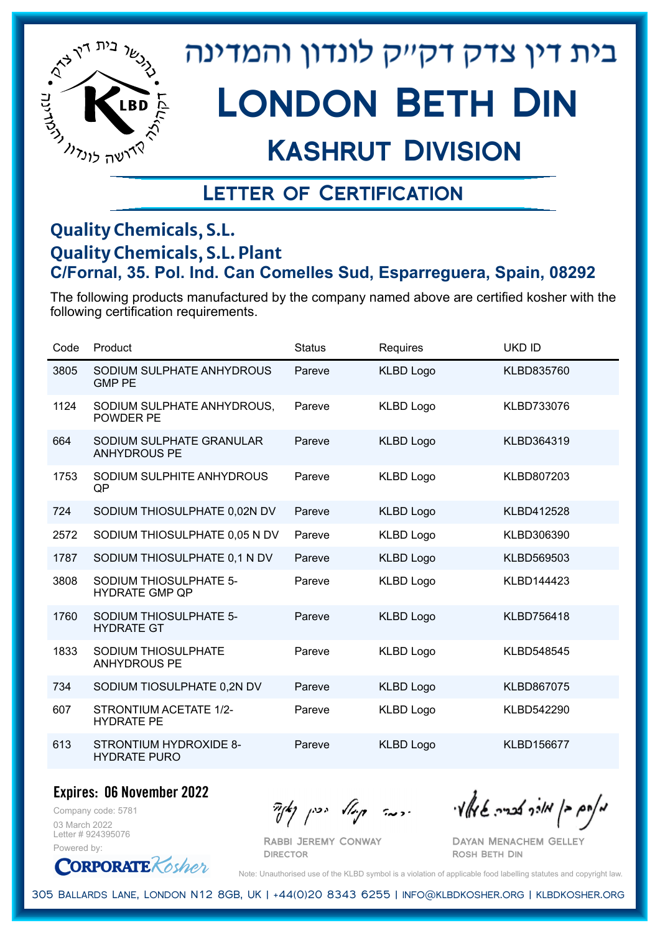

# London Beth Din

## Kashrut Division

### Letter of Certification

#### **Quality Chemicals, S.L. Quality Chemicals, S.L. Plant C/Fornal, 35. Pol. Ind. Can Comelles Sud, Esparreguera, Spain, 08292**

The following products manufactured by the company named above are certified kosher with the following certification requirements.

| Code | Product                                         | <b>Status</b> | Requires         | <b>UKD ID</b>     |
|------|-------------------------------------------------|---------------|------------------|-------------------|
| 3805 | SODIUM SULPHATE ANHYDROUS<br><b>GMP PE</b>      | Pareve        | <b>KLBD Logo</b> | KLBD835760        |
| 1124 | SODIUM SULPHATE ANHYDROUS.<br><b>POWDER PE</b>  | Pareve        | <b>KLBD Logo</b> | KLBD733076        |
| 664  | SODIUM SULPHATE GRANULAR<br><b>ANHYDROUS PE</b> | Pareve        | <b>KLBD Logo</b> | KLBD364319        |
| 1753 | SODIUM SULPHITE ANHYDROUS<br>QP                 | Pareve        | <b>KLBD Logo</b> | KLBD807203        |
| 724  | SODIUM THIOSULPHATE 0,02N DV                    | Pareve        | <b>KLBD Logo</b> | KLBD412528        |
| 2572 | SODIUM THIOSULPHATE 0,05 N DV                   | Pareve        | <b>KLBD Logo</b> | KLBD306390        |
| 1787 | SODIUM THIOSULPHATE 0,1 N DV                    | Pareve        | <b>KLBD Logo</b> | KLBD569503        |
| 3808 | SODIUM THIOSULPHATE 5-<br><b>HYDRATE GMP QP</b> | Pareve        | <b>KLBD Logo</b> | KLBD144423        |
| 1760 | SODIUM THIOSULPHATE 5-<br><b>HYDRATE GT</b>     | Pareve        | <b>KLBD Logo</b> | <b>KLBD756418</b> |
| 1833 | SODIUM THIOSULPHATE<br><b>ANHYDROUS PE</b>      | Pareve        | <b>KLBD Logo</b> | <b>KLBD548545</b> |
| 734  | SODIUM TIOSULPHATE 0,2N DV                      | Pareve        | <b>KLBD Logo</b> | <b>KLBD867075</b> |
| 607  | STRONTIUM ACETATE 1/2-<br><b>HYDRATE PE</b>     | Pareve        | <b>KLBD Logo</b> | KLBD542290        |
| 613  | STRONTIUM HYDROXIDE 8-<br><b>HYDRATE PURO</b>   | Pareve        | <b>KLBD Logo</b> | <b>KLBD156677</b> |

**Expires: 06 November 2022**

Company code: 5781 03 March 2022 Letter # 924395076 Powered by:

**CORPORATE** Rosher

 $\frac{1}{2}$ אלוק אולך לבריה שיאלץי הכבר קוואל יכין קאיר

Dayan Menachem Gelley Rosh Beth Din

Note: Unauthorised use of the KLBD symbol is a violation of applicable food labelling statutes and copyright law.

305 Ballards Lane, London N12 8GB, UK | +44(0)20 8343 6255 | info@klbdkosher.org | klbdkosher.org

Rabbi Jeremy Conway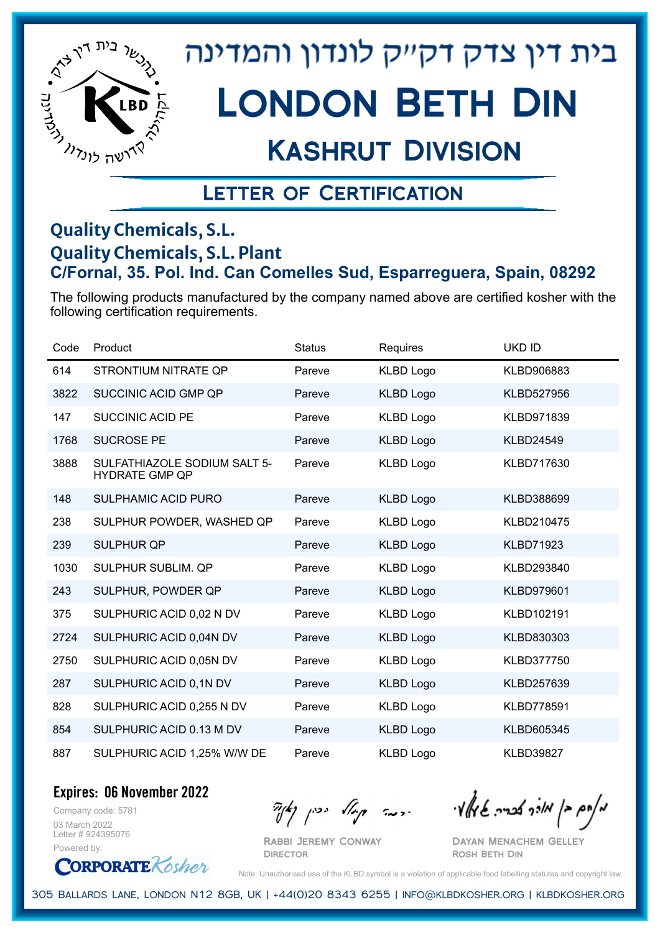

## Kashrut Division

### Letter of Certification

#### **Quality Chemicals, S.L. Quality Chemicals, S.L. Plant C/Fornal, 35. Pol. Ind. Can Comelles Sud, Esparreguera, Spain, 08292**

The following products manufactured by the company named above are certified kosher with the following certification requirements.

| Code | Product                                               | <b>Status</b> | <b>Requires</b>  | <b>UKD ID</b>    |
|------|-------------------------------------------------------|---------------|------------------|------------------|
| 614  | STRONTIUM NITRATE QP                                  | Pareve        | <b>KLBD Logo</b> | KLBD906883       |
| 3822 | SUCCINIC ACID GMP QP                                  | Pareve        | <b>KLBD Logo</b> | KLBD527956       |
| 147  | <b>SUCCINIC ACID PE</b>                               | Pareve        | <b>KLBD Logo</b> | KLBD971839       |
| 1768 | <b>SUCROSE PE</b>                                     | Pareve        | <b>KLBD Logo</b> | <b>KLBD24549</b> |
| 3888 | SULFATHIAZOLE SODIUM SALT 5-<br><b>HYDRATE GMP QP</b> | Pareve        | <b>KLBD Logo</b> | KLBD717630       |
| 148  | <b>SULPHAMIC ACID PURO</b>                            | Pareve        | <b>KLBD Logo</b> | KLBD388699       |
| 238  | SULPHUR POWDER, WASHED QP                             | Pareve        | <b>KLBD Logo</b> | KLBD210475       |
| 239  | <b>SULPHUR QP</b>                                     | Pareve        | <b>KLBD Logo</b> | <b>KLBD71923</b> |
| 1030 | SULPHUR SUBLIM. QP                                    | Pareve        | <b>KLBD Logo</b> | KLBD293840       |
| 243  | SULPHUR, POWDER QP                                    | Pareve        | <b>KLBD Logo</b> | KLBD979601       |
| 375  | SULPHURIC ACID 0,02 N DV                              | Pareve        | <b>KLBD Logo</b> | KLBD102191       |
| 2724 | SULPHURIC ACID 0,04N DV                               | Pareve        | <b>KLBD Logo</b> | KLBD830303       |
| 2750 | SULPHURIC ACID 0,05N DV                               | Pareve        | <b>KLBD Logo</b> | KLBD377750       |
| 287  | SULPHURIC ACID 0,1N DV                                | Pareve        | <b>KLBD Logo</b> | KLBD257639       |
| 828  | SULPHURIC ACID 0,255 N DV                             | Pareve        | <b>KLBD Logo</b> | KLBD778591       |
| 854  | SULPHURIC ACID 0.13 M DV                              | Pareve        | <b>KLBD Logo</b> | KLBD605345       |
| 887  | SULPHURIC ACID 1,25% W/W DE                           | Pareve        | <b>KLBD Logo</b> | <b>KLBD39827</b> |

**Expires: 06 November 2022**

Company code: 5781 03 March 2022 Letter # 924395076 Powered by:

**CORPORATE** Rosher

מאוס בן מורך אבריה שיואל וי<br>מאוס בן מורך אבריה שיואל וי

Dayan Menachem Gelley Rosh Beth Din

Note: Unauthorised use of the KLBD symbol is a violation of applicable food labelling statutes and copyright law.

305 Ballards Lane, London N12 8GB, UK | +44(0)20 8343 6255 | info@klbdkosher.org | klbdkosher.org

Rabbi Jeremy Conway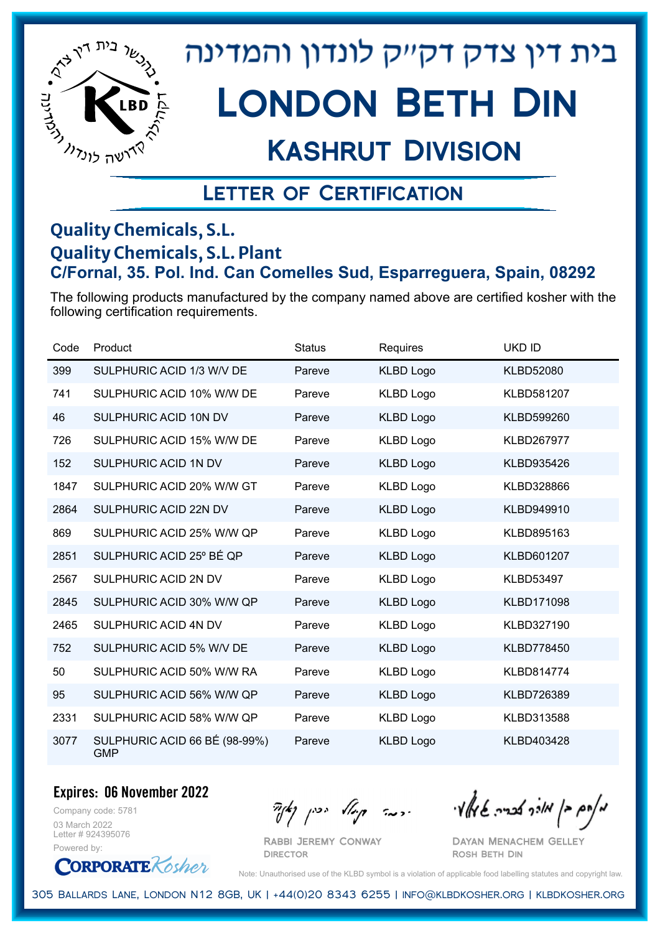

## Kashrut Division

### Letter of Certification

#### **Quality Chemicals, S.L. Quality Chemicals, S.L. Plant C/Fornal, 35. Pol. Ind. Can Comelles Sud, Esparreguera, Spain, 08292**

The following products manufactured by the company named above are certified kosher with the following certification requirements.

| Code | Product                                     | <b>Status</b> | Requires         | <b>UKD ID</b>     |
|------|---------------------------------------------|---------------|------------------|-------------------|
| 399  | SULPHURIC ACID 1/3 W/V DE                   | Pareve        | <b>KLBD Logo</b> | <b>KLBD52080</b>  |
| 741  | SULPHURIC ACID 10% W/W DE                   | Pareve        | <b>KLBD Logo</b> | KLBD581207        |
| 46   | SULPHURIC ACID 10N DV                       | Pareve        | <b>KLBD Logo</b> | KLBD599260        |
| 726  | SULPHURIC ACID 15% W/W DE                   | Pareve        | <b>KLBD Logo</b> | <b>KLBD267977</b> |
| 152  | SULPHURIC ACID 1N DV                        | Pareve        | <b>KLBD Logo</b> | KLBD935426        |
| 1847 | SULPHURIC ACID 20% W/W GT                   | Pareve        | <b>KLBD Logo</b> | KLBD328866        |
| 2864 | SULPHURIC ACID 22N DV                       | Pareve        | <b>KLBD Logo</b> | KLBD949910        |
| 869  | SULPHURIC ACID 25% W/W QP                   | Pareve        | <b>KLBD Logo</b> | KLBD895163        |
| 2851 | SULPHURIC ACID 25° BÉ QP                    | Pareve        | <b>KLBD Logo</b> | KLBD601207        |
| 2567 | SULPHURIC ACID 2N DV                        | Pareve        | <b>KLBD Logo</b> | <b>KLBD53497</b>  |
| 2845 | SULPHURIC ACID 30% W/W QP                   | Pareve        | <b>KLBD Logo</b> | KLBD171098        |
| 2465 | SULPHURIC ACID 4N DV                        | Pareve        | <b>KLBD Logo</b> | KLBD327190        |
| 752  | SULPHURIC ACID 5% W/V DE                    | Pareve        | <b>KLBD Logo</b> | <b>KLBD778450</b> |
| 50   | SULPHURIC ACID 50% W/W RA                   | Pareve        | KLBD Logo        | <b>KLBD814774</b> |
| 95   | SULPHURIC ACID 56% W/W QP                   | Pareve        | <b>KLBD Logo</b> | KLBD726389        |
| 2331 | SULPHURIC ACID 58% W/W QP                   | Pareve        | <b>KLBD Logo</b> | KLBD313588        |
| 3077 | SULPHURIC ACID 66 BÉ (98-99%)<br><b>GMP</b> | Pareve        | <b>KLBD Logo</b> | KLBD403428        |

**Expires: 06 November 2022**

Company code: 5781 03 March 2022 Letter # 924395076 Powered by:



 $\frac{1}{2}$ אלוק אולך לבריה שיאלץי הכבר קוואל יכין קאיר

Dayan Menachem Gelley Rosh Beth Din

Note: Unauthorised use of the KLBD symbol is a violation of applicable food labelling statutes and copyright law.

305 Ballards Lane, London N12 8GB, UK | +44(0)20 8343 6255 | info@klbdkosher.org | klbdkosher.org

Rabbi Jeremy Conway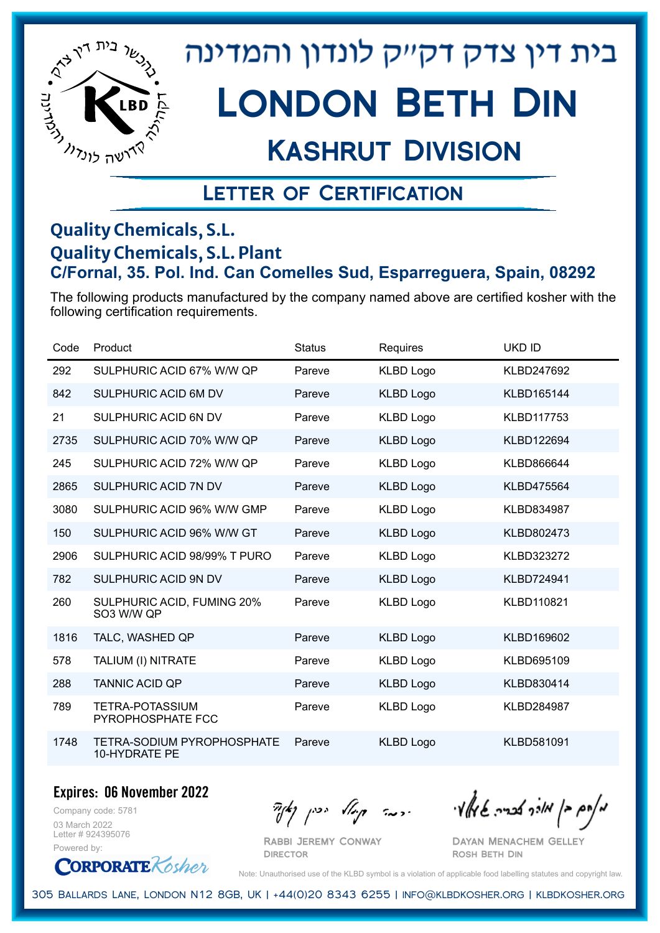

## Kashrut Division

### Letter of Certification

#### **Quality Chemicals, S.L. Quality Chemicals, S.L. Plant C/Fornal, 35. Pol. Ind. Can Comelles Sud, Esparreguera, Spain, 08292**

The following products manufactured by the company named above are certified kosher with the following certification requirements.

| Code | Product                                            | <b>Status</b> | Requires         | <b>UKD ID</b>     |
|------|----------------------------------------------------|---------------|------------------|-------------------|
| 292  | SULPHURIC ACID 67% W/W QP                          | Pareve        | <b>KLBD Logo</b> | KLBD247692        |
| 842  | SULPHURIC ACID 6M DV                               | Pareve        | <b>KLBD Logo</b> | KLBD165144        |
| 21   | SULPHURIC ACID 6N DV                               | Pareve        | <b>KLBD Logo</b> | KLBD117753        |
| 2735 | SULPHURIC ACID 70% W/W QP                          | Pareve        | <b>KLBD Logo</b> | KLBD122694        |
| 245  | SULPHURIC ACID 72% W/W QP                          | Pareve        | <b>KLBD Logo</b> | KLBD866644        |
| 2865 | SULPHURIC ACID 7N DV                               | Pareve        | <b>KLBD Logo</b> | <b>KLBD475564</b> |
| 3080 | SULPHURIC ACID 96% W/W GMP                         | Pareve        | <b>KLBD Logo</b> | KLBD834987        |
| 150  | SULPHURIC ACID 96% W/W GT                          | Pareve        | <b>KLBD Logo</b> | KLBD802473        |
| 2906 | SULPHURIC ACID 98/99% T PURO                       | Pareve        | <b>KLBD Logo</b> | KLBD323272        |
| 782  | SULPHURIC ACID 9N DV                               | Pareve        | <b>KLBD Logo</b> | KLBD724941        |
| 260  | SULPHURIC ACID, FUMING 20%<br>SO3 W/W QP           | Pareve        | <b>KLBD Logo</b> | <b>KLBD110821</b> |
| 1816 | TALC, WASHED QP                                    | Pareve        | <b>KLBD Logo</b> | KLBD169602        |
| 578  | TALIUM (I) NITRATE                                 | Pareve        | KLBD Logo        | KLBD695109        |
| 288  | <b>TANNIC ACID QP</b>                              | Pareve        | <b>KLBD Logo</b> | KLBD830414        |
| 789  | TETRA-POTASSIUM<br>PYROPHOSPHATE FCC               | Pareve        | <b>KLBD Logo</b> | <b>KLBD284987</b> |
| 1748 | <b>TETRA-SODIUM PYROPHOSPHATE</b><br>10-HYDRATE PE | Pareve        | <b>KLBD Logo</b> | KLBD581091        |

**Expires: 06 November 2022**

Company code: 5781 03 March 2022 Letter # 924395076 Powered by:

**CORPORATE** Kosher

 $\frac{1}{2}$ אולך אולך בריה שיאלי ויכה קיול יכין קאיד

Dayan Menachem Gelley Rosh Beth Din

Note: Unauthorised use of the KLBD symbol is a violation of applicable food labelling statutes and copyright law.

305 Ballards Lane, London N12 8GB, UK | +44(0)20 8343 6255 | info@klbdkosher.org | klbdkosher.org

Rabbi Jeremy Conway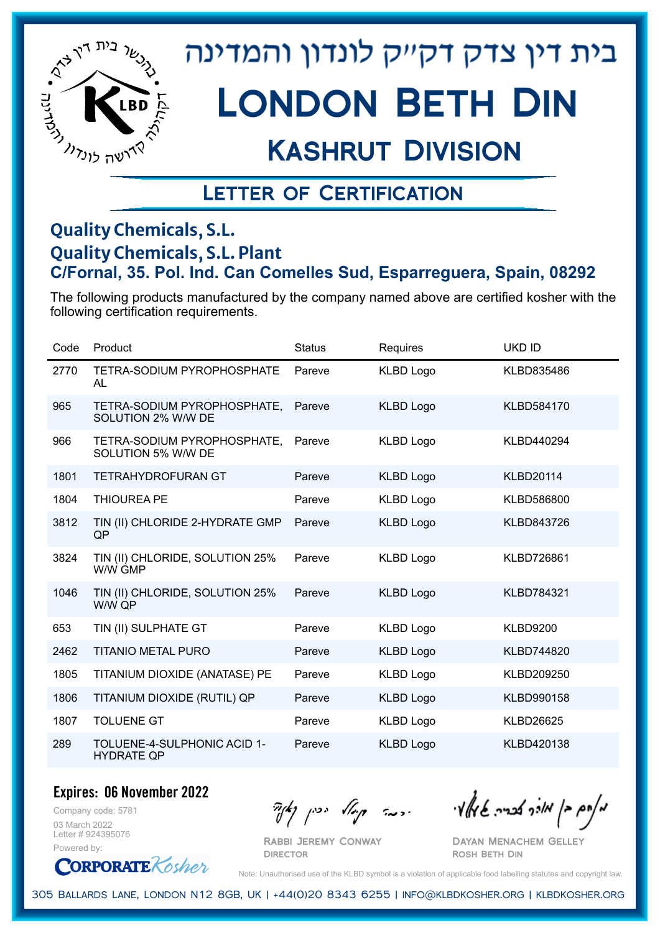

# London Beth Din

## Kashrut Division

### Letter of Certification

#### **Quality Chemicals, S.L. Quality Chemicals, S.L. Plant C/Fornal, 35. Pol. Ind. Can Comelles Sud, Esparreguera, Spain, 08292**

The following products manufactured by the company named above are certified kosher with the following certification requirements.

| Code | Product                                           | <b>Status</b> | Requires         | <b>UKD ID</b>     |
|------|---------------------------------------------------|---------------|------------------|-------------------|
| 2770 | TETRA-SODIUM PYROPHOSPHATE<br><b>AL</b>           | Pareve        | <b>KLBD Logo</b> | KLBD835486        |
| 965  | TETRA-SODIUM PYROPHOSPHATE,<br>SOLUTION 2% W/W DE | Pareve        | <b>KLBD Logo</b> | KLBD584170        |
| 966  | TETRA-SODIUM PYROPHOSPHATE,<br>SOLUTION 5% W/W DE | Pareve        | <b>KLBD Logo</b> | KLBD440294        |
| 1801 | <b>TETRAHYDROFURAN GT</b>                         | Pareve        | <b>KLBD Logo</b> | <b>KLBD20114</b>  |
| 1804 | <b>THIOUREA PE</b>                                | Pareve        | <b>KLBD Logo</b> | KLBD586800        |
| 3812 | TIN (II) CHLORIDE 2-HYDRATE GMP<br>QP             | Pareve        | <b>KLBD Logo</b> | KLBD843726        |
| 3824 | TIN (II) CHLORIDE, SOLUTION 25%<br>W/W GMP        | Pareve        | <b>KLBD Logo</b> | <b>KLBD726861</b> |
| 1046 | TIN (II) CHLORIDE, SOLUTION 25%<br>W/W QP         | Pareve        | <b>KLBD Logo</b> | <b>KLBD784321</b> |
| 653  | TIN (II) SULPHATE GT                              | Pareve        | <b>KLBD Logo</b> | <b>KLBD9200</b>   |
| 2462 | <b>TITANIO METAL PURO</b>                         | Pareve        | <b>KLBD Logo</b> | <b>KLBD744820</b> |
| 1805 | TITANIUM DIOXIDE (ANATASE) PE                     | Pareve        | <b>KLBD Logo</b> | KLBD209250        |
| 1806 | TITANIUM DIOXIDE (RUTIL) QP                       | Pareve        | <b>KLBD Logo</b> | KLBD990158        |
| 1807 | <b>TOLUENE GT</b>                                 | Pareve        | <b>KLBD Logo</b> | <b>KLBD26625</b>  |
| 289  | TOLUENE-4-SULPHONIC ACID 1-<br><b>HYDRATE QP</b>  | Pareve        | <b>KLBD Logo</b> | KLBD420138        |

**Expires: 06 November 2022**

Company code: 5781 03 March 2022 Letter # 924395076 Powered by:

**CORPORATE** Kosher

Rabbi Jeremy Conway

 $\frac{1}{2}$ אלוק אולך לבריה שיאלץי הכבר קוואל יכין קאיר

Dayan Menachem Gelley Rosh Beth Din

Note: Unauthorised use of the KLBD symbol is a violation of applicable food labelling statutes and copyright law.

305 Ballards Lane, London N12 8GB, UK | +44(0)20 8343 6255 | info@klbdkosher.org | klbdkosher.org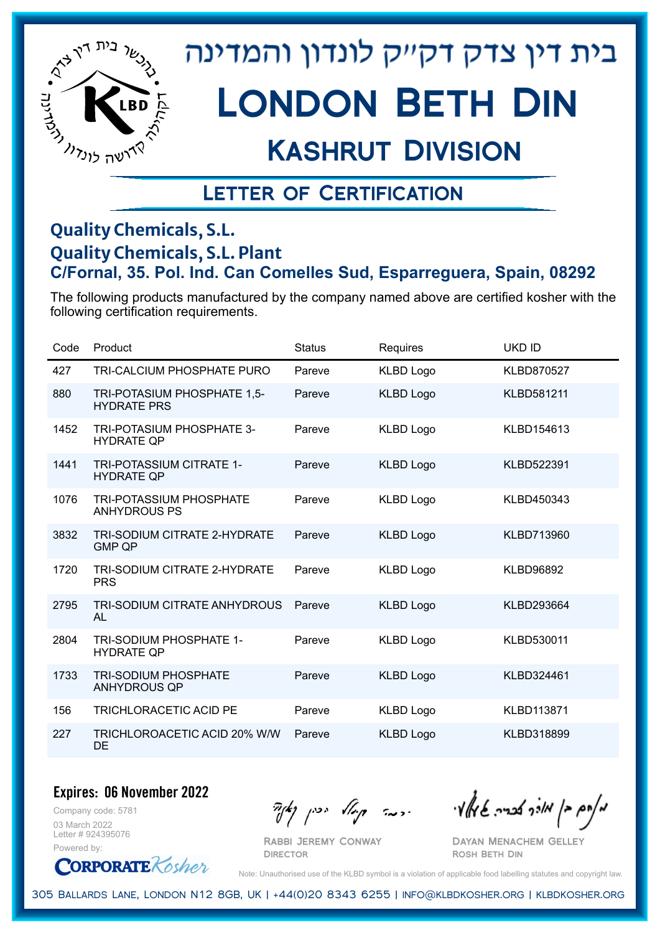

# London Beth Din

### Kashrut Division

### Letter of Certification

#### **Quality Chemicals, S.L. Quality Chemicals, S.L. Plant C/Fornal, 35. Pol. Ind. Can Comelles Sud, Esparreguera, Spain, 08292**

The following products manufactured by the company named above are certified kosher with the following certification requirements.

| Code | Product                                               | <b>Status</b> | Requires         | <b>UKD ID</b>     |
|------|-------------------------------------------------------|---------------|------------------|-------------------|
| 427  | <b>TRI-CALCIUM PHOSPHATE PURO</b>                     | Pareve        | <b>KLBD Logo</b> | <b>KLBD870527</b> |
| 880  | TRI-POTASIUM PHOSPHATE 1.5-<br><b>HYDRATE PRS</b>     | Pareve        | <b>KLBD Logo</b> | <b>KLBD581211</b> |
| 1452 | <b>TRI-POTASIUM PHOSPHATE 3-</b><br><b>HYDRATE QP</b> | Pareve        | <b>KLBD Logo</b> | KLBD154613        |
| 1441 | TRI-POTASSIUM CITRATE 1-<br><b>HYDRATE QP</b>         | Pareve        | <b>KLBD Logo</b> | KLBD522391        |
| 1076 | <b>TRI-POTASSIUM PHOSPHATE</b><br><b>ANHYDROUS PS</b> | Pareve        | <b>KLBD Logo</b> | KLBD450343        |
| 3832 | TRI-SODIUM CITRATE 2-HYDRATE<br><b>GMP QP</b>         | Pareve        | <b>KLBD Logo</b> | KLBD713960        |
| 1720 | TRI-SODIUM CITRATE 2-HYDRATE<br><b>PRS</b>            | Pareve        | <b>KLBD Logo</b> | <b>KLBD96892</b>  |
| 2795 | <b>TRI-SODIUM CITRATE ANHYDROUS</b><br>AL             | Pareve        | <b>KLBD Logo</b> | KLBD293664        |
| 2804 | TRI-SODIUM PHOSPHATE 1-<br><b>HYDRATE QP</b>          | Pareve        | <b>KLBD Logo</b> | KLBD530011        |
| 1733 | <b>TRI-SODIUM PHOSPHATE</b><br><b>ANHYDROUS QP</b>    | Pareve        | <b>KLBD Logo</b> | KLBD324461        |
| 156  | TRICHLORACETIC ACID PE                                | Pareve        | <b>KLBD Logo</b> | KLBD113871        |
| 227  | TRICHLOROACETIC ACID 20% W/W<br>DE                    | Pareve        | <b>KLBD Logo</b> | KLBD318899        |

**Expires: 06 November 2022**

Company code: 5781 03 March 2022 Letter # 924395076 Powered by:

**CORPORATE** Kosher

Rabbi Jeremy Conway

 $\mathcal{H}_{\mathcal{C}}$   $\mathcal{H}_{\mathcal{C}}$   $\mathcal{H}_{\mathcal{C}}$   $\mathcal{H}_{\mathcal{C}}$   $\mathcal{H}_{\mathcal{C}}$   $\mathcal{H}_{\mathcal{C}}$   $\mathcal{H}_{\mathcal{C}}$   $\mathcal{H}_{\mathcal{C}}$   $\mathcal{H}_{\mathcal{C}}$   $\mathcal{H}_{\mathcal{C}}$   $\mathcal{H}_{\mathcal{C}}$   $\mathcal{H}_{\mathcal{C}}$ 

Dayan Menachem Gelley Rosh Beth Din

Note: Unauthorised use of the KLBD symbol is a violation of applicable food labelling statutes and copyright law.

305 Ballards Lane, London N12 8GB, UK | +44(0)20 8343 6255 | info@klbdkosher.org | klbdkosher.org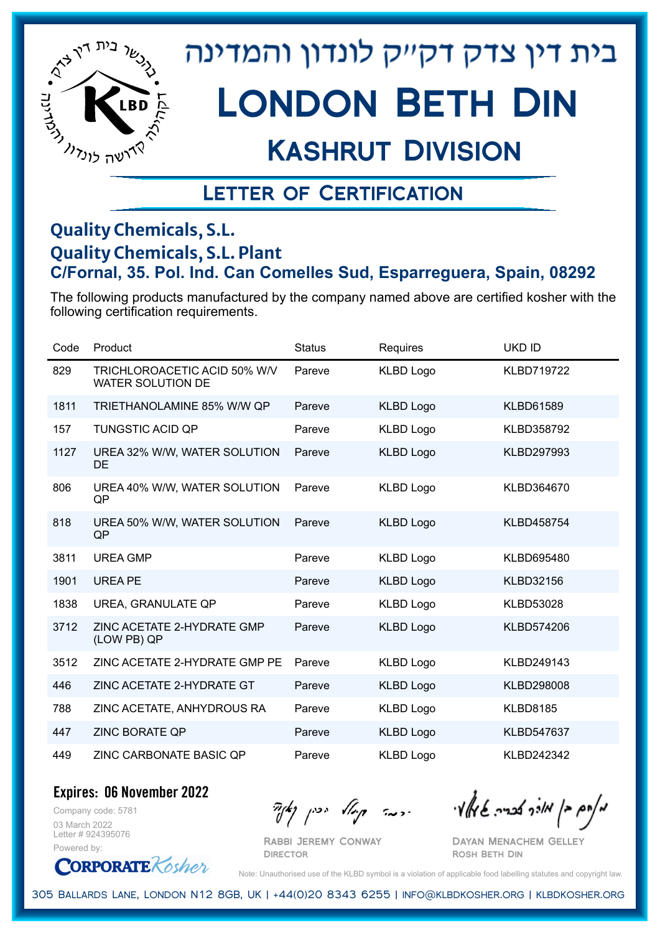

# London Beth Din

### Kashrut Division

### Letter of Certification

#### **Quality Chemicals, S.L. Quality Chemicals, S.L. Plant C/Fornal, 35. Pol. Ind. Can Comelles Sud, Esparreguera, Spain, 08292**

The following products manufactured by the company named above are certified kosher with the following certification requirements.

| Code | Product                                                  | <b>Status</b> | Requires         | <b>UKD ID</b>     |
|------|----------------------------------------------------------|---------------|------------------|-------------------|
| 829  | TRICHLOROACETIC ACID 50% W/V<br><b>WATER SOLUTION DE</b> | Pareve        | <b>KLBD Logo</b> | <b>KLBD719722</b> |
| 1811 | TRIETHANOLAMINE 85% W/W QP                               | Pareve        | <b>KLBD Logo</b> | <b>KLBD61589</b>  |
| 157  | <b>TUNGSTIC ACID QP</b>                                  | Pareve        | <b>KLBD Logo</b> | KLBD358792        |
| 1127 | UREA 32% W/W, WATER SOLUTION<br>DE                       | Pareve        | <b>KLBD Logo</b> | KLBD297993        |
| 806  | UREA 40% W/W, WATER SOLUTION<br>QP                       | Pareve        | <b>KLBD Logo</b> | KLBD364670        |
| 818  | UREA 50% W/W, WATER SOLUTION<br>QP                       | Pareve        | <b>KLBD Logo</b> | <b>KLBD458754</b> |
| 3811 | <b>UREA GMP</b>                                          | Pareve        | <b>KLBD Logo</b> | KLBD695480        |
| 1901 | <b>UREA PE</b>                                           | Pareve        | <b>KLBD Logo</b> | <b>KLBD32156</b>  |
| 1838 | UREA, GRANULATE QP                                       | Pareve        | <b>KLBD Logo</b> | <b>KLBD53028</b>  |
| 3712 | ZINC ACETATE 2-HYDRATE GMP<br>(LOW PB) QP                | Pareve        | <b>KLBD Logo</b> | KLBD574206        |
| 3512 | ZINC ACETATE 2-HYDRATE GMP PE                            | Pareve        | <b>KLBD Logo</b> | KLBD249143        |
| 446  | ZINC ACETATE 2-HYDRATE GT                                | Pareve        | <b>KLBD Logo</b> | KLBD298008        |
| 788  | ZINC ACETATE, ANHYDROUS RA                               | Pareve        | <b>KLBD Logo</b> | <b>KLBD8185</b>   |
| 447  | <b>ZINC BORATE QP</b>                                    | Pareve        | <b>KLBD Logo</b> | KLBD547637        |
| 449  | ZINC CARBONATE BASIC QP                                  | Pareve        | <b>KLBD Logo</b> | KLBD242342        |

**Expires: 06 November 2022**

Company code: 5781 03 March 2022 Letter # 924395076 Powered by:

**CORPORATE** Kosher

 $\partial_{\eta}^{A}(\theta)$  and  $\partial_{\eta}^{A}(\theta)$  and  $\partial_{\eta}^{A}(\theta)$  and  $\partial_{\eta}^{A}(\theta)$ 

Rabbi Jeremy Conway **DIRECTOR** 

Dayan Menachem Gelley Rosh Beth Din

Note: Unauthorised use of the KLBD symbol is a violation of applicable food labelling statutes and copyright law.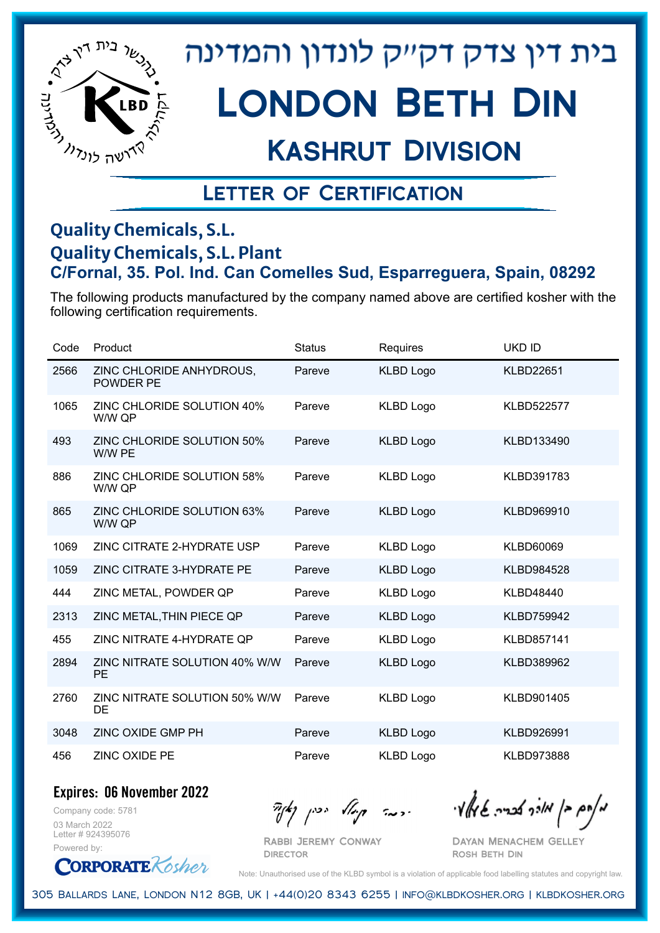

# London Beth Din

## Kashrut Division

### Letter of Certification

#### **Quality Chemicals, S.L. Quality Chemicals, S.L. Plant C/Fornal, 35. Pol. Ind. Can Comelles Sud, Esparreguera, Spain, 08292**

The following products manufactured by the company named above are certified kosher with the following certification requirements.

| Code | Product                                      | <b>Status</b> | Requires         | <b>UKD ID</b>     |
|------|----------------------------------------------|---------------|------------------|-------------------|
| 2566 | ZINC CHLORIDE ANHYDROUS,<br><b>POWDER PE</b> | Pareve        | <b>KLBD Logo</b> | <b>KLBD22651</b>  |
| 1065 | ZINC CHLORIDE SOLUTION 40%<br>W/W QP         | Pareve        | <b>KLBD Logo</b> | <b>KLBD522577</b> |
| 493  | ZINC CHLORIDE SOLUTION 50%<br>W/W PE         | Pareve        | <b>KLBD Logo</b> | KLBD133490        |
| 886  | ZINC CHLORIDE SOLUTION 58%<br>W/W QP         | Pareve        | <b>KLBD Logo</b> | KLBD391783        |
| 865  | ZINC CHLORIDE SOLUTION 63%<br>W/W QP         | Pareve        | <b>KLBD Logo</b> | KLBD969910        |
| 1069 | ZINC CITRATE 2-HYDRATE USP                   | Pareve        | <b>KLBD Logo</b> | <b>KLBD60069</b>  |
| 1059 | ZINC CITRATE 3-HYDRATE PE                    | Pareve        | <b>KLBD Logo</b> | KLBD984528        |
| 444  | ZINC METAL, POWDER QP                        | Pareve        | <b>KLBD Logo</b> | <b>KLBD48440</b>  |
| 2313 | ZINC METAL, THIN PIECE QP                    | Pareve        | <b>KLBD Logo</b> | <b>KLBD759942</b> |
| 455  | ZINC NITRATE 4-HYDRATE QP                    | Pareve        | <b>KLBD Logo</b> | KLBD857141        |
| 2894 | ZINC NITRATE SOLUTION 40% W/W<br><b>PE</b>   | Pareve        | <b>KLBD Logo</b> | KLBD389962        |
| 2760 | ZINC NITRATE SOLUTION 50% W/W<br>DE          | Pareve        | <b>KLBD Logo</b> | KLBD901405        |
| 3048 | ZINC OXIDE GMP PH                            | Pareve        | <b>KLBD Logo</b> | KLBD926991        |
| 456  | <b>ZINC OXIDE PE</b>                         | Pareve        | <b>KLBD Logo</b> | KLBD973888        |

**Expires: 06 November 2022**

Company code: 5781 03 March 2022 Letter # 924395076 Powered by:

**CORPORATE** Rosher

 $\partial_{\eta}^{A}(\theta)$  and  $\partial_{\eta}^{A}(\theta)$  and  $\partial_{\eta}^{A}(\theta)$  and  $\partial_{\eta}^{A}(\theta)$ 

Dayan Menachem Gelley Rosh Beth Din

Note: Unauthorised use of the KLBD symbol is a violation of applicable food labelling statutes and copyright law.

305 Ballards Lane, London N12 8GB, UK | +44(0)20 8343 6255 | info@klbdkosher.org | klbdkosher.org

Rabbi Jeremy Conway